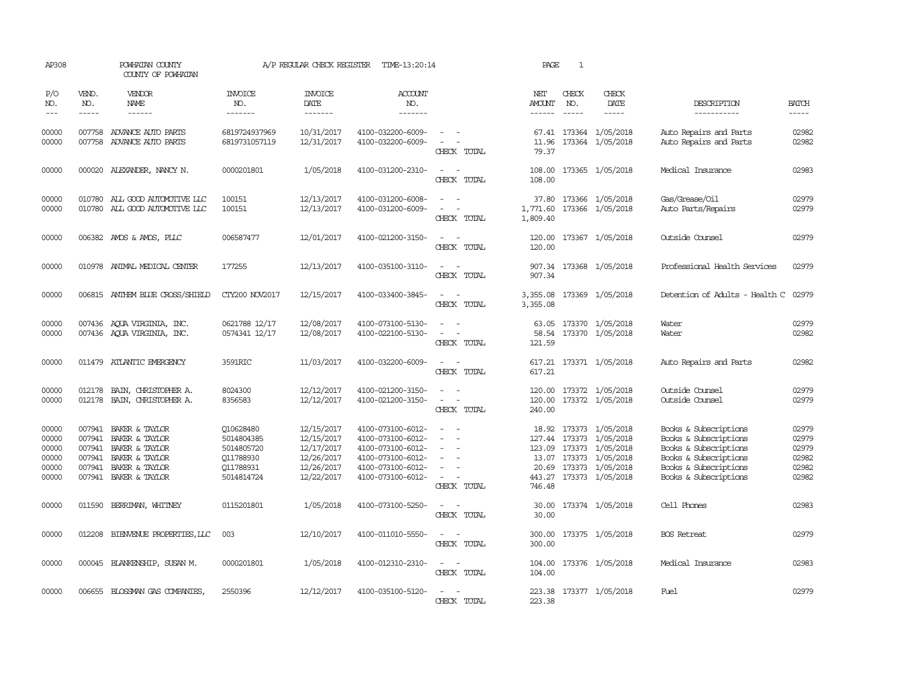| AP308                                              |                             | POWHATAN COUNTY<br>COUNTY OF POWHATAN                                                                                                       |                                                                               | A/P REGULAR CHECK REGISTER                                                       | TIME-13:20:14                                                                                                              |                                                                                                                             | PAGE                    | $\mathbf{1}$                  |                                                                                                                                                       |                                                                                                                                                    |                                                    |
|----------------------------------------------------|-----------------------------|---------------------------------------------------------------------------------------------------------------------------------------------|-------------------------------------------------------------------------------|----------------------------------------------------------------------------------|----------------------------------------------------------------------------------------------------------------------------|-----------------------------------------------------------------------------------------------------------------------------|-------------------------|-------------------------------|-------------------------------------------------------------------------------------------------------------------------------------------------------|----------------------------------------------------------------------------------------------------------------------------------------------------|----------------------------------------------------|
| P/O<br>NO.<br>$---$                                | VEND.<br>NO.<br>$- - - - -$ | VENDOR<br>NAME<br>$- - - - - -$                                                                                                             | <b>INVOICE</b><br>NO.<br>-------                                              | <b>INVOICE</b><br>DATE<br>$- - - - - - -$                                        | ACCOUNT<br>NO.<br>$- - - - - - -$                                                                                          |                                                                                                                             | NET<br>AMOUNT<br>------ | CHECK<br>NO.<br>$\frac{1}{2}$ | CHECK<br>DATE<br>$- - - - -$                                                                                                                          | DESCRIPTION<br>-----------                                                                                                                         | <b>BATCH</b><br>-----                              |
| 00000<br>00000                                     |                             | 007758 ADVANCE AUTO PARTS<br>007758 ADVANCE AUTO PARTS                                                                                      | 6819724937969<br>6819731057119                                                | 10/31/2017<br>12/31/2017                                                         | 4100-032200-6009-<br>4100-032200-6009-                                                                                     | CHECK TOTAL                                                                                                                 | 11.96<br>79.37          |                               | 67.41 173364 1/05/2018<br>173364 1/05/2018                                                                                                            | Auto Repairs and Parts<br>Auto Repairs and Parts                                                                                                   | 02982<br>02982                                     |
| 00000                                              |                             | 000020 ALEXANDER, NANCY N.                                                                                                                  | 0000201801                                                                    | 1/05/2018                                                                        | 4100-031200-2310-                                                                                                          | $\frac{1}{2} \left( \frac{1}{2} \right) \left( \frac{1}{2} \right) = \frac{1}{2} \left( \frac{1}{2} \right)$<br>CHECK TOTAL | 108.00<br>108.00        |                               | 173365 1/05/2018                                                                                                                                      | Medical Insurance                                                                                                                                  | 02983                                              |
| 00000<br>00000                                     |                             | 010780 ALL GOOD AUTOMOTIVE LLC<br>010780 ALL GOOD AUTOMOTTVE LLC                                                                            | 100151<br>100151                                                              | 12/13/2017<br>12/13/2017                                                         | 4100-031200-6008-<br>4100-031200-6009-                                                                                     | CHECK TOTAL                                                                                                                 | 1,771.60<br>1,809.40    |                               | 37.80 173366 1/05/2018<br>173366 1/05/2018                                                                                                            | Gas/Grease/Oil<br>Auto Parts/Repairs                                                                                                               | 02979<br>02979                                     |
| 00000                                              |                             | 006382 AMOS & AMOS, PLLC                                                                                                                    | 006587477                                                                     | 12/01/2017                                                                       | 4100-021200-3150-                                                                                                          | $ -$<br>CHECK TOTAL                                                                                                         | 120.00<br>120.00        |                               | 173367 1/05/2018                                                                                                                                      | Outside Counsel                                                                                                                                    | 02979                                              |
| 00000                                              |                             | 010978 ANIMAL MEDICAL CENTER                                                                                                                | 177255                                                                        | 12/13/2017                                                                       | 4100-035100-3110-                                                                                                          | $\frac{1}{2} \left( \frac{1}{2} \right) \left( \frac{1}{2} \right) = \frac{1}{2} \left( \frac{1}{2} \right)$<br>CHECK TOTAL | 907.34                  |                               | 907.34 173368 1/05/2018                                                                                                                               | Professional Health Services                                                                                                                       | 02979                                              |
| 00000                                              |                             | 006815 ANTHEM BLUE CROSS/SHIELD                                                                                                             | CTY200 NOV2017                                                                | 12/15/2017                                                                       | 4100-033400-3845-                                                                                                          | CHECK TOTAL                                                                                                                 | 3,355.08<br>3,355.08    |                               | 173369 1/05/2018                                                                                                                                      | Detention of Adults - Health C                                                                                                                     | 02979                                              |
| 00000<br>00000                                     |                             | 007436 AQUA VIRGINIA, INC.<br>007436 AQUA VIRGINIA, INC.                                                                                    | 0621788 12/17<br>0574341 12/17                                                | 12/08/2017<br>12/08/2017                                                         | 4100-073100-5130-<br>4100-022100-5130-                                                                                     | $\equiv$<br>- 11<br>$\sim$<br>CHECK TOTAL                                                                                   | 121.59                  |                               | 63.05 173370 1/05/2018<br>58.54 173370 1/05/2018                                                                                                      | Water<br>Water                                                                                                                                     | 02979<br>02982                                     |
| 00000                                              |                             | 011479 ATLANTIC EMERGENCY                                                                                                                   | 3591RIC                                                                       | 11/03/2017                                                                       | 4100-032200-6009-                                                                                                          | $\frac{1}{2} \left( \frac{1}{2} \right) \left( \frac{1}{2} \right) = \frac{1}{2} \left( \frac{1}{2} \right)$<br>CHECK TOTAL | 617.21                  |                               | 617.21 173371 1/05/2018                                                                                                                               | Auto Repairs and Parts                                                                                                                             | 02982                                              |
| 00000<br>00000                                     | 012178<br>012178            | BAIN, CHRISTOPHER A.<br>BAIN, CHRISTOPHER A.                                                                                                | 8024300<br>8356583                                                            | 12/12/2017<br>12/12/2017                                                         | 4100-021200-3150-<br>4100-021200-3150-                                                                                     | $\sim$<br>$\sim$<br>$\overline{\phantom{a}}$<br>CHECK TOTAL                                                                 | 120.00<br>240.00        |                               | 120.00 173372 1/05/2018<br>173372 1/05/2018                                                                                                           | Outside Counsel<br>Outside Counsel                                                                                                                 | 02979<br>02979                                     |
| 00000<br>00000<br>00000<br>00000<br>00000<br>00000 | 007941                      | 007941 BAKER & TAYLOR<br>007941 BAKER & TAYLOR<br>BAKER & TAYLOR<br>007941 BAKER & TAYLOR<br>007941 BAKER & TAYLOR<br>007941 BAKER & TAYLOR | Q10628480<br>5014804385<br>5014805720<br>Q11788930<br>011788931<br>5014814724 | 12/15/2017<br>12/15/2017<br>12/17/2017<br>12/26/2017<br>12/26/2017<br>12/22/2017 | 4100-073100-6012-<br>4100-073100-6012-<br>4100-073100-6012-<br>4100-073100-6012-<br>4100-073100-6012-<br>4100-073100-6012- | $ -$<br>$\sim$<br>$\equiv$<br>$\sim$ 100 $\mu$<br>CHECK TOTAL                                                               | 20.69<br>746.48         |                               | 18.92 173373 1/05/2018<br>127.44 173373 1/05/2018<br>123.09 173373 1/05/2018<br>13.07 173373 1/05/2018<br>173373 1/05/2018<br>443.27 173373 1/05/2018 | Books & Subscriptions<br>Books & Subscriptions<br>Books & Subscriptions<br>Books & Subscriptions<br>Books & Subscriptions<br>Books & Subscriptions | 02979<br>02979<br>02979<br>02982<br>02982<br>02982 |
| 00000                                              |                             | 011590 BERRIMAN, WHITNEY                                                                                                                    | 0115201801                                                                    | 1/05/2018                                                                        | 4100-073100-5250-                                                                                                          | $\frac{1}{2} \left( \frac{1}{2} \right) \left( \frac{1}{2} \right) = \frac{1}{2} \left( \frac{1}{2} \right)$<br>CHECK TOTAL | 30.00                   |                               | 30.00 173374 1/05/2018                                                                                                                                | Cell Phones                                                                                                                                        | 02983                                              |
| 00000                                              |                             | 012208 BIENVENUE PROPERTIES, LLC                                                                                                            | 003                                                                           | 12/10/2017                                                                       | 4100-011010-5550-                                                                                                          | $\sim$ $\sim$<br>CHECK TOTAL                                                                                                | 300.00                  |                               | 300.00 173375 1/05/2018                                                                                                                               | <b>BOS</b> Retreat                                                                                                                                 | 02979                                              |
| 00000                                              |                             | 000045 BLANKENSHIP, SUSAN M.                                                                                                                | 0000201801                                                                    | 1/05/2018                                                                        | 4100-012310-2310-                                                                                                          | $\sim$<br>CHECK TOTAL                                                                                                       | 104.00                  |                               | 104.00 173376 1/05/2018                                                                                                                               | Medical Insurance                                                                                                                                  | 02983                                              |
| 00000                                              |                             | 006655 BLOSSMAN GAS COMPANIES                                                                                                               | 2550396                                                                       | 12/12/2017                                                                       | 4100-035100-5120-                                                                                                          | $\overline{a}$<br>CHECK TOTAL                                                                                               | 223.38<br>223.38        |                               | 173377 1/05/2018                                                                                                                                      | Fuel                                                                                                                                               | 02979                                              |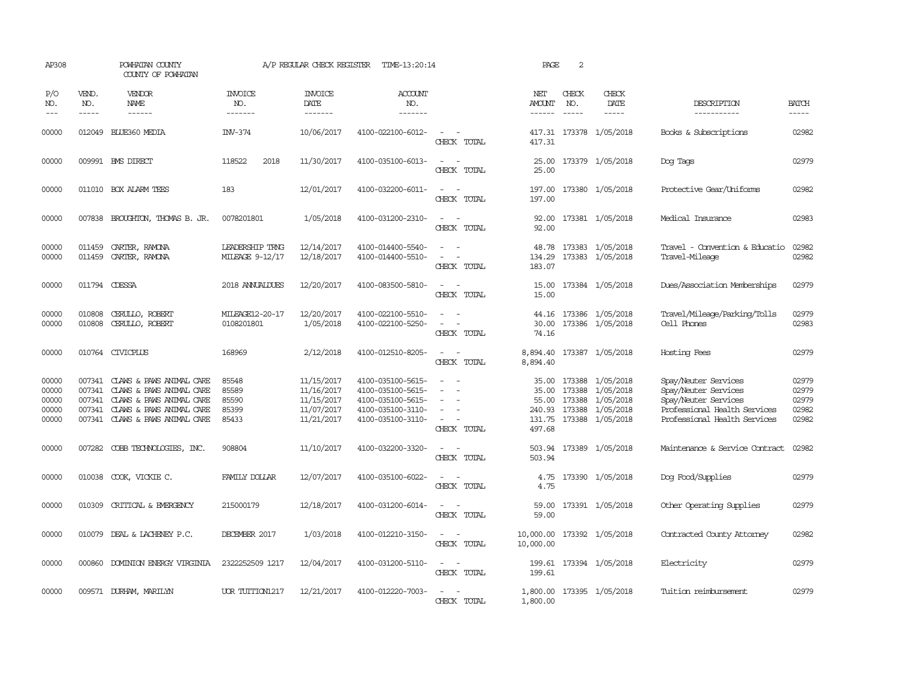| AP308                                     |                                      | POWHATAN COUNTY<br>COUNTY OF POWHATAN                                                                                                           |                                           | A/P REGULAR CHECK REGISTER                                         | TIME-13:20:14                                                                                         |                                                               | PAGE                                                  | 2                                    |                                                                      |                                                                                                                                      |                                           |
|-------------------------------------------|--------------------------------------|-------------------------------------------------------------------------------------------------------------------------------------------------|-------------------------------------------|--------------------------------------------------------------------|-------------------------------------------------------------------------------------------------------|---------------------------------------------------------------|-------------------------------------------------------|--------------------------------------|----------------------------------------------------------------------|--------------------------------------------------------------------------------------------------------------------------------------|-------------------------------------------|
| P/O<br>NO.<br>$---$                       | VEND.<br>NO.<br>$- - - - -$          | VENDOR<br><b>NAME</b><br>$- - - - - -$                                                                                                          | <b>INVOICE</b><br>NO.<br>-------          | <b>INVOICE</b><br>DATE<br>--------                                 | <b>ACCOUNT</b><br>NO.<br>-------                                                                      |                                                               | NET<br>AMOUNT<br>$- - - - - -$                        | CHECK<br>NO.<br>$- - - - -$          | CHECK<br>DATE<br>$- - - - -$                                         | DESCRIPTION<br>-----------                                                                                                           | <b>BATCH</b><br>$- - - - -$               |
| 00000                                     | 012049                               | BLUE360 MEDIA                                                                                                                                   | INV-374                                   | 10/06/2017                                                         | 4100-022100-6012-                                                                                     | CHECK TOTAL                                                   | 417.31                                                |                                      | 417.31 173378 1/05/2018                                              | Books & Subscriptions                                                                                                                | 02982                                     |
| 00000                                     |                                      | 009991 BMS DIRECT                                                                                                                               | 118522<br>2018                            | 11/30/2017                                                         | 4100-035100-6013-                                                                                     | $\sim$<br>CHECK TOTAL                                         | 25.00<br>25.00                                        |                                      | 173379 1/05/2018                                                     | Dog Tags                                                                                                                             | 02979                                     |
| 00000                                     |                                      | 011010 BOX ALARM TEES                                                                                                                           | 183                                       | 12/01/2017                                                         | 4100-032200-6011-                                                                                     | $\sim$<br>$\sim$<br>CHECK TOTAL                               | 197.00<br>197.00                                      |                                      | 173380 1/05/2018                                                     | Protective Gear/Uniforms                                                                                                             | 02982                                     |
| 00000                                     |                                      | 007838 BROUGHTON, THOMAS B. JR.                                                                                                                 | 0078201801                                | 1/05/2018                                                          | 4100-031200-2310-                                                                                     | $\equiv$<br>$\sim$<br>CHECK TOTAL                             | 92.00<br>92.00                                        |                                      | 173381 1/05/2018                                                     | Medical Insurance                                                                                                                    | 02983                                     |
| 00000<br>00000                            | 011459<br>011459                     | CARTER, RAMONA<br>CARTER, RAMONA                                                                                                                | LEADERSHIP TRNG<br>MILEAGE 9-12/17        | 12/14/2017<br>12/18/2017                                           | 4100-014400-5540-<br>4100-014400-5510-                                                                | $\sim$<br>$\overline{\phantom{a}}$<br>$\equiv$<br>CHECK TOTAL | 48.78<br>134.29<br>183.07                             |                                      | 173383 1/05/2018<br>173383 1/05/2018                                 | Travel - Convention & Educatio<br>Travel-Mileage                                                                                     | 02982<br>02982                            |
| 00000                                     | 011794 CDESSA                        |                                                                                                                                                 | 2018 ANUALDUES                            | 12/20/2017                                                         | 4100-083500-5810-                                                                                     | $\sim$<br>$\overline{\phantom{a}}$<br>CHECK TOTAL             | 15.00<br>15.00                                        |                                      | 173384 1/05/2018                                                     | Dues/Association Memberships                                                                                                         | 02979                                     |
| 00000<br>00000                            | 010808<br>010808                     | CERULLO, ROBERT<br>CERULLO, ROBERT                                                                                                              | MILEAGE12-20-17<br>0108201801             | 12/20/2017<br>1/05/2018                                            | 4100-022100-5510-<br>4100-022100-5250-                                                                | $\equiv$<br>CHECK TOTAL                                       | 44.16<br>30.00<br>74.16                               |                                      | 173386 1/05/2018<br>173386 1/05/2018                                 | Travel/Mileage/Parking/Tolls<br>Cell Phones                                                                                          | 02979<br>02983                            |
| 00000                                     |                                      | 010764 CIVICPLUS                                                                                                                                | 168969                                    | 2/12/2018                                                          | 4100-012510-8205-                                                                                     | $\overline{a}$<br>$\overline{\phantom{0}}$<br>CHECK TOTAL     | 8,894.40                                              |                                      | 8,894.40 173387 1/05/2018                                            | Hosting Fees                                                                                                                         | 02979                                     |
| 00000<br>00000<br>00000<br>00000<br>00000 | 007341<br>007341<br>007341<br>007341 | CLAWS & PAWS ANIMAL CARE<br>CLAWS & PAWS ANIMAL CARE<br>CLAWS & PAWS ANIMAL CARE<br>CLAWS & PAWS ANIMAL CARE<br>007341 CLAWS & PAWS ANIMAL CARE | 85548<br>85589<br>85590<br>85399<br>85433 | 11/15/2017<br>11/16/2017<br>11/15/2017<br>11/07/2017<br>11/21/2017 | 4100-035100-5615-<br>4100-035100-5615-<br>4100-035100-5615-<br>4100-035100-3110-<br>4100-035100-3110- | $\equiv$<br>$\sim$<br>CHECK TOTAL                             | 35.00<br>35.00<br>55.00<br>240.93<br>131.75<br>497.68 | 173388<br>173388<br>173388<br>173388 | 1/05/2018<br>1/05/2018<br>1/05/2018<br>1/05/2018<br>173388 1/05/2018 | Spay/Neuter Services<br>Spay/Neuter Services<br>Spay/Neuter Services<br>Professional Health Services<br>Professional Health Services | 02979<br>02979<br>02979<br>02982<br>02982 |
| 00000                                     |                                      | 007282 COBB TECHNOLOGIES, INC.                                                                                                                  | 908804                                    | 11/10/2017                                                         | 4100-032200-3320-                                                                                     | $\sim$<br>$\sim$<br>CHECK TOTAL                               | 503.94                                                |                                      | 503.94 173389 1/05/2018                                              | Maintenance & Service Contract                                                                                                       | 02982                                     |
| 00000                                     |                                      | 010038 COOK, VICKIE C.                                                                                                                          | FAMILY DOLLAR                             | 12/07/2017                                                         | 4100-035100-6022-                                                                                     | $\sim$<br>CHECK TOTAL                                         | 4.75<br>4.75                                          |                                      | 173390 1/05/2018                                                     | Dog Food/Supplies                                                                                                                    | 02979                                     |
| 00000                                     | 010309                               | CRITICAL & EMERGENCY                                                                                                                            | 215000179                                 | 12/18/2017                                                         | 4100-031200-6014-                                                                                     | $\overline{\phantom{a}}$<br>CHECK TOTAL                       | 59.00<br>59.00                                        |                                      | 173391 1/05/2018                                                     | Other Operating Supplies                                                                                                             | 02979                                     |
| 00000                                     | 010079                               | DEAL & LACHENEY P.C.                                                                                                                            | DECEMBER 2017                             | 1/03/2018                                                          | 4100-012210-3150-                                                                                     | $\equiv$<br>CHECK TOTAL                                       | 10,000.00<br>10,000.00                                |                                      | 173392 1/05/2018                                                     | Contracted County Attomey                                                                                                            | 02982                                     |
| 00000                                     | 000860                               | DOMINION ENERGY VIRGINIA                                                                                                                        | 2322252509 1217                           | 12/04/2017                                                         | 4100-031200-5110-                                                                                     | $\sim$<br>$\sim$<br>CHECK TOTAL                               | 199.61                                                |                                      | 199.61 173394 1/05/2018                                              | Electricity                                                                                                                          | 02979                                     |
| 00000                                     |                                      | 009571 DURHAM, MARILYN                                                                                                                          | UOR TUITION1217                           | 12/21/2017                                                         | 4100-012220-7003-                                                                                     | $\overline{\phantom{0}}$<br>CHECK TOTAL                       | 1,800.00                                              |                                      | 1,800.00 173395 1/05/2018                                            | Tuition reimbursement                                                                                                                | 02979                                     |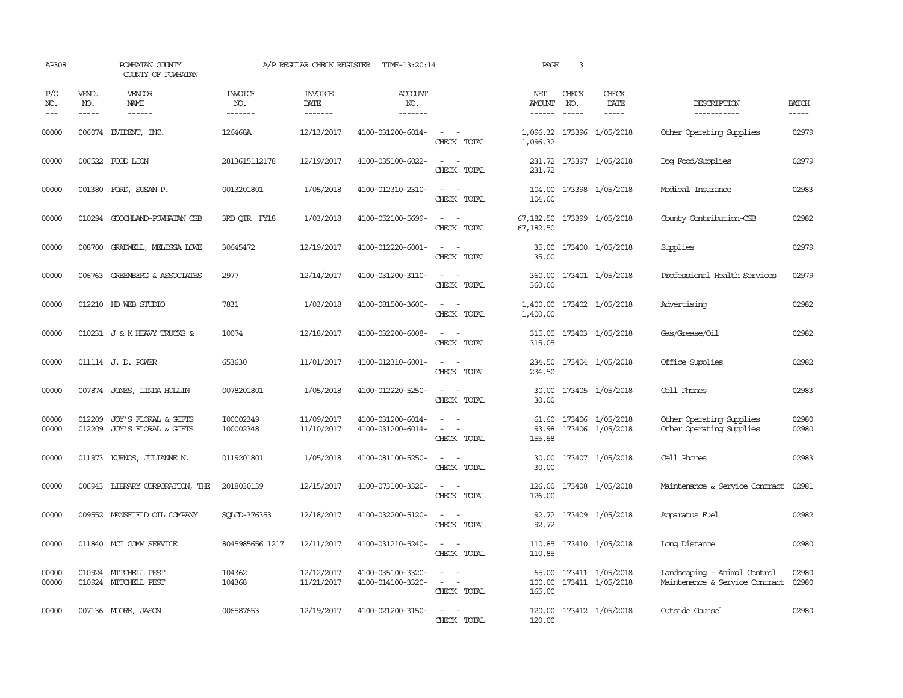| AP308               |                               | POWHATAN COUNTY<br>COUNTY OF POWHATAN               |                                  | A/P REGULAR CHECK REGISTER         | TIME-13:20:14                          |                                                                                                                                          | PAGE                           | 3                             |                                                   |                                                                |                             |
|---------------------|-------------------------------|-----------------------------------------------------|----------------------------------|------------------------------------|----------------------------------------|------------------------------------------------------------------------------------------------------------------------------------------|--------------------------------|-------------------------------|---------------------------------------------------|----------------------------------------------------------------|-----------------------------|
| P/O<br>NO.<br>$---$ | VEND.<br>NO.<br>$\frac{1}{2}$ | VENDOR<br>NAME<br>$- - - - - -$                     | <b>INVOICE</b><br>NO.<br>------- | <b>INVOICE</b><br>DATE<br>-------- | <b>ACCOUNT</b><br>NO.<br>-------       |                                                                                                                                          | NET<br>AMOUNT<br>$- - - - - -$ | CHECK<br>NO.<br>$\frac{1}{2}$ | CHECK<br>DATE<br>$- - - - -$                      | DESCRIPTION<br>-----------                                     | <b>BATCH</b><br>$- - - - -$ |
| 00000               |                               | 006074 EVIDENT, INC.                                | 126468A                          | 12/13/2017                         | 4100-031200-6014-                      | $\sim$ $ -$<br>CHECK TOTAL                                                                                                               | 1,096.32                       |                               | 1,096.32 173396 1/05/2018                         | Other Operating Supplies                                       | 02979                       |
| 00000               |                               | 006522 FOOD LION                                    | 2813615112178                    | 12/19/2017                         | 4100-035100-6022-                      | $\sim$<br>$\sim$<br>CHECK TOTAL                                                                                                          | 231.72                         |                               | 231.72 173397 1/05/2018                           | Dog Food/Supplies                                              | 02979                       |
| 00000               |                               | 001380 FORD, SUSAN P.                               | 0013201801                       | 1/05/2018                          | 4100-012310-2310-                      | $\sim$ $\sim$<br>CHECK TOTAL                                                                                                             | 104.00                         |                               | 104.00 173398 1/05/2018                           | Medical Insurance                                              | 02983                       |
| 00000               |                               | 010294 GOOCHLAND-POWHATAN CSB                       | 3RD QTR FY18                     | 1/03/2018                          | 4100-052100-5699-                      | $\sim$ $ \sim$<br>CHECK TOTAL                                                                                                            | 67,182.50                      |                               | 67,182.50 173399 1/05/2018                        | County Contribution-CSB                                        | 02982                       |
| 00000               |                               | 008700 GRADWELL, MELISSA LOWE                       | 30645472                         | 12/19/2017                         | 4100-012220-6001-                      | $\overline{\phantom{a}}$<br>$\sim$<br>CHECK TOTAL                                                                                        | 35.00<br>35.00                 |                               | 173400 1/05/2018                                  | Supplies                                                       | 02979                       |
| 00000               |                               | 006763 GREENBERG & ASSOCIATES                       | 2977                             | 12/14/2017                         | 4100-031200-3110-                      | $\overline{\phantom{a}}$<br>$\sim$<br>CHECK TOTAL                                                                                        | 360.00<br>360.00               |                               | 173401 1/05/2018                                  | Professional Health Services                                   | 02979                       |
| 00000               |                               | 012210 HD WEB STUDIO                                | 7831                             | 1/03/2018                          | 4100-081500-3600-                      | $\sim$ $ \sim$<br>CHECK TOTAL                                                                                                            | 1,400.00                       |                               | 1,400.00 173402 1/05/2018                         | Advertising                                                    | 02982                       |
| 00000               |                               | 010231 J & K HEAVY TRUCKS &                         | 10074                            | 12/18/2017                         | 4100-032200-6008-                      | $\frac{1}{2} \left( \frac{1}{2} \right) \left( \frac{1}{2} \right) = \frac{1}{2} \left( \frac{1}{2} \right)$<br>CHECK TOTAL              | 315.05                         |                               | 315.05 173403 1/05/2018                           | Gas/Grease/Oil                                                 | 02982                       |
| 00000               |                               | 011114 J.D. POWER                                   | 653630                           | 11/01/2017                         | 4100-012310-6001-                      | $\frac{1}{2} \left( \frac{1}{2} \right) \left( \frac{1}{2} \right) = \frac{1}{2} \left( \frac{1}{2} \right)$<br>CHECK TOTAL              | 234.50                         |                               | 234.50 173404 1/05/2018                           | Office Supplies                                                | 02982                       |
| 00000               |                               | 007874 JONES, LINDA HOLLIN                          | 0078201801                       | 1/05/2018                          | 4100-012220-5250-                      | CHECK TOTAL                                                                                                                              | 30.00<br>30.00                 |                               | 173405 1/05/2018                                  | Cell Phones                                                    | 02983                       |
| 00000<br>00000      | 012209                        | 012209 JOY'S FLORAL & GIFTS<br>JOY'S FLORAL & GIFTS | I00002349<br>100002348           | 11/09/2017<br>11/10/2017           | 4100-031200-6014-<br>4100-031200-6014- | $\omega_{\rm{max}}$ and $\omega_{\rm{max}}$<br>$\omega_{\rm{max}}$ and $\omega_{\rm{max}}$<br>CHECK TOTAL                                | 93.98<br>155.58                |                               | 61.60 173406 1/05/2018<br>173406 1/05/2018        | Other Operating Supplies<br>Other Operating Supplies           | 02980<br>02980              |
| 00000               |                               | 011973 KURNOS, JULIANNE N.                          | 0119201801                       | 1/05/2018                          | 4100-081100-5250-                      | $\sim$ $ \sim$<br>CHECK TOTAL                                                                                                            | 30.00<br>30.00                 |                               | 173407 1/05/2018                                  | Cell Phones                                                    | 02983                       |
| 00000               |                               | 006943 LIBRARY CORPORATION, THE                     | 2018030139                       | 12/15/2017                         | 4100-073100-3320-                      | $\frac{1}{2} \left( \frac{1}{2} \right) \left( \frac{1}{2} \right) \left( \frac{1}{2} \right) \left( \frac{1}{2} \right)$<br>CHECK TOTAL | 126.00<br>126.00               |                               | 173408 1/05/2018                                  | Maintenance & Service Contract                                 | 02981                       |
| 00000               |                               | 009552 MANSFIELD OIL COMPANY                        | SOLCD-376353                     | 12/18/2017                         | 4100-032200-5120-                      | $\sim$ $ \sim$<br>CHECK TOTAL                                                                                                            | 92.72<br>92.72                 |                               | 173409 1/05/2018                                  | Apparatus Fuel                                                 | 02982                       |
| 00000               |                               | 011840 MCI COMM SERVICE                             | 8045985656 1217                  | 12/11/2017                         | 4100-031210-5240-                      | $\sim$ $\sim$<br>CHECK TOTAL                                                                                                             | 110.85                         |                               | 110.85 173410 1/05/2018                           | Long Distance                                                  | 02980                       |
| 00000<br>00000      |                               | 010924 MITCHELL PEST<br>010924 MITCHELL PEST        | 104362<br>104368                 | 12/12/2017<br>11/21/2017           | 4100-035100-3320-<br>4100-014100-3320- | $\sim$<br>$\overline{\phantom{0}}$<br>$\sim$ 100 $\sim$<br>CHECK TOTAL                                                                   | 165.00                         |                               | 65.00 173411 1/05/2018<br>100.00 173411 1/05/2018 | Landscaping - Animal Control<br>Maintenance & Service Contract | 02980<br>02980              |
| 00000               |                               | 007136 MOORE, JASON                                 | 006587653                        | 12/19/2017                         | 4100-021200-3150-                      | $\sim$<br>$\sim$ $\sim$<br>CHECK TOTAL                                                                                                   | 120.00                         |                               | 120.00 173412 1/05/2018                           | Outside Counsel                                                | 02980                       |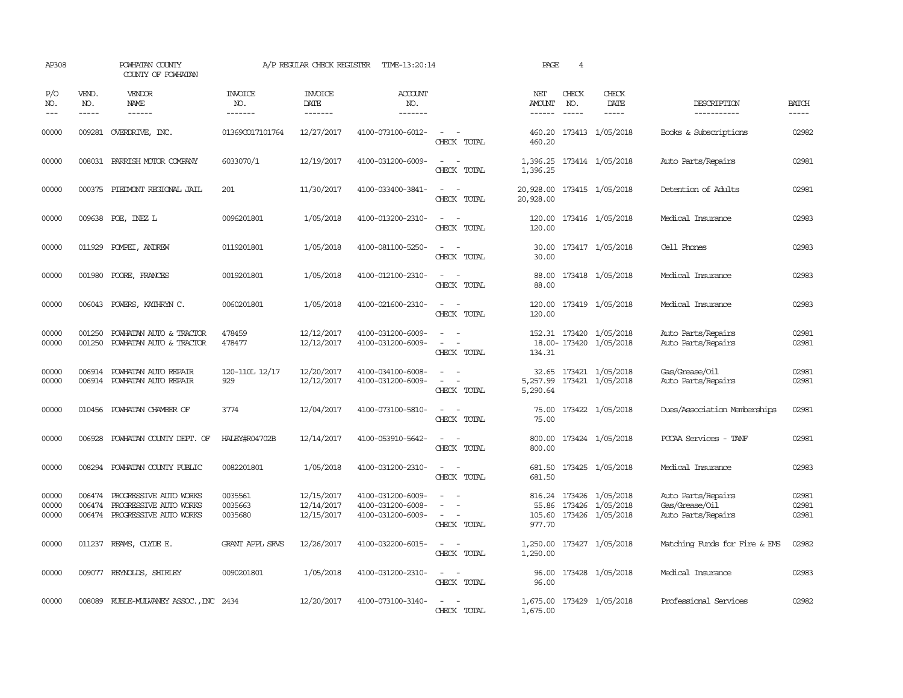| AP308                   |                             | POWHATAN COUNTY<br>COUNTY OF POWHATAN                                      |                                  | A/P REGULAR CHECK REGISTER             | TIME-13:20:14                                               |                                                                                                                                                                                         | PAGE                                    | $\overline{4}$ |                                                     |                                                            |                         |
|-------------------------|-----------------------------|----------------------------------------------------------------------------|----------------------------------|----------------------------------------|-------------------------------------------------------------|-----------------------------------------------------------------------------------------------------------------------------------------------------------------------------------------|-----------------------------------------|----------------|-----------------------------------------------------|------------------------------------------------------------|-------------------------|
| P/O<br>NO.<br>$- - -$   | VEND.<br>NO.<br>$- - - - -$ | <b>VENDOR</b><br>NAME<br>------                                            | <b>INVOICE</b><br>NO.<br>------- | <b>INVOICE</b><br>DATE<br>--------     | <b>ACCOUNT</b><br>NO.<br>-------                            |                                                                                                                                                                                         | NET<br>AMOUNT<br>------                 | CHECK<br>NO.   | CHECK<br>DATE                                       | DESCRIPTION<br>-----------                                 | <b>BATCH</b><br>-----   |
| 00000                   | 009281                      | OVERDRIVE, INC.                                                            | 01369CO17101764                  | 12/27/2017                             | 4100-073100-6012-                                           | $ -$<br>CHECK TOTAL                                                                                                                                                                     | 460.20<br>460.20                        |                | 173413 1/05/2018                                    | Books & Subscriptions                                      | 02982                   |
| 00000                   |                             | 008031 PARRISH MOTOR COMPANY                                               | 6033070/1                        | 12/19/2017                             | 4100-031200-6009-                                           | $\sim$ $\sim$<br>CHECK TOTAL                                                                                                                                                            | 1,396.25                                |                | 1,396.25 173414 1/05/2018                           | Auto Parts/Repairs                                         | 02981                   |
| 00000                   |                             | 000375 PIEDMONT REGIONAL JAIL                                              | 201                              | 11/30/2017                             | 4100-033400-3841-                                           | $\sim$ 100 $\sim$<br>CHECK TOTAL                                                                                                                                                        | 20,928.00 173415 1/05/2018<br>20,928.00 |                |                                                     | Detention of Adults                                        | 02981                   |
| 00000                   |                             | 009638 POE, INEZ L                                                         | 0096201801                       | 1/05/2018                              | 4100-013200-2310-                                           | $ -$<br>CHECK TOTAL                                                                                                                                                                     | 120.00<br>120.00                        |                | 173416 1/05/2018                                    | Medical Insurance                                          | 02983                   |
| 00000                   | 011929                      | POMPEI, ANDREW                                                             | 0119201801                       | 1/05/2018                              | 4100-081100-5250-                                           | $\sim$ $\sim$<br>CHECK TOTAL                                                                                                                                                            | 30.00                                   |                | 30.00 173417 1/05/2018                              | Cell Phones                                                | 02983                   |
| 00000                   | 001980                      | POORE, FRANCES                                                             | 0019201801                       | 1/05/2018                              | 4100-012100-2310-                                           | $\equiv$<br>CHECK TOTAL                                                                                                                                                                 | 88.00<br>88.00                          |                | 173418 1/05/2018                                    | Medical Insurance                                          | 02983                   |
| 00000                   | 006043                      | POWERS, KATHRYN C.                                                         | 0060201801                       | 1/05/2018                              | 4100-021600-2310-                                           | $\equiv$<br>$\sim$<br>CHECK TOTAL                                                                                                                                                       | 120.00<br>120.00                        |                | 173419 1/05/2018                                    | Medical Insurance                                          | 02983                   |
| 00000<br>00000          | 001250<br>001250            | POWHATAN AUTO & TRACTOR<br>POWHATAN AUTO & TRACTOR                         | 478459<br>478477                 | 12/12/2017<br>12/12/2017               | 4100-031200-6009-<br>4100-031200-6009-                      | $\equiv$<br>$\overline{\phantom{a}}$<br>CHECK TOTAL                                                                                                                                     | 134.31                                  |                | 152.31 173420 1/05/2018<br>18.00-173420 1/05/2018   | Auto Parts/Repairs<br>Auto Parts/Repairs                   | 02981<br>02981          |
| 00000<br>00000          |                             | 006914 POWHATAN AUTO REPAIR<br>006914 POWHATAN AUTO REPAIR                 | 120-110L 12/17<br>929            | 12/20/2017<br>12/12/2017               | 4100-034100-6008-<br>4100-031200-6009-                      | $\frac{1}{2} \left( \frac{1}{2} \right) \left( \frac{1}{2} \right) \left( \frac{1}{2} \right) \left( \frac{1}{2} \right)$<br>$\omega_{\rm{max}}$ and $\omega_{\rm{max}}$<br>CHECK TOTAL | 5,290.64                                |                | 32.65 173421 1/05/2018<br>5,257.99 173421 1/05/2018 | Gas/Grease/Oil<br>Auto Parts/Repairs                       | 02981<br>02981          |
| 00000                   | 010456                      | POWHATAN CHAMBER OF                                                        | 3774                             | 12/04/2017                             | 4100-073100-5810-                                           | $\overline{\phantom{a}}$<br>$\sim$<br>CHECK TOTAL                                                                                                                                       | 75.00<br>75.00                          |                | 173422 1/05/2018                                    | Dues/Association Memberships                               | 02981                   |
| 00000                   | 006928                      | POWHATAN COUNTY DEPT. OF                                                   | HALEY#R04702B                    | 12/14/2017                             | 4100-053910-5642-                                           | $\sim$<br>CHECK TOTAL                                                                                                                                                                   | 800.00<br>800.00                        |                | 173424 1/05/2018                                    | PCCAA Services - TANF                                      | 02981                   |
| 00000                   |                             | 008294 POWHATAN COUNTY PUBLIC                                              | 0082201801                       | 1/05/2018                              | 4100-031200-2310-                                           | $\frac{1}{2} \left( \frac{1}{2} \right) \left( \frac{1}{2} \right) \left( \frac{1}{2} \right) \left( \frac{1}{2} \right)$<br>CHECK TOTAL                                                | 681.50<br>681.50                        |                | 173425 1/05/2018                                    | Medical Insurance                                          | 02983                   |
| 00000<br>00000<br>00000 | 006474<br>006474<br>006474  | PROGRESSIVE AUTO WORKS<br>PROGRESSIVE AUTO WORKS<br>PROGRESSIVE AUTO WORKS | 0035561<br>0035663<br>0035680    | 12/15/2017<br>12/14/2017<br>12/15/2017 | 4100-031200-6009-<br>4100-031200-6008-<br>4100-031200-6009- | $\equiv$<br>$\sim$<br>CHECK TOTAL                                                                                                                                                       | 816.24<br>55.86<br>105.60<br>977.70     | 173426         | 173426 1/05/2018<br>1/05/2018<br>173426 1/05/2018   | Auto Parts/Repairs<br>Gas/Grease/Oil<br>Auto Parts/Repairs | 02981<br>02981<br>02981 |
| 00000                   | 011237                      | REAMS, CLYDE E.                                                            | <b>GRANT APPL SRVS</b>           | 12/26/2017                             | 4100-032200-6015-                                           | $\overline{\phantom{a}}$<br>$\sim$<br>CHECK TOTAL                                                                                                                                       | 1,250.00<br>1,250.00                    |                | 173427 1/05/2018                                    | Matching Funds for Fire & EMS                              | 02982                   |
| 00000                   | 009077                      | REYNOLDS, SHIRLEY                                                          | 0090201801                       | 1/05/2018                              | 4100-031200-2310-                                           | $\frac{1}{2} \left( \frac{1}{2} \right) \left( \frac{1}{2} \right) \left( \frac{1}{2} \right) \left( \frac{1}{2} \right)$<br>CHECK TOTAL                                                | 96.00<br>96.00                          |                | 173428 1/05/2018                                    | Medical Insurance                                          | 02983                   |
| 00000                   |                             | 008089 RUBLE-MULVANEY ASSOC., INC 2434                                     |                                  | 12/20/2017                             | 4100-073100-3140-                                           | CHECK TOTAL                                                                                                                                                                             | 1,675.00                                |                | 1,675.00 173429 1/05/2018                           | Professional Services                                      | 02982                   |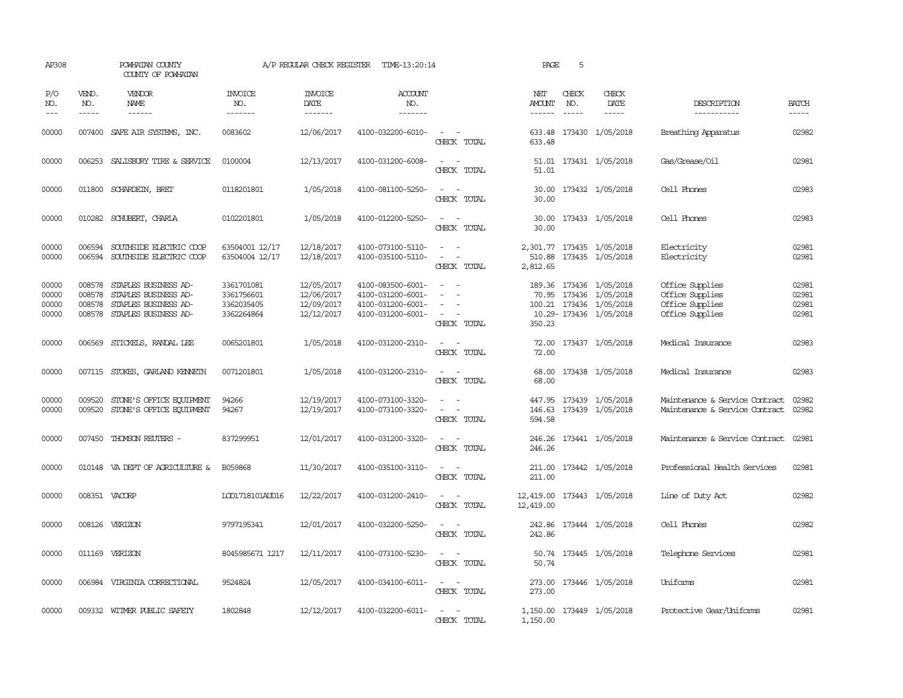| AP308                            |                               | POWHATAN COUNTY<br>COUNTY OF POWHATAN                                                                      |                                                      | A/P REGULAR CHECK REGISTER                           | TIME-13:20:14                                                                    |                                                                                                                             | PAGE                   | 5                             |                                                                                                        |                                                                          |                                  |
|----------------------------------|-------------------------------|------------------------------------------------------------------------------------------------------------|------------------------------------------------------|------------------------------------------------------|----------------------------------------------------------------------------------|-----------------------------------------------------------------------------------------------------------------------------|------------------------|-------------------------------|--------------------------------------------------------------------------------------------------------|--------------------------------------------------------------------------|----------------------------------|
| P/O<br>NO.<br>$---$              | VEND.<br>NO.<br>$\frac{1}{2}$ | <b>VENDOR</b><br>NAME<br>$- - - - - -$                                                                     | <b>INVOICE</b><br>NO.<br>-------                     | <b>INVOICE</b><br>DATE<br>$- - - - - - -$            | ACCOUNT<br>NO.<br>-------                                                        |                                                                                                                             | NET<br>AMOUNT          | CHECK<br>NO.<br>$\frac{1}{2}$ | CHECK<br>DATE<br>$- - - - -$                                                                           | DESCRIPTION<br>-----------                                               | <b>BATCH</b><br>$- - - - -$      |
| 00000                            |                               | 007400 SAFE AIR SYSTEMS, INC.                                                                              | 0083602                                              | 12/06/2017                                           | 4100-032200-6010-                                                                | $\sim$ 100 $\sim$<br>CHECK TOTAL                                                                                            | 633.48                 |                               | 633.48 173430 1/05/2018                                                                                | Breathing Apparatus                                                      | 02982                            |
| 00000                            |                               | 006253 SALISBURY TIRE & SERVICE                                                                            | 0100004                                              | 12/13/2017                                           | 4100-031200-6008-                                                                | $\sim$<br>$\sim$<br>CHECK TOTAL                                                                                             | 51.01                  |                               | 51.01 173431 1/05/2018                                                                                 | Gas/Grease/Oil                                                           | 02981                            |
| 00000                            |                               | 011800 SCHARDEIN, BRET                                                                                     | 0118201801                                           | 1/05/2018                                            | 4100-081100-5250-                                                                | $\sim$<br>$\sim$<br>CHECK TOTAL                                                                                             | 30.00                  |                               | 30.00 173432 1/05/2018                                                                                 | Cell Phones                                                              | 02983                            |
| 00000                            |                               | 010282 SCHUBERT, CHARLA                                                                                    | 0102201801                                           | 1/05/2018                                            | 4100-012200-5250-                                                                | $\sim$<br>CHECK TOTAL                                                                                                       | 30.00                  |                               | 30.00 173433 1/05/2018                                                                                 | Cell Phones                                                              | 02983                            |
| 00000<br>00000                   | 006594<br>006594              | SOUTHSIDE ELECTRIC COOP<br>SOUTHSIDE ELECTRIC COOP                                                         | 63504001 12/17<br>63504004 12/17                     | 12/18/2017<br>12/18/2017                             | 4100-073100-5110-<br>4100-035100-5110-                                           | $\sim$<br>$\sim$<br>CHECK TOTAL                                                                                             | 2,812.65               |                               | 2,301.77 173435 1/05/2018<br>510.88 173435 1/05/2018                                                   | Electricity<br>Electricity                                               | 02981<br>02981                   |
| 00000<br>00000<br>00000<br>00000 | 008578<br>008578              | STAPLES BUSINESS AD-<br>STAPLES BUSINESS AD-<br>008578 STAPLES BUSINESS AD-<br>008578 STAPLES BUSINESS AD- | 3361701081<br>3361756601<br>3362035405<br>3362264864 | 12/05/2017<br>12/06/2017<br>12/09/2017<br>12/12/2017 | 4100-083500-6001-<br>4100-031200-6001-<br>4100-031200-6001-<br>4100-031200-6001- | $\overline{\phantom{a}}$<br>$\equiv$<br>CHECK TOTAL                                                                         | 350.23                 |                               | 189.36 173436 1/05/2018<br>70.95 173436 1/05/2018<br>100.21 173436 1/05/2018<br>10.29-173436 1/05/2018 | Office Supplies<br>Office Supplies<br>Office Supplies<br>Office Supplies | 02981<br>02981<br>02981<br>02981 |
| 00000                            |                               | 006569 STICKELS, RANDAL LEE                                                                                | 0065201801                                           | 1/05/2018                                            | 4100-031200-2310-                                                                | $\frac{1}{2} \left( \frac{1}{2} \right) \left( \frac{1}{2} \right) = \frac{1}{2} \left( \frac{1}{2} \right)$<br>CHECK TOTAL | 72.00                  |                               | 72.00 173437 1/05/2018                                                                                 | Medical Insurance                                                        | 02983                            |
| 00000                            |                               | 007115 STOKES, GARLAND KENNETH                                                                             | 0071201801                                           | 1/05/2018                                            | 4100-031200-2310-                                                                | $\frac{1}{2} \left( \frac{1}{2} \right) \left( \frac{1}{2} \right) = \frac{1}{2} \left( \frac{1}{2} \right)$<br>CHECK TOTAL | 68.00<br>68.00         |                               | 173438 1/05/2018                                                                                       | Medical Insurance                                                        | 02983                            |
| 00000<br>00000                   |                               | 009520 STONE'S OFFICE EQUIPMENT<br>009520 STONE'S OFFICE EQUIPMENT                                         | 94266<br>94267                                       | 12/19/2017<br>12/19/2017                             | 4100-073100-3320-<br>4100-073100-3320-                                           | $\equiv$<br>CHECK TOTAL                                                                                                     | 594.58                 |                               | 447.95 173439 1/05/2018<br>146.63 173439 1/05/2018                                                     | Maintenance & Service Contract<br>Maintenance & Service Contract         | 02982<br>02982                   |
| 00000                            | 007450                        | THOMSON REUTERS -                                                                                          | 837299951                                            | 12/01/2017                                           | 4100-031200-3320-                                                                | $\frac{1}{2} \left( \frac{1}{2} \right) \left( \frac{1}{2} \right) = \frac{1}{2} \left( \frac{1}{2} \right)$<br>CHECK TOTAL | 246.26<br>246.26       |                               | 173441 1/05/2018                                                                                       | Maintenance & Service Contract                                           | 02981                            |
| 00000                            |                               | 010148 VA DEPT OF AGRICULTURE &                                                                            | B059868                                              | 11/30/2017                                           | 4100-035100-3110-                                                                | $\frac{1}{2} \left( \frac{1}{2} \right) \left( \frac{1}{2} \right) = \frac{1}{2} \left( \frac{1}{2} \right)$<br>CHECK TOTAL | 211.00<br>211.00       |                               | 173442 1/05/2018                                                                                       | Professional Health Services                                             | 02981                            |
| 00000                            |                               | 008351 VACORP                                                                                              | LOD1718101AUD16                                      | 12/22/2017                                           | 4100-031200-2410-                                                                | CHECK TOTAL                                                                                                                 | 12,419.00<br>12,419.00 |                               | 173443 1/05/2018                                                                                       | Line of Duty Act                                                         | 02982                            |
| 00000                            |                               | 008126 VERIZON                                                                                             | 9797195341                                           | 12/01/2017                                           | 4100-032200-5250-                                                                | $\overline{\phantom{a}}$<br>CHECK TOTAL                                                                                     | 242.86<br>242.86       |                               | 173444 1/05/2018                                                                                       | Cell Phones                                                              | 02982                            |
| 00000                            |                               | 011169 VERIZON                                                                                             | 8045985671 1217                                      | 12/11/2017                                           | 4100-073100-5230-                                                                | CHECK TOTAL                                                                                                                 | 50.74                  |                               | 50.74 173445 1/05/2018                                                                                 | Telephone Services                                                       | 02981                            |
| 00000                            |                               | 006984 VIRGINIA CORRECTIONAL                                                                               | 9524824                                              | 12/05/2017                                           | 4100-034100-6011-                                                                | $\sim$<br>$\overline{\phantom{a}}$<br>CHECK TOTAL                                                                           | 273.00<br>273.00       |                               | 173446 1/05/2018                                                                                       | Uniforms                                                                 | 02981                            |
| 00000                            |                               | 009332 WITMER PUBLIC SAFETY                                                                                | 1802848                                              | 12/12/2017                                           | 4100-032200-6011-                                                                | $\sim$<br>CHECK TOTAL                                                                                                       | 1,150.00               |                               | 1,150.00 173449 1/05/2018                                                                              | Protective Gear/Uniforms                                                 | 02981                            |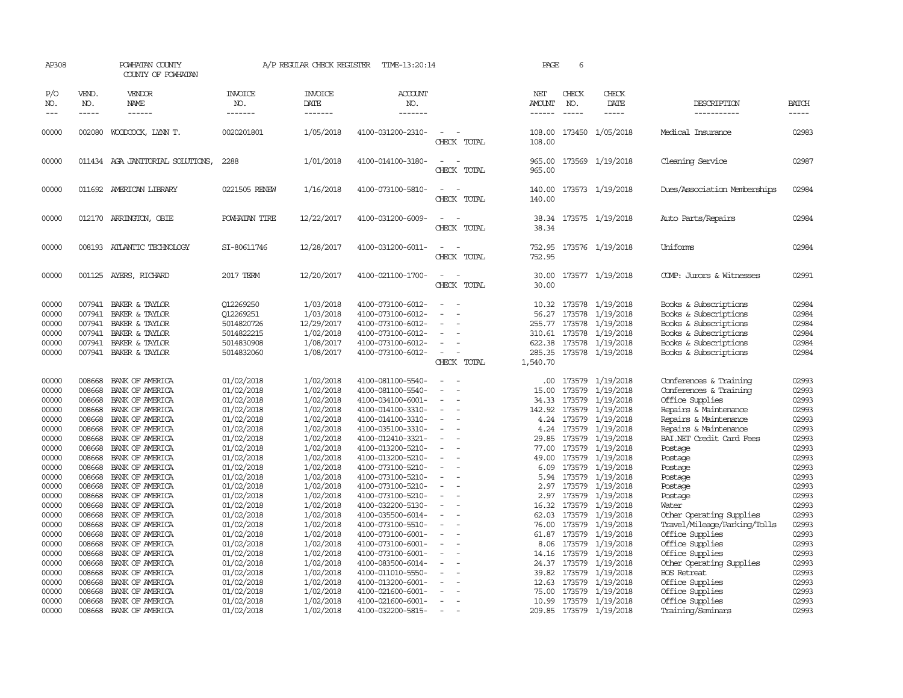| AP308                                              |                                                          | POWHATAN COUNTY<br>COUNTY OF POWHATAN                                                                    |                                                                                | A/P REGULAR CHECK REGISTER                                                  | TIME-13:20:14                                                                                                              |                                                   | PAGE                                                               | 6                                              |                                                                                   |                                                                                                                                                    |                                                    |
|----------------------------------------------------|----------------------------------------------------------|----------------------------------------------------------------------------------------------------------|--------------------------------------------------------------------------------|-----------------------------------------------------------------------------|----------------------------------------------------------------------------------------------------------------------------|---------------------------------------------------|--------------------------------------------------------------------|------------------------------------------------|-----------------------------------------------------------------------------------|----------------------------------------------------------------------------------------------------------------------------------------------------|----------------------------------------------------|
| P/O<br>NO.<br>$---$                                | VEND.<br>NO.<br>$- - - - -$                              | VENDOR<br>NAME<br>$- - - - - -$                                                                          | <b>INVOICE</b><br>NO.<br>-------                                               | <b>INVOICE</b><br>DATE<br>-------                                           | <b>ACCOUNT</b><br>NO.<br>-------                                                                                           |                                                   | NET<br>AMOUNT                                                      | CHECK<br>NO.                                   | CHECK<br>DATE<br>-----                                                            | DESCRIPTION<br>-----------                                                                                                                         | BATCH<br>-----                                     |
| 00000                                              | 002080                                                   | WOODCOCK, LYNN T.                                                                                        | 0020201801                                                                     | 1/05/2018                                                                   | 4100-031200-2310-                                                                                                          | CHECK TOTAL                                       | 108.00<br>108.00                                                   |                                                | 173450 1/05/2018                                                                  | Medical Insurance                                                                                                                                  | 02983                                              |
| 00000                                              |                                                          | 011434 AGA JANITORIAL SOLUTIONS,                                                                         | 2288                                                                           | 1/01/2018                                                                   | 4100-014100-3180-                                                                                                          | $\sim$<br>$\overline{\phantom{a}}$<br>CHECK TOTAL | 965.00<br>965.00                                                   |                                                | 173569 1/19/2018                                                                  | Cleaning Service                                                                                                                                   | 02987                                              |
| 00000                                              |                                                          | 011692 AMERICAN LIBRARY                                                                                  | 0221505 RENEW                                                                  | 1/16/2018                                                                   | 4100-073100-5810-                                                                                                          | $\equiv$<br>CHECK TOTAL                           | 140.00<br>140.00                                                   |                                                | 173573 1/19/2018                                                                  | Dues/Association Memberships                                                                                                                       | 02984                                              |
| 00000                                              |                                                          | 012170 ARRINGTON, OBIE                                                                                   | POWHATAN TIRE                                                                  | 12/22/2017                                                                  | 4100-031200-6009-                                                                                                          | ٠<br>CHECK TOTAL                                  | 38.34                                                              |                                                | 38.34 173575 1/19/2018                                                            | Auto Parts/Repairs                                                                                                                                 | 02984                                              |
| 00000                                              | 008193                                                   | ATLANTIC TECHNOLOGY                                                                                      | SI-80611746                                                                    | 12/28/2017                                                                  | 4100-031200-6011-                                                                                                          | CHECK TOTAL                                       | 752.95<br>752.95                                                   |                                                | 173576 1/19/2018                                                                  | Uniforms                                                                                                                                           | 02984                                              |
| 00000                                              | 001125                                                   | AYERS, RICHARD                                                                                           | 2017 TERM                                                                      | 12/20/2017                                                                  | 4100-021100-1700-                                                                                                          | CHECK TOTAL                                       | 30.00<br>30.00                                                     |                                                | 173577 1/19/2018                                                                  | COMP: Jurors & Witnesses                                                                                                                           | 02991                                              |
| 00000<br>00000<br>00000<br>00000<br>00000<br>00000 | 007941<br>007941<br>007941<br>007941<br>007941<br>007941 | BAKER & TAYLOR<br>BAKER & TAYLOR<br>BAKER & TAYLOR<br>BAKER & TAYLOR<br>BAKER & TAYLOR<br>BAKER & TAYLOR | 012269250<br>012269251<br>5014820726<br>5014822215<br>5014830908<br>5014832060 | 1/03/2018<br>1/03/2018<br>12/29/2017<br>1/02/2018<br>1/08/2017<br>1/08/2017 | 4100-073100-6012-<br>4100-073100-6012-<br>4100-073100-6012-<br>4100-073100-6012-<br>4100-073100-6012-<br>4100-073100-6012- | $\equiv$<br>$\equiv$<br>CHECK TOTAL               | 10.32<br>56.27<br>255.77<br>310.61<br>622.38<br>285.35<br>1,540.70 | 173578<br>173578<br>173578<br>173578<br>173578 | 173578 1/19/2018<br>1/19/2018<br>1/19/2018<br>1/19/2018<br>1/19/2018<br>1/19/2018 | Books & Subscriptions<br>Books & Subscriptions<br>Books & Subscriptions<br>Books & Subscriptions<br>Books & Subscriptions<br>Books & Subscriptions | 02984<br>02984<br>02984<br>02984<br>02984<br>02984 |
| 00000<br>00000<br>00000                            | 008668<br>008668<br>008668                               | BANK OF AMERICA<br>BANK OF AMERICA<br>BANK OF AMERICA                                                    | 01/02/2018<br>01/02/2018<br>01/02/2018                                         | 1/02/2018<br>1/02/2018<br>1/02/2018                                         | 4100-081100-5540-<br>4100-081100-5540-<br>4100-034100-6001-                                                                |                                                   | .00<br>15.00<br>34.33                                              | 173579<br>173579<br>173579                     | 1/19/2018<br>1/19/2018<br>1/19/2018                                               | Conferences & Training<br>Conferences & Training<br>Office Supplies                                                                                | 02993<br>02993<br>02993                            |
| 00000<br>00000<br>00000                            | 008668<br>008668<br>008668                               | BANK OF AMERICA<br>BANK OF AMERICA<br>BANK OF AMERICA                                                    | 01/02/2018<br>01/02/2018<br>01/02/2018                                         | 1/02/2018<br>1/02/2018<br>1/02/2018                                         | 4100-014100-3310-<br>4100-014100-3310-<br>4100-035100-3310-                                                                | $\sim$                                            | 142.92<br>4.24<br>4.24                                             | 173579<br>173579<br>173579                     | 1/19/2018<br>1/19/2018<br>1/19/2018                                               | Repairs & Maintenance<br>Repairs & Maintenance<br>Repairs & Maintenance                                                                            | 02993<br>02993<br>02993                            |
| 00000<br>00000<br>00000                            | 008668<br>008668<br>008668                               | BANK OF AMERICA<br>BANK OF AMERICA<br>BANK OF AMERICA                                                    | 01/02/2018<br>01/02/2018<br>01/02/2018                                         | 1/02/2018<br>1/02/2018<br>1/02/2018                                         | 4100-012410-3321-<br>4100-013200-5210-<br>4100-013200-5210-                                                                |                                                   | 29.85<br>77.00<br>49.00                                            | 173579<br>173579<br>173579                     | 1/19/2018<br>1/19/2018<br>1/19/2018                                               | BAI.NET Credit Card Fees<br>Postage<br>Postage                                                                                                     | 02993<br>02993<br>02993                            |
| 00000<br>00000<br>00000<br>00000                   | 008668<br>008668<br>008668<br>008668                     | BANK OF AMERICA<br>BANK OF AMERICA<br>BANK OF AMERICA<br>BANK OF AMERICA                                 | 01/02/2018<br>01/02/2018<br>01/02/2018<br>01/02/2018                           | 1/02/2018<br>1/02/2018<br>1/02/2018<br>1/02/2018                            | 4100-073100-5210-<br>4100-073100-5210-<br>4100-073100-5210-<br>4100-073100-5210-                                           | ÷.                                                | 6.09<br>5.94<br>2.97<br>2.97                                       | 173579<br>173579<br>173579<br>173579           | 1/19/2018<br>1/19/2018<br>1/19/2018<br>1/19/2018                                  | Postage<br>Postage<br>Postage<br>Postage                                                                                                           | 02993<br>02993<br>02993<br>02993                   |
| 00000<br>00000<br>00000                            | 008668<br>008668<br>008668                               | BANK OF AMERICA<br>BANK OF AMERICA<br>BANK OF AMERICA                                                    | 01/02/2018<br>01/02/2018<br>01/02/2018                                         | 1/02/2018<br>1/02/2018<br>1/02/2018                                         | 4100-032200-5130-<br>4100-035500-6014-<br>4100-073100-5510-                                                                |                                                   | 16.32<br>62.03<br>76.00                                            | 173579<br>173579<br>173579                     | 1/19/2018<br>1/19/2018<br>1/19/2018                                               | Water<br>Other Operating Supplies<br>Travel/Mileage/Parking/Tolls                                                                                  | 02993<br>02993<br>02993                            |
| 00000<br>00000<br>00000                            | 008668<br>008668<br>008668                               | BANK OF AMERICA<br>BANK OF AMERICA<br>BANK OF AMERICA                                                    | 01/02/2018<br>01/02/2018<br>01/02/2018                                         | 1/02/2018<br>1/02/2018<br>1/02/2018                                         | 4100-073100-6001-<br>4100-073100-6001-<br>4100-073100-6001-                                                                | $\overline{\phantom{a}}$                          | 61.87<br>8.06<br>14.16                                             | 173579<br>173579<br>173579                     | 1/19/2018<br>1/19/2018<br>1/19/2018                                               | Office Supplies<br>Office Supplies<br>Office Supplies                                                                                              | 02993<br>02993<br>02993                            |
| 00000<br>00000<br>00000                            | 008668<br>008668<br>008668                               | BANK OF AMERICA<br>BANK OF AMERICA<br>BANK OF AMERICA                                                    | 01/02/2018<br>01/02/2018<br>01/02/2018                                         | 1/02/2018<br>1/02/2018<br>1/02/2018                                         | 4100-083500-6014-<br>4100-011010-5550-<br>4100-013200-6001-                                                                |                                                   | 24.37<br>39.82<br>12.63                                            | 173579<br>173579                               | 173579 1/19/2018<br>1/19/2018<br>1/19/2018                                        | Other Operating Supplies<br><b>BOS</b> Retreat<br>Office Supplies                                                                                  | 02993<br>02993<br>02993                            |
| 00000<br>00000<br>00000                            | 008668<br>008668<br>008668                               | BANK OF AMERICA<br>BANK OF AMERICA<br>BANK OF AMERICA                                                    | 01/02/2018<br>01/02/2018<br>01/02/2018                                         | 1/02/2018<br>1/02/2018<br>1/02/2018                                         | 4100-021600-6001-<br>4100-021600-6001-<br>4100-032200-5815-                                                                |                                                   | 75.00<br>10.99                                                     | 173579<br>173579                               | 1/19/2018<br>1/19/2018<br>209.85 173579 1/19/2018                                 | Office Supplies<br>Office Supplies<br>Training/Seminars                                                                                            | 02993<br>02993<br>02993                            |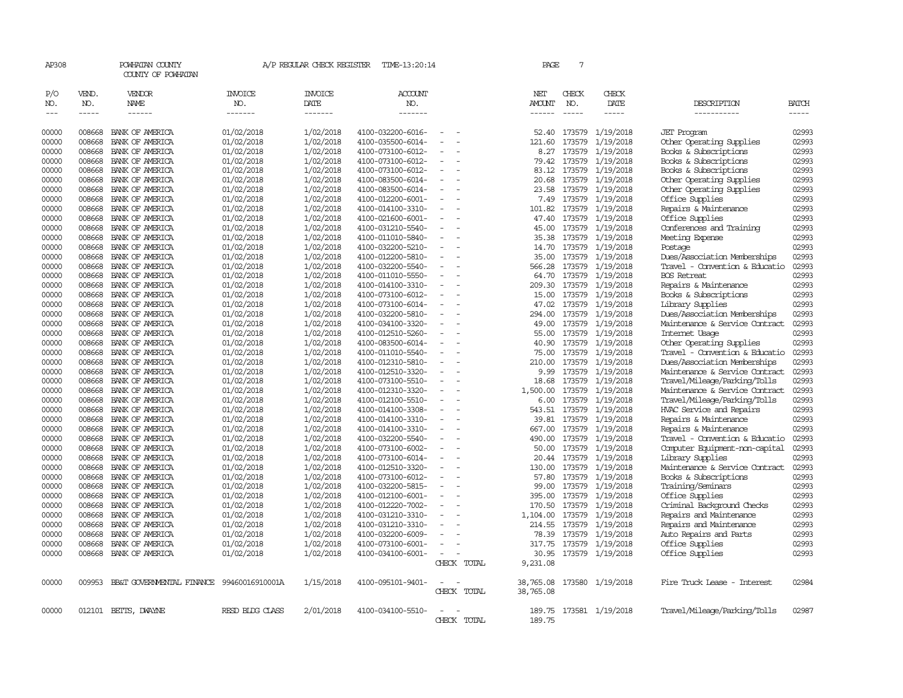| AP308               |                       | POWHATAN COUNTY<br>COUNTY OF POWHATAN     |                           | A/P REGULAR CHECK REGISTER        | TIME-13:20:14                          |                                            |             | PAGE                    | $7\phantom{.0}$ |                               |                                                                |                       |
|---------------------|-----------------------|-------------------------------------------|---------------------------|-----------------------------------|----------------------------------------|--------------------------------------------|-------------|-------------------------|-----------------|-------------------------------|----------------------------------------------------------------|-----------------------|
| P/O<br>NO.<br>$---$ | VEND.<br>NO.<br>----- | VENDOR<br><b>NAME</b><br>$- - - - - -$    | INVOICE<br>NO.<br>------- | <b>INVOICE</b><br>DATE<br>------- | ACCOUNT<br>NO.<br>-------              |                                            |             | NET<br>AMOUNT<br>------ | CHECK<br>NO.    | CHECK<br>DATE<br>$- - - - -$  | DESCRIPTION<br>-----------                                     | <b>BATCH</b><br>----- |
| 00000               | 008668                | BANK OF AMERICA                           | 01/02/2018                | 1/02/2018                         | 4100-032200-6016-                      |                                            |             | 52.40                   |                 | 173579 1/19/2018              | <b>JET</b> Program                                             | 02993                 |
| 00000               | 008668                | BANK OF AMERICA                           | 01/02/2018                | 1/02/2018                         | 4100-035500-6014-                      |                                            |             | 121.60                  | 173579          | 1/19/2018                     | Other Operating Supplies                                       | 02993                 |
| 00000               | 008668                | BANK OF AMERICA                           | 01/02/2018                | 1/02/2018                         | 4100-073100-6012-                      |                                            |             | 8.27                    | 173579          | 1/19/2018                     | Books & Subscriptions                                          | 02993                 |
| 00000               | 008668                | BANK OF AMERICA                           | 01/02/2018                | 1/02/2018                         | 4100-073100-6012-                      | $\overline{\phantom{a}}$                   |             | 79.42                   |                 | 173579 1/19/2018              | Books & Subscriptions                                          | 02993                 |
| 00000               | 008668                | BANK OF AMERICA                           | 01/02/2018                | 1/02/2018                         | 4100-073100-6012-                      |                                            |             | 83.12                   | 173579          | 1/19/2018                     | Books & Subscriptions                                          | 02993                 |
| 00000               | 008668                | BANK OF AMERICA                           | 01/02/2018                | 1/02/2018                         | 4100-083500-6014-                      |                                            |             | 20.68                   |                 | 173579 1/19/2018              | Other Operating Supplies                                       | 02993                 |
| 00000               | 008668                | BANK OF AMERICA                           | 01/02/2018                | 1/02/2018                         | 4100-083500-6014-                      | $\equiv$                                   |             | 23.58                   |                 | 173579 1/19/2018              | Other Operating Supplies                                       | 02993                 |
| 00000               | 008668                | BANK OF AMERICA                           | 01/02/2018                | 1/02/2018                         | 4100-012200-6001-                      |                                            |             | 7.49                    | 173579          | 1/19/2018                     | Office Supplies                                                | 02993                 |
| 00000               | 008668                | BANK OF AMERICA                           | 01/02/2018                | 1/02/2018                         | 4100-014100-3310-                      | $\overline{\phantom{a}}$                   |             | 101.82                  | 173579          | 1/19/2018                     | Repairs & Maintenance                                          | 02993                 |
| 00000               | 008668                | BANK OF AMERICA                           | 01/02/2018                | 1/02/2018                         | 4100-021600-6001-                      |                                            |             | 47.40                   |                 | 173579 1/19/2018              | Office Supplies                                                | 02993                 |
| 00000               | 008668                | BANK OF AMERICA                           | 01/02/2018                | 1/02/2018                         | 4100-031210-5540-                      | $\equiv$                                   |             | 45.00                   |                 | 173579 1/19/2018              | Conferences and Training                                       | 02993                 |
| 00000               | 008668                | BANK OF AMERICA                           | 01/02/2018                | 1/02/2018                         | 4100-011010-5840-                      | $\overline{\phantom{a}}$                   |             | 35.38                   | 173579          | 1/19/2018                     | Meeting Expense                                                | 02993                 |
| 00000               | 008668                | BANK OF AMERICA                           | 01/02/2018                | 1/02/2018                         | 4100-032200-5210-                      |                                            |             | 14.70                   |                 | 173579 1/19/2018              | Postage                                                        | 02993                 |
| 00000               | 008668                | BANK OF AMERICA                           | 01/02/2018                | 1/02/2018                         | 4100-012200-5810-                      |                                            |             | 35.00                   |                 | 173579 1/19/2018              | Dues/Association Memberships                                   | 02993                 |
| 00000               | 008668                | BANK OF AMERICA                           | 01/02/2018                | 1/02/2018                         | 4100-032200-5540-                      | $\overline{\phantom{a}}$                   |             | 566.28                  |                 | 173579 1/19/2018              | Travel - Convention & Educatio                                 | 02993                 |
| 00000               | 008668                | BANK OF AMERICA                           | 01/02/2018                | 1/02/2018                         | 4100-011010-5550-                      |                                            |             | 64.70                   | 173579          | 1/19/2018                     | <b>BOS</b> Retreat                                             | 02993                 |
| 00000               | 008668                | BANK OF AMERICA                           | 01/02/2018                | 1/02/2018                         | 4100-014100-3310-                      |                                            |             | 209.30                  |                 | 173579 1/19/2018              | Repairs & Maintenance                                          | 02993                 |
| 00000               | 008668                | BANK OF AMERICA                           | 01/02/2018                | 1/02/2018                         | 4100-073100-6012-                      | $\equiv$                                   |             | 15.00                   | 173579          | 1/19/2018                     | Books & Subscriptions                                          | 02993                 |
| 00000               | 008668                | BANK OF AMERICA                           | 01/02/2018                | 1/02/2018                         | 4100-073100-6014-                      | $\equiv$                                   |             | 47.02                   | 173579          | 1/19/2018                     | Library Supplies                                               | 02993                 |
| 00000               | 008668                | BANK OF AMERICA                           | 01/02/2018                | 1/02/2018                         | 4100-032200-5810-                      | $\overline{\phantom{a}}$                   |             | 294.00                  | 173579          | 1/19/2018                     | Dues/Association Memberships                                   | 02993                 |
| 00000               | 008668                | BANK OF AMERICA                           | 01/02/2018                | 1/02/2018                         | 4100-034100-3320-                      |                                            |             | 49.00                   |                 | 173579 1/19/2018              | Maintenance & Service Contract                                 | 02993                 |
| 00000               | 008668                | BANK OF AMERICA                           | 01/02/2018                | 1/02/2018                         | 4100-012510-5260-                      | $\overline{\phantom{a}}$                   |             | 55.00                   |                 | 173579 1/19/2018              | Internet Usage                                                 | 02993                 |
| 00000               | 008668                | BANK OF AMERICA                           | 01/02/2018                | 1/02/2018                         | 4100-083500-6014-                      | $\overline{\phantom{a}}$<br>$\overline{a}$ |             | 40.90                   | 173579          | 1/19/2018                     | Other Operating Supplies                                       | 02993                 |
| 00000<br>00000      | 008668<br>008668      | BANK OF AMERICA<br>BANK OF AMERICA        | 01/02/2018                | 1/02/2018<br>1/02/2018            | 4100-011010-5540-<br>4100-012310-5810- |                                            |             | 75.00<br>210.00         | 173579          | 1/19/2018<br>173579 1/19/2018 | Travel - Convention & Educatio<br>Dues/Association Memberships | 02993<br>02993        |
| 00000               | 008668                | BANK OF AMERICA                           | 01/02/2018                | 1/02/2018                         |                                        | $\overline{\phantom{a}}$                   |             | 9.99                    |                 | 173579 1/19/2018              |                                                                | 02993                 |
| 00000               | 008668                | BANK OF AMERICA                           | 01/02/2018<br>01/02/2018  | 1/02/2018                         | 4100-012510-3320-<br>4100-073100-5510- |                                            |             | 18.68                   | 173579          | 1/19/2018                     | Maintenance & Service Contract<br>Travel/Mileage/Parking/Tolls | 02993                 |
| 00000               | 008668                | BANK OF AMERICA                           | 01/02/2018                | 1/02/2018                         | 4100-012310-3320-                      |                                            |             | 1,500.00                |                 | 173579 1/19/2018              | Maintenance & Service Contract                                 | 02993                 |
| 00000               | 008668                | BANK OF AMERICA                           | 01/02/2018                | 1/02/2018                         | 4100-012100-5510-                      | $\overline{\phantom{a}}$                   |             | 6.00                    | 173579          | 1/19/2018                     | Travel/Mileage/Parking/Tolls                                   | 02993                 |
| 00000               | 008668                | BANK OF AMERICA                           | 01/02/2018                | 1/02/2018                         | 4100-014100-3308-                      | $\equiv$                                   |             | 543.51                  | 173579          | 1/19/2018                     | HVAC Service and Repairs                                       | 02993                 |
| 00000               | 008668                | BANK OF AMERICA                           | 01/02/2018                | 1/02/2018                         | 4100-014100-3310-                      | $\equiv$                                   |             | 39.81                   | 173579          | 1/19/2018                     | Repairs & Maintenance                                          | 02993                 |
| 00000               | 008668                | BANK OF AMERICA                           | 01/02/2018                | 1/02/2018                         | 4100-014100-3310-                      |                                            |             | 667.00                  |                 | 173579 1/19/2018              | Repairs & Maintenance                                          | 02993                 |
| 00000               | 008668                | BANK OF AMERICA                           | 01/02/2018                | 1/02/2018                         | 4100-032200-5540-                      | $\overline{\phantom{a}}$                   |             | 490.00                  | 173579          | 1/19/2018                     | Travel - Convention & Educatio                                 | 02993                 |
| 00000               | 008668                | BANK OF AMERICA                           | 01/02/2018                | 1/02/2018                         | 4100-073100-6002-                      |                                            |             | 50.00                   | 173579          | 1/19/2018                     | Computer Equipment-non-capital                                 | 02993                 |
| 00000               | 008668                | BANK OF AMERICA                           | 01/02/2018                | 1/02/2018                         | 4100-073100-6014-                      | $\equiv$                                   |             | 20.44                   | 173579          | 1/19/2018                     | Library Supplies                                               | 02993                 |
| 00000               | 008668                | BANK OF AMERICA                           | 01/02/2018                | 1/02/2018                         | 4100-012510-3320-                      | $\overline{\phantom{a}}$                   |             | 130.00                  |                 | 173579 1/19/2018              | Maintenance & Service Contract                                 | 02993                 |
| 00000               | 008668                | BANK OF AMERICA                           | 01/02/2018                | 1/02/2018                         | 4100-073100-6012-                      | $\equiv$                                   |             | 57.80                   |                 | 173579 1/19/2018              | Books & Subscriptions                                          | 02993                 |
| 00000               | 008668                | BANK OF AMERICA                           | 01/02/2018                | 1/02/2018                         | 4100-032200-5815-                      |                                            |             | 99.00                   | 173579          | 1/19/2018                     | Training/Seminars                                              | 02993                 |
| 00000               | 008668                | BANK OF AMERICA                           | 01/02/2018                | 1/02/2018                         | 4100-012100-6001-                      | $\equiv$                                   |             | 395.00                  |                 | 173579 1/19/2018              | Office Supplies                                                | 02993                 |
| 00000               | 008668                | BANK OF AMERICA                           | 01/02/2018                | 1/02/2018                         | 4100-012220-7002-                      |                                            |             | 170.50                  |                 | 173579 1/19/2018              | Criminal Background Checks                                     | 02993                 |
| 00000               | 008668                | BANK OF AMERICA                           | 01/02/2018                | 1/02/2018                         | 4100-031210-3310-                      | $\overline{\phantom{a}}$                   |             | 1,104.00                | 173579          | 1/19/2018                     | Repairs and Maintenance                                        | 02993                 |
| 00000               | 008668                | BANK OF AMERICA                           | 01/02/2018                | 1/02/2018                         | 4100-031210-3310-                      |                                            |             | 214.55                  | 173579          | 1/19/2018                     | Repairs and Maintenance                                        | 02993                 |
| 00000               | 008668                | BANK OF AMERICA                           | 01/02/2018                | 1/02/2018                         | 4100-032200-6009-                      |                                            |             | 78.39                   |                 | 173579 1/19/2018              | Auto Repairs and Parts                                         | 02993                 |
| 00000               | 008668                | BANK OF AMERICA                           | 01/02/2018                | 1/02/2018                         | 4100-073100-6001-                      | $\equiv$                                   |             | 317.75                  |                 | 173579 1/19/2018              | Office Supplies                                                | 02993                 |
| 00000               | 008668                | BANK OF AMERICA                           | 01/02/2018                | 1/02/2018                         | 4100-034100-6001-                      | $\equiv$                                   |             | 30.95                   |                 | 173579 1/19/2018              | Office Supplies                                                | 02993                 |
|                     |                       |                                           |                           |                                   |                                        |                                            | CHECK TOTAL | 9,231.08                |                 |                               |                                                                |                       |
| 00000               | 009953                | BB&T GOVERNMENTAL FINANCE 99460016910001A |                           | 1/15/2018                         | 4100-095101-9401-                      | $\overline{\phantom{a}}$                   |             | 38,765.08               |                 | 173580 1/19/2018              | Fire Truck Lease - Interest                                    | 02984                 |
|                     |                       |                                           |                           |                                   |                                        |                                            | CHECK TOTAL | 38,765.08               |                 |                               |                                                                |                       |
| 00000               |                       | 012101 BETTS, DWAYNE                      | RESD BIDG CLASS           | 2/01/2018                         | 4100-034100-5510-                      | $\equiv$                                   |             | 189.75                  |                 | 173581 1/19/2018              | Travel/Mileage/Parking/Tolls                                   | 02987                 |
|                     |                       |                                           |                           |                                   |                                        | <b>CHECK</b>                               | TOTAT       | 189.75                  |                 |                               |                                                                |                       |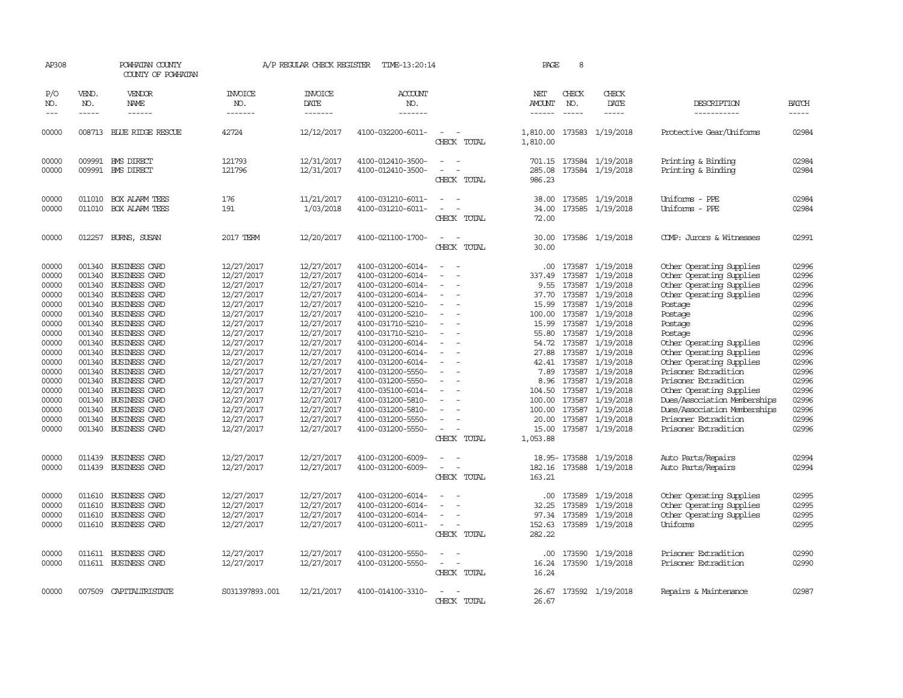| AP308                                                                                                                                                          |                                                                              | POWHATAN COUNTY<br>COUNTY OF POWHATAN                                                                                                                                                                                                                                                                                                                                                                                                 |                                                                                                                                                                                                                                                          | A/P REGULAR CHECK REGISTER                                                                                                                                                                                                                               | TIME-13:20:14                                                                                                                                                                                                                                                                                                                                                                          |                                                                                                                                                             | PAGE                                                                                                                                  | 8                           |                                                                                                                                                                                                                                                                                                                                                                                  |                                                                                                                                                                                                                                                                                                                                                                                                                                          |                                                                                                                                                                |
|----------------------------------------------------------------------------------------------------------------------------------------------------------------|------------------------------------------------------------------------------|---------------------------------------------------------------------------------------------------------------------------------------------------------------------------------------------------------------------------------------------------------------------------------------------------------------------------------------------------------------------------------------------------------------------------------------|----------------------------------------------------------------------------------------------------------------------------------------------------------------------------------------------------------------------------------------------------------|----------------------------------------------------------------------------------------------------------------------------------------------------------------------------------------------------------------------------------------------------------|----------------------------------------------------------------------------------------------------------------------------------------------------------------------------------------------------------------------------------------------------------------------------------------------------------------------------------------------------------------------------------------|-------------------------------------------------------------------------------------------------------------------------------------------------------------|---------------------------------------------------------------------------------------------------------------------------------------|-----------------------------|----------------------------------------------------------------------------------------------------------------------------------------------------------------------------------------------------------------------------------------------------------------------------------------------------------------------------------------------------------------------------------|------------------------------------------------------------------------------------------------------------------------------------------------------------------------------------------------------------------------------------------------------------------------------------------------------------------------------------------------------------------------------------------------------------------------------------------|----------------------------------------------------------------------------------------------------------------------------------------------------------------|
| P/O<br>NO.<br>$---$                                                                                                                                            | VEND.<br>NO.<br>$- - - - -$                                                  | VENDOR<br>NAME<br>$- - - - - -$                                                                                                                                                                                                                                                                                                                                                                                                       | <b>INVOICE</b><br>NO.<br>-------                                                                                                                                                                                                                         | <b>INVOICE</b><br>DATE<br>-------                                                                                                                                                                                                                        | ACCOUNT<br>NO.<br>-------                                                                                                                                                                                                                                                                                                                                                              |                                                                                                                                                             | NET<br><b>AMOUNT</b><br>$- - - - - -$                                                                                                 | CHECK<br>NO.<br>$- - - - -$ | CHECK<br>DATE<br>$- - - - -$                                                                                                                                                                                                                                                                                                                                                     | DESCRIPTION<br>-----------                                                                                                                                                                                                                                                                                                                                                                                                               | <b>BATCH</b><br>-----                                                                                                                                          |
| 00000                                                                                                                                                          |                                                                              | 008713 BLUE RIDGE RESCUE                                                                                                                                                                                                                                                                                                                                                                                                              | 42724                                                                                                                                                                                                                                                    | 12/12/2017                                                                                                                                                                                                                                               | 4100-032200-6011-                                                                                                                                                                                                                                                                                                                                                                      | CHECK TOTAL                                                                                                                                                 | 1,810.00<br>1,810.00                                                                                                                  |                             | 173583 1/19/2018                                                                                                                                                                                                                                                                                                                                                                 | Protective Gear/Uniforms                                                                                                                                                                                                                                                                                                                                                                                                                 | 02984                                                                                                                                                          |
| 00000<br>00000                                                                                                                                                 |                                                                              | 009991 BMS DIRECT<br>009991 BMS DIRECT                                                                                                                                                                                                                                                                                                                                                                                                | 121793<br>121796                                                                                                                                                                                                                                         | 12/31/2017<br>12/31/2017                                                                                                                                                                                                                                 | 4100-012410-3500-<br>4100-012410-3500-                                                                                                                                                                                                                                                                                                                                                 | $\equiv$<br>CHECK TOTAL                                                                                                                                     | 285.08<br>986.23                                                                                                                      |                             | 701.15 173584 1/19/2018<br>173584 1/19/2018                                                                                                                                                                                                                                                                                                                                      | Printing & Binding<br>Printing & Binding                                                                                                                                                                                                                                                                                                                                                                                                 | 02984<br>02984                                                                                                                                                 |
| 00000<br>00000                                                                                                                                                 |                                                                              | 011010 BOX ALARM TEES<br>011010 BOX ALARM TEES                                                                                                                                                                                                                                                                                                                                                                                        | 176<br>191                                                                                                                                                                                                                                               | 11/21/2017<br>1/03/2018                                                                                                                                                                                                                                  | 4100-031210-6011-<br>4100-031210-6011-                                                                                                                                                                                                                                                                                                                                                 | CHECK TOTAL                                                                                                                                                 | 34.00<br>72.00                                                                                                                        |                             | 38.00 173585 1/19/2018<br>173585 1/19/2018                                                                                                                                                                                                                                                                                                                                       | Uniforms - PPE<br>Uniforms - PPE                                                                                                                                                                                                                                                                                                                                                                                                         | 02984<br>02984                                                                                                                                                 |
| 00000                                                                                                                                                          |                                                                              | 012257 BURNS, SUSAN                                                                                                                                                                                                                                                                                                                                                                                                                   | 2017 TERM                                                                                                                                                                                                                                                | 12/20/2017                                                                                                                                                                                                                                               | 4100-021100-1700-                                                                                                                                                                                                                                                                                                                                                                      | $\sim$<br>CHECK TOTAL                                                                                                                                       | 30.00<br>30.00                                                                                                                        |                             | 173586 1/19/2018                                                                                                                                                                                                                                                                                                                                                                 | COMP: Jurors & Witnesses                                                                                                                                                                                                                                                                                                                                                                                                                 | 02991                                                                                                                                                          |
| 00000<br>00000<br>00000<br>00000<br>00000<br>00000<br>00000<br>00000<br>00000<br>00000<br>00000<br>00000<br>00000<br>00000<br>00000<br>00000<br>00000<br>00000 | 001340<br>001340<br>001340<br>001340<br>001340<br>001340<br>001340<br>001340 | <b>BUSINESS CARD</b><br>001340 BUSINESS CARD<br>001340 BUSINESS CARD<br><b>BUSINESS CARD</b><br>001340 BUSINESS CARD<br><b>BUSINESS CARD</b><br><b>BUSINESS CARD</b><br>001340 BUSINESS CARD<br>BUSINESS CARD<br><b>BUSINESS CARD</b><br>001340 BUSINESS CARD<br>001340 BUSINESS CARD<br>001340 BUSINESS CARD<br>001340 BUSINESS CARD<br><b>BUSINESS CARD</b><br>001340 BUSINESS CARD<br><b>BUSINESS CARD</b><br>001340 BUSINESS CARD | 12/27/2017<br>12/27/2017<br>12/27/2017<br>12/27/2017<br>12/27/2017<br>12/27/2017<br>12/27/2017<br>12/27/2017<br>12/27/2017<br>12/27/2017<br>12/27/2017<br>12/27/2017<br>12/27/2017<br>12/27/2017<br>12/27/2017<br>12/27/2017<br>12/27/2017<br>12/27/2017 | 12/27/2017<br>12/27/2017<br>12/27/2017<br>12/27/2017<br>12/27/2017<br>12/27/2017<br>12/27/2017<br>12/27/2017<br>12/27/2017<br>12/27/2017<br>12/27/2017<br>12/27/2017<br>12/27/2017<br>12/27/2017<br>12/27/2017<br>12/27/2017<br>12/27/2017<br>12/27/2017 | 4100-031200-6014-<br>4100-031200-6014-<br>4100-031200-6014-<br>4100-031200-6014-<br>4100-031200-5210-<br>4100-031200-5210-<br>4100-031710-5210-<br>4100-031710-5210-<br>4100-031200-6014-<br>4100-031200-6014-<br>4100-031200-6014-<br>4100-031200-5550-<br>4100-031200-5550-<br>4100-035100-6014-<br>4100-031200-5810-<br>4100-031200-5810-<br>4100-031200-5550-<br>4100-031200-5550- | $\sim$<br>$\overline{\phantom{a}}$<br>$\overline{\phantom{a}}$<br>$\overline{\phantom{a}}$<br>$\overline{\phantom{a}}$<br>$\equiv$<br>$\sim$<br>CHECK TOTAL | .00.<br>337.49<br>9.55<br>37.70<br>15.99<br>100.00<br>15.99<br>54.72<br>27.88<br>7.89<br>8.96<br>100.00<br>20.00<br>15.00<br>1,053.88 | 173587<br>173587            | 173587 1/19/2018<br>173587 1/19/2018<br>173587 1/19/2018<br>173587 1/19/2018<br>173587 1/19/2018<br>1/19/2018<br>173587 1/19/2018<br>55.80 173587 1/19/2018<br>1/19/2018<br>173587 1/19/2018<br>42.41 173587 1/19/2018<br>173587 1/19/2018<br>173587 1/19/2018<br>104.50 173587 1/19/2018<br>173587 1/19/2018<br>100.00 173587 1/19/2018<br>173587 1/19/2018<br>173587 1/19/2018 | Other Operating Supplies<br>Other Operating Supplies<br>Other Operating Supplies<br>Other Operating Supplies<br>Postage<br>Postage<br>Postage<br>Postage<br>Other Operating Supplies<br>Other Operating Supplies<br>Other Operating Supplies<br>Prisoner Extradition<br>Prisoner Extradition<br>Other Operating Supplies<br>Dues/Association Memberships<br>Dues/Association Memberships<br>Prisoner Extradition<br>Prisoner Extradition | 02996<br>02996<br>02996<br>02996<br>02996<br>02996<br>02996<br>02996<br>02996<br>02996<br>02996<br>02996<br>02996<br>02996<br>02996<br>02996<br>02996<br>02996 |
| 00000<br>00000                                                                                                                                                 | 011439                                                                       | <b>BUSINESS CARD</b><br>011439 BUSINESS CARD                                                                                                                                                                                                                                                                                                                                                                                          | 12/27/2017<br>12/27/2017                                                                                                                                                                                                                                 | 12/27/2017<br>12/27/2017                                                                                                                                                                                                                                 | 4100-031200-6009-<br>4100-031200-6009-                                                                                                                                                                                                                                                                                                                                                 | $\equiv$<br>CHECK TOTAL                                                                                                                                     | 163.21                                                                                                                                | 18.95- 173588               | 1/19/2018<br>182.16 173588 1/19/2018                                                                                                                                                                                                                                                                                                                                             | Auto Parts/Repairs<br>Auto Parts/Repairs                                                                                                                                                                                                                                                                                                                                                                                                 | 02994<br>02994                                                                                                                                                 |
| 00000<br>00000<br>00000<br>00000                                                                                                                               | 011610<br>011610                                                             | <b>BUSINESS CARD</b><br><b>BUSINESS CARD</b><br>011610 BUSINESS CARD<br>011610 BUSINESS CARD                                                                                                                                                                                                                                                                                                                                          | 12/27/2017<br>12/27/2017<br>12/27/2017<br>12/27/2017                                                                                                                                                                                                     | 12/27/2017<br>12/27/2017<br>12/27/2017<br>12/27/2017                                                                                                                                                                                                     | 4100-031200-6014-<br>4100-031200-6014-<br>4100-031200-6014-<br>4100-031200-6011-                                                                                                                                                                                                                                                                                                       | CHECK TOTAL                                                                                                                                                 | .00.<br>32.25<br>97.34<br>152.63<br>282.22                                                                                            | 173589<br>173589<br>173589  | 1/19/2018<br>1/19/2018<br>1/19/2018<br>173589 1/19/2018                                                                                                                                                                                                                                                                                                                          | Other Operating Supplies<br>Other Operating Supplies<br>Other Operating Supplies<br>Uniforms                                                                                                                                                                                                                                                                                                                                             | 02995<br>02995<br>02995<br>02995                                                                                                                               |
| 00000<br>00000                                                                                                                                                 |                                                                              | 011611 BUSINESS CARD<br>011611 BUSINESS CARD                                                                                                                                                                                                                                                                                                                                                                                          | 12/27/2017<br>12/27/2017                                                                                                                                                                                                                                 | 12/27/2017<br>12/27/2017                                                                                                                                                                                                                                 | 4100-031200-5550-<br>4100-031200-5550-                                                                                                                                                                                                                                                                                                                                                 | $\sim$ 10 $\sim$<br>CHECK TOTAL                                                                                                                             | $.00 \cdot$<br>16.24                                                                                                                  |                             | 173590 1/19/2018<br>16.24 173590 1/19/2018                                                                                                                                                                                                                                                                                                                                       | Prisoner Extradition<br>Prisoner Extradition                                                                                                                                                                                                                                                                                                                                                                                             | 02990<br>02990                                                                                                                                                 |
| 00000                                                                                                                                                          |                                                                              | 007509 CAPITALIRISTATE                                                                                                                                                                                                                                                                                                                                                                                                                | S031397893.001                                                                                                                                                                                                                                           | 12/21/2017                                                                                                                                                                                                                                               | 4100-014100-3310-                                                                                                                                                                                                                                                                                                                                                                      | $\overline{\phantom{a}}$<br>CHECK TOTAL                                                                                                                     | 26.67                                                                                                                                 |                             | 26.67 173592 1/19/2018                                                                                                                                                                                                                                                                                                                                                           | Repairs & Maintenance                                                                                                                                                                                                                                                                                                                                                                                                                    | 02987                                                                                                                                                          |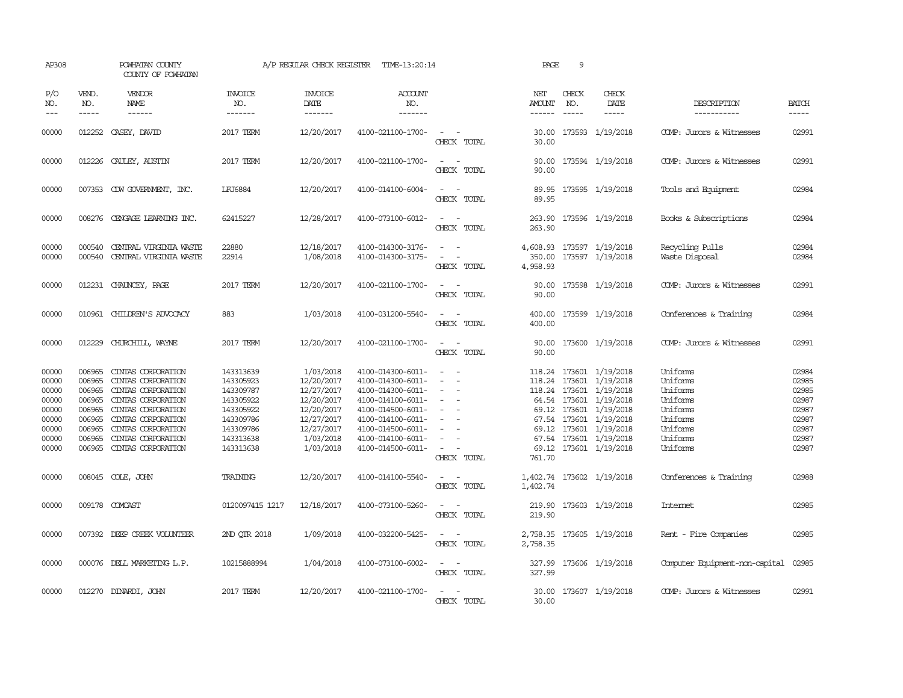| AP308                                                                         |                                                                                        | POWHATAN COUNTY<br>COUNTY OF POWHATAN                                                                                                                                                              |                                                                                                                   | A/P REGULAR CHECK REGISTER                                                                                              | TIME-13:20:14                                                                                                                                                                             |                                                                                                                             | PAGE                    | 9                             |                                                                                                                                                                                                                             |                                                                                                          |                                                                               |
|-------------------------------------------------------------------------------|----------------------------------------------------------------------------------------|----------------------------------------------------------------------------------------------------------------------------------------------------------------------------------------------------|-------------------------------------------------------------------------------------------------------------------|-------------------------------------------------------------------------------------------------------------------------|-------------------------------------------------------------------------------------------------------------------------------------------------------------------------------------------|-----------------------------------------------------------------------------------------------------------------------------|-------------------------|-------------------------------|-----------------------------------------------------------------------------------------------------------------------------------------------------------------------------------------------------------------------------|----------------------------------------------------------------------------------------------------------|-------------------------------------------------------------------------------|
| P/O<br>NO.<br>$\frac{1}{2}$                                                   | VEND.<br>NO.<br>$- - - - -$                                                            | VENDOR<br>NAME<br>$- - - - - -$                                                                                                                                                                    | <b>INVOICE</b><br>NO.<br>-------                                                                                  | <b>INVOICE</b><br>DATE<br>-------                                                                                       | ACCOUNT<br>NO.<br>$- - - - - - -$                                                                                                                                                         |                                                                                                                             | NET<br>AMOUNT<br>------ | CHECK<br>NO.<br>$\frac{1}{2}$ | CHECK<br>DATE<br>$- - - - -$                                                                                                                                                                                                | DESCRIPTION<br>-----------                                                                               | <b>BATCH</b><br>$- - - - -$                                                   |
| 00000                                                                         |                                                                                        | 012252 CASEY, DAVID                                                                                                                                                                                | 2017 TERM                                                                                                         | 12/20/2017                                                                                                              | 4100-021100-1700-                                                                                                                                                                         | CHECK TOTAL                                                                                                                 | 30.00<br>30.00          |                               | 173593 1/19/2018                                                                                                                                                                                                            | COMP: Jurors & Witnesses                                                                                 | 02991                                                                         |
| 00000                                                                         | 012226                                                                                 | CAULEY, AUSTIN                                                                                                                                                                                     | 2017 TERM                                                                                                         | 12/20/2017                                                                                                              | 4100-021100-1700-                                                                                                                                                                         | CHECK TOTAL                                                                                                                 | 90.00<br>90.00          |                               | 173594 1/19/2018                                                                                                                                                                                                            | COMP: Jurors & Witnesses                                                                                 | 02991                                                                         |
| 00000                                                                         |                                                                                        | 007353 CDW GOVERNMENT, INC.                                                                                                                                                                        | LFJ6884                                                                                                           | 12/20/2017                                                                                                              | 4100-014100-6004-                                                                                                                                                                         | $\sim$<br>CHECK TOTAL                                                                                                       | 89.95<br>89.95          |                               | 173595 1/19/2018                                                                                                                                                                                                            | Tools and Equipment                                                                                      | 02984                                                                         |
| 00000                                                                         |                                                                                        | 008276 CENGAGE LEARNING INC.                                                                                                                                                                       | 62415227                                                                                                          | 12/28/2017                                                                                                              | 4100-073100-6012-                                                                                                                                                                         | $\sim$<br>CHECK TOTAL                                                                                                       | 263.90<br>263.90        |                               | 173596 1/19/2018                                                                                                                                                                                                            | Books & Subscriptions                                                                                    | 02984                                                                         |
| 00000<br>00000                                                                | 000540<br>000540                                                                       | CENTRAL VIRGINIA WASTE<br>CENTRAL VIRGINIA WASTE                                                                                                                                                   | 22880<br>22914                                                                                                    | 12/18/2017<br>1/08/2018                                                                                                 | 4100-014300-3176-<br>4100-014300-3175-                                                                                                                                                    | $\sim$<br>$\sim$<br>$\sim$<br>$\sim$<br>CHECK TOTAL                                                                         | 350.00<br>4,958.93      |                               | 4,608.93 173597 1/19/2018<br>173597 1/19/2018                                                                                                                                                                               | Recycling Pulls<br>Waste Disposal                                                                        | 02984<br>02984                                                                |
| 00000                                                                         |                                                                                        | 012231 CHAUNCEY, PAGE                                                                                                                                                                              | 2017 TERM                                                                                                         | 12/20/2017                                                                                                              | 4100-021100-1700-                                                                                                                                                                         | $\overline{\phantom{a}}$<br>CHECK TOTAL                                                                                     | 90.00<br>90.00          |                               | 173598 1/19/2018                                                                                                                                                                                                            | COMP: Jurors & Witnesses                                                                                 | 02991                                                                         |
| 00000                                                                         |                                                                                        | 010961 CHILDREN'S ADVOCACY                                                                                                                                                                         | 883                                                                                                               | 1/03/2018                                                                                                               | 4100-031200-5540-                                                                                                                                                                         | $\sim$<br>CHECK TOTAL                                                                                                       | 400.00<br>400.00        |                               | 173599 1/19/2018                                                                                                                                                                                                            | Conferences & Training                                                                                   | 02984                                                                         |
| 00000                                                                         |                                                                                        | 012229 CHURCHILL, WAYNE                                                                                                                                                                            | 2017 TERM                                                                                                         | 12/20/2017                                                                                                              | 4100-021100-1700-                                                                                                                                                                         | $\sim$<br>$\sim$<br>CHECK TOTAL                                                                                             | 90.00<br>90.00          |                               | 173600 1/19/2018                                                                                                                                                                                                            | COMP: Jurors & Witnesses                                                                                 | 02991                                                                         |
| 00000<br>00000<br>00000<br>00000<br>00000<br>00000<br>00000<br>00000<br>00000 | 006965<br>006965<br>006965<br>006965<br>006965<br>006965<br>006965<br>006965<br>006965 | CINIAS CORPORATION<br>CINIAS CORPORATION<br>CINIAS CORPORATION<br>CINTAS CORPORATION<br>CINIAS CORPORATION<br>CINIAS CORPORATION<br>CINIAS CORPORATION<br>CINIAS CORPORATION<br>CINTAS CORPORATION | 143313639<br>143305923<br>143309787<br>143305922<br>143305922<br>143309786<br>143309786<br>143313638<br>143313638 | 1/03/2018<br>12/20/2017<br>12/27/2017<br>12/20/2017<br>12/20/2017<br>12/27/2017<br>12/27/2017<br>1/03/2018<br>1/03/2018 | 4100-014300-6011-<br>4100-014300-6011-<br>4100-014300-6011-<br>4100-014100-6011-<br>4100-014500-6011-<br>4100-014100-6011-<br>4100-014500-6011-<br>4100-014100-6011-<br>4100-014500-6011- | CHECK TOTAL                                                                                                                 | 118.24<br>761.70        | 173601                        | 1/19/2018<br>118.24 173601 1/19/2018<br>118.24 173601 1/19/2018<br>64.54 173601 1/19/2018<br>69.12 173601 1/19/2018<br>67.54 173601 1/19/2018<br>69.12 173601 1/19/2018<br>67.54 173601 1/19/2018<br>69.12 173601 1/19/2018 | Uniforms<br>Uniforms<br>Uniforms<br>Uniforms<br>Uniforms<br>Uniforms<br>Uniforms<br>Uniforms<br>Uniforms | 02984<br>02985<br>02985<br>02987<br>02987<br>02987<br>02987<br>02987<br>02987 |
| 00000                                                                         |                                                                                        | 008045 COLE, JOHN                                                                                                                                                                                  | TRAINING                                                                                                          | 12/20/2017                                                                                                              | 4100-014100-5540-                                                                                                                                                                         | $\sim$ 100 $\sim$ 100 $\sim$<br>CHECK TOTAL                                                                                 | 1,402.74                |                               | 1,402.74 173602 1/19/2018                                                                                                                                                                                                   | Conferences & Training                                                                                   | 02988                                                                         |
| 00000                                                                         |                                                                                        | 009178 COMCAST                                                                                                                                                                                     | 0120097415 1217                                                                                                   | 12/18/2017                                                                                                              | 4100-073100-5260-                                                                                                                                                                         | $\frac{1}{2} \left( \frac{1}{2} \right) \left( \frac{1}{2} \right) = \frac{1}{2} \left( \frac{1}{2} \right)$<br>CHECK TOTAL | 219.90                  |                               | 219.90 173603 1/19/2018                                                                                                                                                                                                     | Intemet                                                                                                  | 02985                                                                         |
| 00000                                                                         |                                                                                        | 007392 DEEP CREEK VOLUNTEER                                                                                                                                                                        | 2ND OTR 2018                                                                                                      | 1/09/2018                                                                                                               | 4100-032200-5425-                                                                                                                                                                         | CHECK TOTAL                                                                                                                 | 2,758.35                |                               | 2,758.35 173605 1/19/2018                                                                                                                                                                                                   | Rent - Fire Companies                                                                                    | 02985                                                                         |
| 00000                                                                         |                                                                                        | 000076 DELL MARKETING L.P.                                                                                                                                                                         | 10215888994                                                                                                       | 1/04/2018                                                                                                               | 4100-073100-6002-                                                                                                                                                                         | CHECK TOTAL                                                                                                                 | 327.99<br>327.99        |                               | 173606 1/19/2018                                                                                                                                                                                                            | Computer Equipment-non-capital 02985                                                                     |                                                                               |
| 00000                                                                         |                                                                                        | 012270 DINARDI, JOHN                                                                                                                                                                               | 2017 TERM                                                                                                         | 12/20/2017                                                                                                              | 4100-021100-1700-                                                                                                                                                                         | $\sim$<br>CHECK TOTAL                                                                                                       | 30.00<br>30.00          |                               | 173607 1/19/2018                                                                                                                                                                                                            | COMP: Jurors & Witnesses                                                                                 | 02991                                                                         |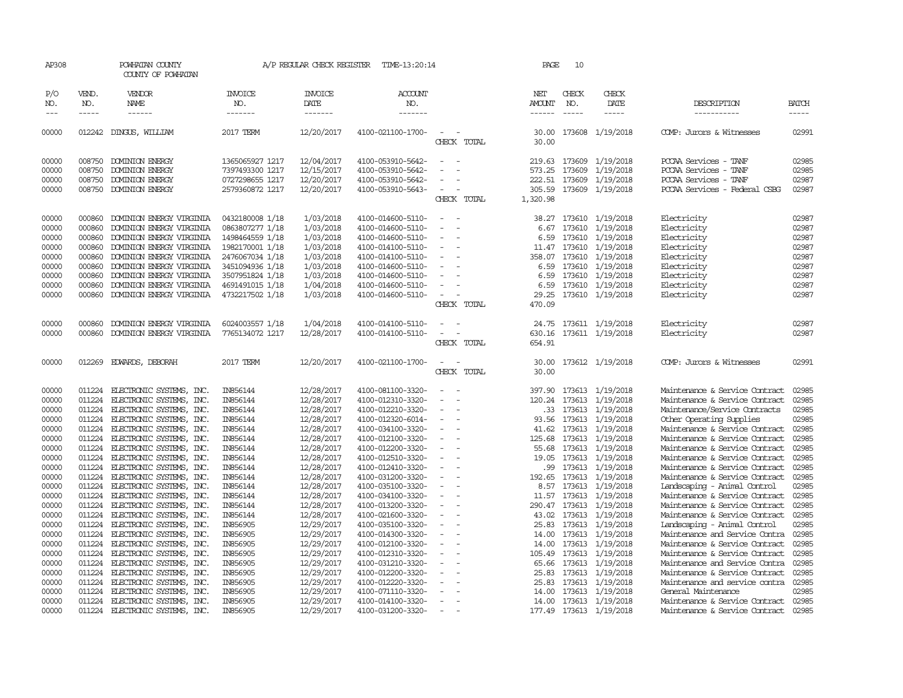| AP308                                                                         |                                                                                        | POWHATAN COUNTY<br>COUNTY OF POWHATAN                                                                                                                                                                                                                    |                                                                                                                                                                         | A/P REGULAR CHECK REGISTER                                                                                        | TIME-13:20:14                                                                                                                                                                             |                                                                                                                                                                                       | PAGE                                                              | 10                                       |                                                                                                                                                                                       |                                                                                                                                     |                                                                               |
|-------------------------------------------------------------------------------|----------------------------------------------------------------------------------------|----------------------------------------------------------------------------------------------------------------------------------------------------------------------------------------------------------------------------------------------------------|-------------------------------------------------------------------------------------------------------------------------------------------------------------------------|-------------------------------------------------------------------------------------------------------------------|-------------------------------------------------------------------------------------------------------------------------------------------------------------------------------------------|---------------------------------------------------------------------------------------------------------------------------------------------------------------------------------------|-------------------------------------------------------------------|------------------------------------------|---------------------------------------------------------------------------------------------------------------------------------------------------------------------------------------|-------------------------------------------------------------------------------------------------------------------------------------|-------------------------------------------------------------------------------|
| P/O<br>NO.                                                                    | VEND.<br>NO.                                                                           | VENDOR<br>NAME                                                                                                                                                                                                                                           | INVOICE<br>NO.                                                                                                                                                          | INVOICE<br>DATE                                                                                                   | ACCOUNT<br>NO.                                                                                                                                                                            |                                                                                                                                                                                       | NET<br>AMOUNT                                                     | CHECK<br>NO.                             | CHECK<br>DATE                                                                                                                                                                         | DESCRIPTION                                                                                                                         | <b>BATCH</b>                                                                  |
| $---$                                                                         | $- - - - -$                                                                            | ------                                                                                                                                                                                                                                                   | -------                                                                                                                                                                 | -------                                                                                                           | -------                                                                                                                                                                                   |                                                                                                                                                                                       | ------                                                            | $- - - - -$                              | -----                                                                                                                                                                                 | -----------                                                                                                                         | -----                                                                         |
| 00000                                                                         |                                                                                        | 012242 DINGUS, WILLIAM                                                                                                                                                                                                                                   | 2017 TERM                                                                                                                                                               | 12/20/2017                                                                                                        | 4100-021100-1700-                                                                                                                                                                         | $\sim$ $-$<br>CHECK TOTAL                                                                                                                                                             | 30.00                                                             |                                          | 30.00 173608 1/19/2018                                                                                                                                                                | COMP: Jurors & Witnesses                                                                                                            | 02991                                                                         |
| 00000<br>00000<br>00000<br>00000                                              | 008750<br>008750<br>008750                                                             | <b>DOMINION ENERGY</b><br>DOMINION ENERGY<br>DOMINION ENERGY<br>008750 DOMINION ENERGY                                                                                                                                                                   | 1365065927 1217<br>7397493300 1217<br>0727298655 1217<br>2579360872 1217                                                                                                | 12/04/2017<br>12/15/2017<br>12/20/2017<br>12/20/2017                                                              | 4100-053910-5642-<br>4100-053910-5642-<br>4100-053910-5642-<br>4100-053910-5643-                                                                                                          | $\overline{\phantom{a}}$<br>$\overline{\phantom{a}}$<br>$\overline{\phantom{a}}$<br>$\sim$ $-$<br>CHECK TOTAL                                                                         | 573.25<br>1,320.98                                                | 219.63 173609<br>173609<br>222.51 173609 | 1/19/2018<br>1/19/2018<br>1/19/2018<br>305.59 173609 1/19/2018                                                                                                                        | PCCAA Services - TANF<br>PCCAA Services - TANF<br>PCCAA Services - TANF<br>PCCAA Services - Federal CSBG                            | 02985<br>02985<br>02987<br>02987                                              |
| 00000<br>00000<br>00000<br>00000<br>00000<br>00000<br>00000<br>00000<br>00000 | 000860<br>000860<br>000860<br>000860<br>000860<br>000860<br>000860<br>000860<br>000860 | DOMINION ENERGY VIRGINIA<br>DOMINION ENERGY VIRGINIA<br>DOMINION ENERGY VIRGINIA<br>DOMINION ENERGY VIRGINIA<br>DOMINION ENERGY VIRGINIA<br>DOMINION ENERGY VIRGINIA<br>DOMINION ENERGY VIRGINIA<br>DOMINION ENERGY VIRGINIA<br>DOMINION ENERGY VIRGINIA | 0432180008 1/18<br>0863807277 1/18<br>1498464559 1/18<br>1982170001 1/18<br>2476067034 1/18<br>3451094936 1/18<br>3507951824 1/18<br>4691491015 1/18<br>4732217502 1/18 | 1/03/2018<br>1/03/2018<br>1/03/2018<br>1/03/2018<br>1/03/2018<br>1/03/2018<br>1/03/2018<br>1/04/2018<br>1/03/2018 | 4100-014600-5110-<br>4100-014600-5110-<br>4100-014600-5110-<br>4100-014100-5110-<br>4100-014100-5110-<br>4100-014600-5110-<br>4100-014600-5110-<br>4100-014600-5110-<br>4100-014600-5110- | $\overline{\phantom{a}}$<br>$\equiv$<br>$\overline{\phantom{a}}$<br>$\sim$<br>$\overline{\phantom{a}}$<br>$\overline{\phantom{a}}$<br>$\equiv$<br>$\equiv$<br>$\equiv$<br>CHECK TOTAL | 6.67<br>6.59<br>358.07<br>6.59<br>6.59<br>6.59<br>29.25<br>470.09 | 173610                                   | 38.27 173610 1/19/2018<br>173610 1/19/2018<br>1/19/2018<br>11.47 173610 1/19/2018<br>173610 1/19/2018<br>173610 1/19/2018<br>173610 1/19/2018<br>173610 1/19/2018<br>173610 1/19/2018 | Electricity<br>Electricity<br>Electricity<br>Electricity<br>Electricity<br>Electricity<br>Electricity<br>Electricity<br>Electricity | 02987<br>02987<br>02987<br>02987<br>02987<br>02987<br>02987<br>02987<br>02987 |
| 00000<br>00000                                                                | 000860<br>000860                                                                       | DOMINION ENERGY VIRGINIA<br>DOMINION ENERGY VIRGINIA                                                                                                                                                                                                     | 6024003557 1/18<br>7765134072 1217                                                                                                                                      | 1/04/2018<br>12/28/2017                                                                                           | 4100-014100-5110-<br>4100-014100-5110-                                                                                                                                                    | $\overline{\phantom{a}}$<br>$\equiv$<br>CHECK TOTAL                                                                                                                                   | 24.75<br>630.16<br>654.91                                         |                                          | 173611 1/19/2018<br>173611 1/19/2018                                                                                                                                                  | Electricity<br>Electricity                                                                                                          | 02987<br>02987                                                                |
| 00000                                                                         | 012269                                                                                 | <b>EDWARDS, DEBORAH</b>                                                                                                                                                                                                                                  | 2017 TERM                                                                                                                                                               | 12/20/2017                                                                                                        | 4100-021100-1700-                                                                                                                                                                         | $\overline{\phantom{a}}$<br>CHECK TOTAL                                                                                                                                               | 30.00<br>30.00                                                    |                                          | 173612 1/19/2018                                                                                                                                                                      | COMP: Jurors & Witnesses                                                                                                            | 02991                                                                         |
| 00000<br>00000<br>00000                                                       | 011224<br>011224<br>011224                                                             | ELECTRONIC SYSTEMS, INC.<br>ELECTRONIC SYSTEMS, INC.<br>ELECTRONIC SYSTEMS, INC.                                                                                                                                                                         | IN856144<br>IN856144<br>IN856144                                                                                                                                        | 12/28/2017<br>12/28/2017<br>12/28/2017                                                                            | 4100-081100-3320-<br>4100-012310-3320-<br>4100-012210-3320-                                                                                                                               | $\equiv$<br>$\equiv$<br>$\overline{\phantom{a}}$                                                                                                                                      | 397.90<br>120.24                                                  |                                          | 173613 1/19/2018<br>173613 1/19/2018<br>.33 173613 1/19/2018                                                                                                                          | Maintenance & Service Contract<br>Maintenance & Service Contract<br>Maintenance/Service Contracts                                   | 02985<br>02985<br>02985                                                       |
| 00000<br>00000                                                                | 011224<br>011224                                                                       | ELECTRONIC SYSTEMS, INC.<br>ELECTRONIC SYSTEMS, INC.                                                                                                                                                                                                     | IN856144<br>IN856144                                                                                                                                                    | 12/28/2017<br>12/28/2017                                                                                          | 4100-012320-6014-<br>4100-034100-3320-                                                                                                                                                    | $\overline{\phantom{a}}$<br>$\overline{\phantom{a}}$                                                                                                                                  | 93.56<br>41.62                                                    |                                          | 173613 1/19/2018<br>173613 1/19/2018                                                                                                                                                  | Other Operating Supplies<br>Maintenance & Service Contract                                                                          | 02985<br>02985                                                                |
| 00000<br>00000<br>00000                                                       | 011224<br>011224<br>011224                                                             | ELECTRONIC SYSTEMS, INC.<br>ELECTRONIC SYSTEMS, INC.<br>ELECTRONIC SYSTEMS, INC.                                                                                                                                                                         | IN856144<br>IN856144<br>IN856144                                                                                                                                        | 12/28/2017<br>12/28/2017<br>12/28/2017                                                                            | 4100-012100-3320-<br>4100-012200-3320-<br>4100-012510-3320-                                                                                                                               | $\overline{\phantom{a}}$<br>$\equiv$<br>$\sim$                                                                                                                                        | 125.68<br>55.68                                                   |                                          | 173613 1/19/2018<br>173613 1/19/2018<br>19.05 173613 1/19/2018                                                                                                                        | Maintenance & Service Contract<br>Maintenance & Service Contract<br>Maintenance & Service Contract                                  | 02985<br>02985<br>02985                                                       |
| 00000<br>00000<br>00000                                                       | 011224<br>011224<br>011224                                                             | ELECTRONIC SYSTEMS, INC.<br>ELECTRONIC SYSTEMS, INC.<br>ELECTRONIC SYSTEMS, INC.                                                                                                                                                                         | IN856144<br>IN856144<br>IN856144                                                                                                                                        | 12/28/2017<br>12/28/2017<br>12/28/2017                                                                            | 4100-012410-3320-<br>4100-031200-3320-<br>4100-035100-3320-                                                                                                                               | $\overline{\phantom{a}}$<br>$\overline{\phantom{a}}$<br>$\sim$                                                                                                                        | .99<br>192.65                                                     |                                          | 173613 1/19/2018<br>173613 1/19/2018<br>8.57 173613 1/19/2018                                                                                                                         | Maintenance & Service Contract<br>Maintenance & Service Contract<br>Landscaping - Animal Control                                    | 02985<br>02985<br>02985                                                       |
| 00000<br>00000<br>00000                                                       | 011224<br>011224<br>011224                                                             | ELECTRONIC SYSTEMS, INC.<br>ELECTRONIC SYSTEMS, INC.<br>ELECTRONIC SYSTEMS, INC.                                                                                                                                                                         | IN856144<br>IN856144<br>IN856144                                                                                                                                        | 12/28/2017<br>12/28/2017<br>12/28/2017                                                                            | 4100-034100-3320-<br>4100-013200-3320-<br>4100-021600-3320-                                                                                                                               | $\overline{\phantom{a}}$<br>$\overline{\phantom{a}}$<br>$\overline{\phantom{a}}$                                                                                                      | 11.57<br>43.02                                                    | 173613                                   | 1/19/2018<br>290.47 173613 1/19/2018<br>173613 1/19/2018                                                                                                                              | Maintenance & Service Contract<br>Maintenance & Service Contract<br>Maintenance & Service Contract                                  | 02985<br>02985<br>02985                                                       |
| 00000<br>00000                                                                | 011224<br>011224                                                                       | ELECTRONIC SYSTEMS, INC.<br>ELECTRONIC SYSTEMS, INC.                                                                                                                                                                                                     | IN856905<br>IN856905                                                                                                                                                    | 12/29/2017<br>12/29/2017                                                                                          | 4100-035100-3320-<br>4100-014300-3320-                                                                                                                                                    | $\overline{\phantom{a}}$<br>$\overline{\phantom{a}}$                                                                                                                                  | 25.83<br>14.00                                                    |                                          | 173613 1/19/2018<br>173613 1/19/2018                                                                                                                                                  | Landscaping - Animal Control<br>Maintenance and Service Contra                                                                      | 02985<br>02985                                                                |
| 00000<br>00000<br>00000                                                       | 011224<br>011224<br>011224                                                             | ELECTRONIC SYSTEMS, INC.<br>ELECTRONIC SYSTEMS, INC.<br>ELECTRONIC SYSTEMS, INC.                                                                                                                                                                         | IN856905<br>IN856905<br>IN856905                                                                                                                                        | 12/29/2017<br>12/29/2017<br>12/29/2017                                                                            | 4100-012100-3320-<br>4100-012310-3320-<br>4100-031210-3320-                                                                                                                               | $\overline{\phantom{a}}$<br>$\sim$<br>$\overline{\phantom{a}}$                                                                                                                        | 14.00<br>65.66                                                    |                                          | 173613 1/19/2018<br>105.49 173613 1/19/2018<br>173613 1/19/2018                                                                                                                       | Maintenance & Service Contract<br>Maintenance & Service Contract<br>Maintenance and Service Contra                                  | 02985<br>02985<br>02985                                                       |
| 00000<br>00000                                                                | 011224<br>011224                                                                       | ELECTRONIC SYSTEMS, INC.<br>ELECTRONIC SYSTEMS, INC.                                                                                                                                                                                                     | IN856905<br>IN856905                                                                                                                                                    | 12/29/2017<br>12/29/2017                                                                                          | 4100-012200-3320-<br>4100-012220-3320-                                                                                                                                                    | $\overline{\phantom{a}}$<br>$\equiv$                                                                                                                                                  | 25.83                                                             |                                          | 25.83 173613 1/19/2018<br>173613 1/19/2018                                                                                                                                            | Maintenance & Service Contract<br>Maintenance and service contra                                                                    | 02985<br>02985                                                                |
| 00000<br>00000<br>00000                                                       | 011224<br>011224<br>011224                                                             | ELECTRONIC SYSTEMS, INC.<br>ELECTRONIC SYSTEMS, INC.<br>ELECTRONIC SYSTEMS, INC.                                                                                                                                                                         | IN856905<br>IN856905<br>IN856905                                                                                                                                        | 12/29/2017<br>12/29/2017<br>12/29/2017                                                                            | 4100-071110-3320-<br>4100-014100-3320-<br>4100-031200-3320-                                                                                                                               | $\sim$<br>$\sim$                                                                                                                                                                      | 14.00                                                             |                                          | 173613 1/19/2018<br>14.00 173613 1/19/2018<br>177.49 173613 1/19/2018                                                                                                                 | General Maintenance<br>Maintenance & Service Contract<br>Maintenance & Service Contract                                             | 02985<br>02985<br>02985                                                       |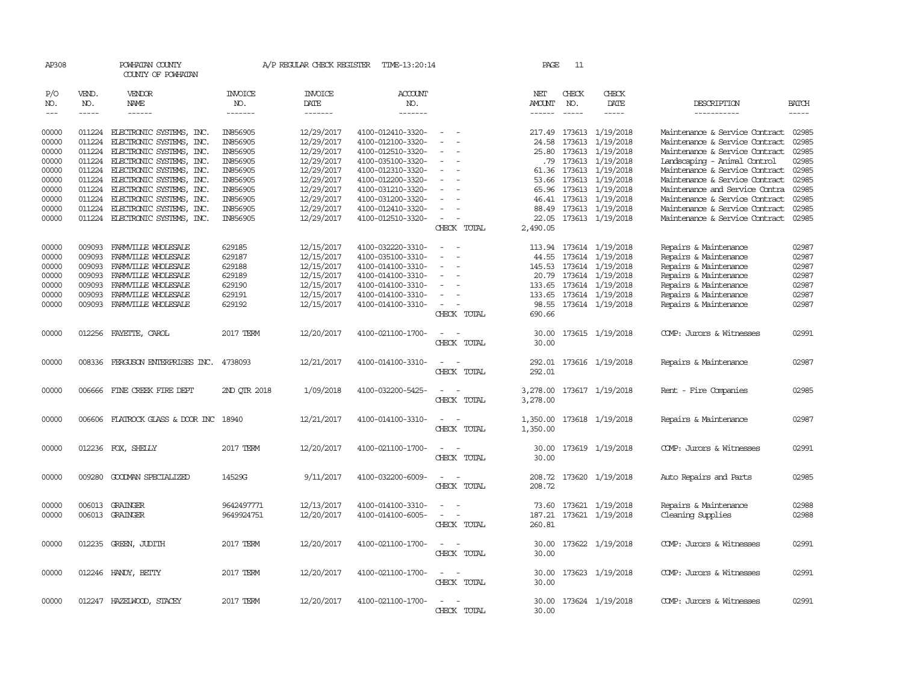| AP308                                                                                  |                                                                                                  | POWHATAN COUNTY<br>COUNTY OF POWHATAN                                                                                                                                                                                                                                                |                                                                                                                      | A/P REGULAR CHECK REGISTER                                                                                                               | TIME-13:20:14                                                                                                                                                                                                  |                                                   | PAGE                                                                              | 11                          |                                                                                                                                                                                                                |                                                                                                                                                                                                                                                                                                                                                |                                                                                        |
|----------------------------------------------------------------------------------------|--------------------------------------------------------------------------------------------------|--------------------------------------------------------------------------------------------------------------------------------------------------------------------------------------------------------------------------------------------------------------------------------------|----------------------------------------------------------------------------------------------------------------------|------------------------------------------------------------------------------------------------------------------------------------------|----------------------------------------------------------------------------------------------------------------------------------------------------------------------------------------------------------------|---------------------------------------------------|-----------------------------------------------------------------------------------|-----------------------------|----------------------------------------------------------------------------------------------------------------------------------------------------------------------------------------------------------------|------------------------------------------------------------------------------------------------------------------------------------------------------------------------------------------------------------------------------------------------------------------------------------------------------------------------------------------------|----------------------------------------------------------------------------------------|
| P/O<br>NO.<br>$\qquad \qquad - -$                                                      | VEND.<br>NO.<br>$- - - - -$                                                                      | VENDOR<br>NAME<br>------                                                                                                                                                                                                                                                             | <b>INVOICE</b><br>NO.<br>-------                                                                                     | <b>INVOICE</b><br>DATE<br>-------                                                                                                        | <b>ACCOUNT</b><br>NO.<br>-------                                                                                                                                                                               |                                                   | NET<br>AMOUNT<br>$- - - - - -$                                                    | CHECK<br>NO.<br>$- - - - -$ | CHECK<br>DATE                                                                                                                                                                                                  | DESCRIPTION<br>-----------                                                                                                                                                                                                                                                                                                                     | BATCH<br>-----                                                                         |
| 00000<br>00000<br>00000<br>00000<br>00000<br>00000<br>00000<br>00000<br>00000<br>00000 | 011224<br>011224<br>011224<br>011224<br>011224<br>011224<br>011224<br>011224<br>011224<br>011224 | ELECTRONIC SYSTEMS, INC.<br>ELECTRONIC SYSTEMS, INC.<br>ELECTRONIC SYSTEMS, INC.<br>ELECTRONIC SYSTEMS, INC.<br>ELECTRONIC SYSTEMS, INC.<br>ELECTRONIC SYSTEMS, INC.<br>ELECTRONIC SYSTEMS, INC.<br>ELECTRONIC SYSTEMS, INC.<br>ELECTRONIC SYSTEMS, INC.<br>ELECTRONIC SYSTEMS, INC. | IN856905<br>IN856905<br>IN856905<br>IN856905<br>IN856905<br>IN856905<br>IN856905<br>IN856905<br>IN856905<br>IN856905 | 12/29/2017<br>12/29/2017<br>12/29/2017<br>12/29/2017<br>12/29/2017<br>12/29/2017<br>12/29/2017<br>12/29/2017<br>12/29/2017<br>12/29/2017 | 4100-012410-3320-<br>4100-012100-3320-<br>4100-012510-3320-<br>4100-035100-3320-<br>4100-012310-3320-<br>4100-012200-3320-<br>4100-031210-3320-<br>4100-031200-3320-<br>4100-012410-3320-<br>4100-012510-3320- | $\overline{\phantom{a}}$<br>CHECK TOTAL           | 217.49<br>24.58<br>25.80<br>53.66<br>65.96<br>46.41<br>88.49<br>22.05<br>2,490.05 |                             | 173613 1/19/2018<br>173613 1/19/2018<br>173613 1/19/2018<br>.79 173613 1/19/2018<br>61.36 173613 1/19/2018<br>173613 1/19/2018<br>173613 1/19/2018<br>173613 1/19/2018<br>173613 1/19/2018<br>173613 1/19/2018 | Maintenance & Service Contract<br>Maintenance & Service Contract<br>Maintenance & Service Contract<br>Landscaping - Animal Control<br>Maintenance & Service Contract<br>Maintenance & Service Contract<br>Maintenance and Service Contra<br>Maintenance & Service Contract<br>Maintenance & Service Contract<br>Maintenance & Service Contract | 02985<br>02985<br>02985<br>02985<br>02985<br>02985<br>02985<br>02985<br>02985<br>02985 |
| 00000<br>00000<br>00000<br>00000<br>00000<br>00000<br>00000                            | 009093<br>009093<br>009093<br>009093<br>009093<br>009093<br>009093                               | FARMVILLE WHOLESALE<br>FARMILLE WHOLESALE<br>FARMVILLE WHOLESALE<br>FARMVILLE WHOLESALE<br>FARMVILLE WHOLESALE<br>FARMVILLE WHOLESALE<br>FARMVILLE WHOLESALE                                                                                                                         | 629185<br>629187<br>629188<br>629189<br>629190<br>629191<br>629192                                                   | 12/15/2017<br>12/15/2017<br>12/15/2017<br>12/15/2017<br>12/15/2017<br>12/15/2017<br>12/15/2017                                           | 4100-032220-3310-<br>4100-035100-3310-<br>4100-014100-3310-<br>4100-014100-3310-<br>4100-014100-3310-<br>4100-014100-3310-<br>4100-014100-3310-                                                                | $\overline{\phantom{a}}$<br>$\sim$<br>CHECK TOTAL | 44.55<br>145.53<br>20.79<br>133.65<br>133.65<br>98.55<br>690.66                   |                             | 113.94 173614 1/19/2018<br>173614 1/19/2018<br>173614 1/19/2018<br>173614 1/19/2018<br>173614 1/19/2018<br>173614 1/19/2018<br>173614 1/19/2018                                                                | Repairs & Maintenance<br>Repairs & Maintenance<br>Repairs & Maintenance<br>Repairs & Maintenance<br>Repairs & Maintenance<br>Repairs & Maintenance<br>Repairs & Maintenance                                                                                                                                                                    | 02987<br>02987<br>02987<br>02987<br>02987<br>02987<br>02987                            |
| 00000                                                                                  |                                                                                                  | 012256 FAYETTE, CAROL                                                                                                                                                                                                                                                                | 2017 TERM                                                                                                            | 12/20/2017                                                                                                                               | 4100-021100-1700-                                                                                                                                                                                              | $\overline{\phantom{a}}$<br>CHECK TOTAL           | 30.00<br>30.00                                                                    |                             | 173615 1/19/2018                                                                                                                                                                                               | COMP: Jurors & Witnesses                                                                                                                                                                                                                                                                                                                       | 02991                                                                                  |
| 00000                                                                                  |                                                                                                  | 008336 FERGUSON ENTERPRISES INC.                                                                                                                                                                                                                                                     | 4738093                                                                                                              | 12/21/2017                                                                                                                               | 4100-014100-3310-                                                                                                                                                                                              | CHECK TOTAL                                       | 292.01<br>292.01                                                                  |                             | 173616 1/19/2018                                                                                                                                                                                               | Repairs & Maintenance                                                                                                                                                                                                                                                                                                                          | 02987                                                                                  |
| 00000                                                                                  |                                                                                                  | 006666 FINE CREEK FIRE DEPT                                                                                                                                                                                                                                                          | 2ND OTR 2018                                                                                                         | 1/09/2018                                                                                                                                | 4100-032200-5425-                                                                                                                                                                                              | CHECK TOTAL                                       | 3,278.00<br>3,278.00                                                              |                             | 173617 1/19/2018                                                                                                                                                                                               | Rent - Fire Companies                                                                                                                                                                                                                                                                                                                          | 02985                                                                                  |
| 00000                                                                                  |                                                                                                  | 006606 FLATROCK GLASS & DOOR INC 18940                                                                                                                                                                                                                                               |                                                                                                                      | 12/21/2017                                                                                                                               | 4100-014100-3310-                                                                                                                                                                                              | CHECK TOTAL                                       | 1,350.00<br>1,350.00                                                              |                             | 173618 1/19/2018                                                                                                                                                                                               | Repairs & Maintenance                                                                                                                                                                                                                                                                                                                          | 02987                                                                                  |
| 00000                                                                                  |                                                                                                  | 012236 FOX, SHELLY                                                                                                                                                                                                                                                                   | 2017 TERM                                                                                                            | 12/20/2017                                                                                                                               | 4100-021100-1700-                                                                                                                                                                                              | CHECK TOTAL                                       | 30.00<br>30.00                                                                    |                             | 173619 1/19/2018                                                                                                                                                                                               | COMP: Jurors & Witnesses                                                                                                                                                                                                                                                                                                                       | 02991                                                                                  |
| 00000                                                                                  | 009280                                                                                           | GOODMAN SPECIALIZED                                                                                                                                                                                                                                                                  | 14529G                                                                                                               | 9/11/2017                                                                                                                                | 4100-032200-6009-                                                                                                                                                                                              | CHECK TOTAL                                       | 208.72                                                                            |                             | 208.72 173620 1/19/2018                                                                                                                                                                                        | Auto Repairs and Parts                                                                                                                                                                                                                                                                                                                         | 02985                                                                                  |
| 00000<br>00000                                                                         |                                                                                                  | 006013 GRAINGER<br>006013 GRAINGER                                                                                                                                                                                                                                                   | 9642497771<br>9649924751                                                                                             | 12/13/2017<br>12/20/2017                                                                                                                 | 4100-014100-3310-<br>4100-014100-6005-                                                                                                                                                                         | CHECK TOTAL                                       | 187.21<br>260.81                                                                  |                             | 73.60 173621 1/19/2018<br>173621 1/19/2018                                                                                                                                                                     | Repairs & Maintenance<br>Cleaning Supplies                                                                                                                                                                                                                                                                                                     | 02988<br>02988                                                                         |
| 00000                                                                                  |                                                                                                  | 012235 GREEN, JUDITH                                                                                                                                                                                                                                                                 | 2017 TERM                                                                                                            | 12/20/2017                                                                                                                               | 4100-021100-1700-                                                                                                                                                                                              | $\sim$<br>CHECK TOTAL                             | 30.00<br>30.00                                                                    |                             | 173622 1/19/2018                                                                                                                                                                                               | COMP: Jurors & Witnesses                                                                                                                                                                                                                                                                                                                       | 02991                                                                                  |
| 00000                                                                                  |                                                                                                  | 012246 HANDY, BETTY                                                                                                                                                                                                                                                                  | 2017 TERM                                                                                                            | 12/20/2017                                                                                                                               | 4100-021100-1700-                                                                                                                                                                                              | CHECK TOTAL                                       | 30.00<br>30.00                                                                    |                             | 173623 1/19/2018                                                                                                                                                                                               | COMP: Jurors & Witnesses                                                                                                                                                                                                                                                                                                                       | 02991                                                                                  |
| 00000                                                                                  |                                                                                                  | 012247 HAZELWOOD, STACEY                                                                                                                                                                                                                                                             | 2017 TERM                                                                                                            | 12/20/2017                                                                                                                               | 4100-021100-1700-                                                                                                                                                                                              | CHECK TOTAL                                       | 30.00<br>30.00                                                                    |                             | 173624 1/19/2018                                                                                                                                                                                               | COMP: Jurors & Witnesses                                                                                                                                                                                                                                                                                                                       | 02991                                                                                  |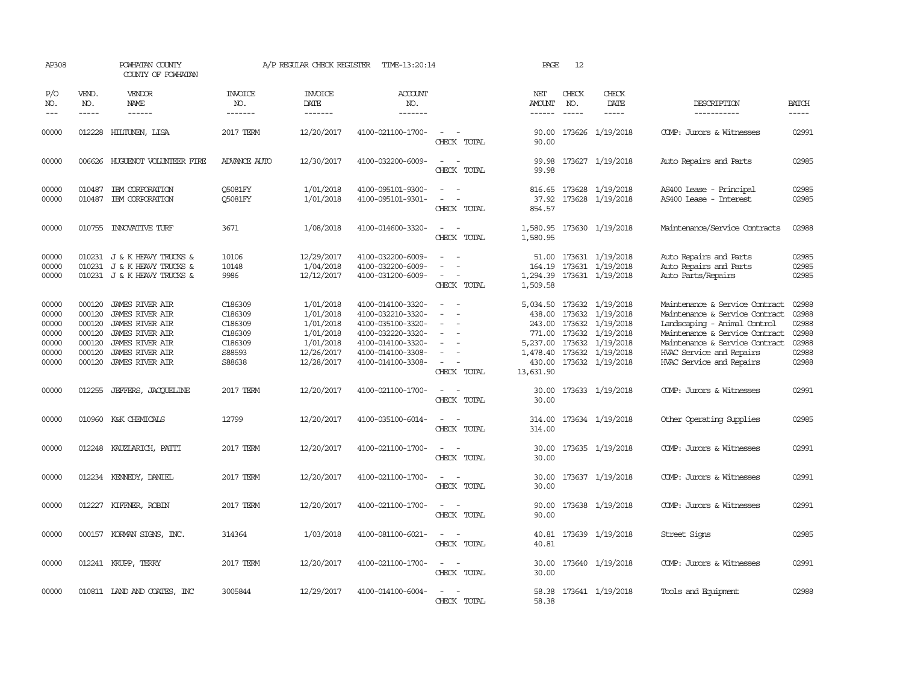| AP308                                                       |                                                | POWHATAN COUNTY<br>COUNTY OF POWHATAN                                                                                                                                       |                                                                         | A/P REGULAR CHECK REGISTER                                                                | TIME-13:20:14                                                                                                                                   |                                                                                                                             | PAGE                                                          | 12                            |                                                                                                                                                            |                                                                                                                                                                                                                              |                                                             |
|-------------------------------------------------------------|------------------------------------------------|-----------------------------------------------------------------------------------------------------------------------------------------------------------------------------|-------------------------------------------------------------------------|-------------------------------------------------------------------------------------------|-------------------------------------------------------------------------------------------------------------------------------------------------|-----------------------------------------------------------------------------------------------------------------------------|---------------------------------------------------------------|-------------------------------|------------------------------------------------------------------------------------------------------------------------------------------------------------|------------------------------------------------------------------------------------------------------------------------------------------------------------------------------------------------------------------------------|-------------------------------------------------------------|
| P/O<br>NO.<br>$---$                                         | VEND.<br>NO.<br>-----                          | VENDOR<br><b>NAME</b><br>$- - - - - -$                                                                                                                                      | <b>INVOICE</b><br>NO.<br>-------                                        | <b>INVOICE</b><br>DATE<br>$- - - - - - -$                                                 | ACCOUNT<br>NO.<br>-------                                                                                                                       |                                                                                                                             | NET<br>AMOUNT                                                 | CHECK<br>NO.<br>$\frac{1}{2}$ | CHECK<br>DATE<br>$- - - - -$                                                                                                                               | DESCRIPTION<br>-----------                                                                                                                                                                                                   | <b>BATCH</b><br>-----                                       |
| 00000                                                       | 012228                                         | HILTUNEN, LISA                                                                                                                                                              | 2017 TERM                                                               | 12/20/2017                                                                                | 4100-021100-1700-                                                                                                                               | CHECK TOTAL                                                                                                                 | 90.00<br>90.00                                                |                               | 173626 1/19/2018                                                                                                                                           | COMP: Jurors & Witnesses                                                                                                                                                                                                     | 02991                                                       |
| 00000                                                       |                                                | 006626 HUGUENOT VOLUNTEER FIRE                                                                                                                                              | <b>ADVANCE AUTO</b>                                                     | 12/30/2017                                                                                | 4100-032200-6009-                                                                                                                               | CHECK TOTAL                                                                                                                 | 99.98<br>99.98                                                |                               | 173627 1/19/2018                                                                                                                                           | Auto Repairs and Parts                                                                                                                                                                                                       | 02985                                                       |
| 00000<br>00000                                              | 010487<br>010487                               | IBM CORPORATION<br>IBM CORPORATION                                                                                                                                          | <b>O5081FY</b><br><b>O5081FY</b>                                        | 1/01/2018<br>1/01/2018                                                                    | 4100-095101-9300-<br>4100-095101-9301-                                                                                                          | $\sim$ $\sim$<br>$\sim$<br>$\overline{\phantom{a}}$<br>CHECK TOTAL                                                          | 816.65<br>37.92<br>854.57                                     |                               | 173628 1/19/2018<br>173628 1/19/2018                                                                                                                       | AS400 Lease - Principal<br>AS400 Lease - Interest                                                                                                                                                                            | 02985<br>02985                                              |
| 00000                                                       |                                                | 010755 INNOVATIVE TURF                                                                                                                                                      | 3671                                                                    | 1/08/2018                                                                                 | 4100-014600-3320-                                                                                                                               | $\sim$<br>$\sim$<br>CHECK TOTAL                                                                                             | 1,580.95                                                      |                               | 1,580.95 173630 1/19/2018                                                                                                                                  | Maintenance/Service Contracts                                                                                                                                                                                                | 02988                                                       |
| 00000<br>00000<br>00000                                     |                                                | 010231 J & K HEAVY TRUCKS &<br>010231 J & K HEAVY TRUCKS &<br>010231 J & K HEAVY TRUCKS &                                                                                   | 10106<br>10148<br>9986                                                  | 12/29/2017<br>1/04/2018<br>12/12/2017                                                     | 4100-032200-6009-<br>4100-032200-6009-<br>4100-031200-6009-                                                                                     | $\overline{\phantom{a}}$<br>CHECK TOTAL                                                                                     | 51.00<br>164.19<br>1,509.58                                   |                               | 173631 1/19/2018<br>173631 1/19/2018<br>1,294.39 173631 1/19/2018                                                                                          | Auto Repairs and Parts<br>Auto Repairs and Parts<br>Auto Parts/Repairs                                                                                                                                                       | 02985<br>02985<br>02985                                     |
| 00000<br>00000<br>00000<br>00000<br>00000<br>00000<br>00000 | 000120<br>000120<br>000120<br>000120<br>000120 | 000120 JAMES RIVER AIR<br><b>JAMES RIVER AIR</b><br><b>JAMES RIVER AIR</b><br>JAMES RIVER AIR<br><b>JAMES RIVER AIR</b><br><b>JAMES RIVER AIR</b><br>000120 JAMES RIVER AIR | C186309<br>C186309<br>C186309<br>C186309<br>C186309<br>S88593<br>S88638 | 1/01/2018<br>1/01/2018<br>1/01/2018<br>1/01/2018<br>1/01/2018<br>12/26/2017<br>12/28/2017 | 4100-014100-3320-<br>4100-032210-3320-<br>4100-035100-3320-<br>4100-032220-3320-<br>4100-014100-3320-<br>4100-014100-3308-<br>4100-014100-3308- | $\sim$<br>$\sim$<br>$\equiv$<br>$\overline{\phantom{a}}$<br>CHECK TOTAL                                                     | 438.00<br>243.00<br>771.00<br>5,237.00<br>430.00<br>13,631.90 |                               | 5,034.50 173632 1/19/2018<br>173632 1/19/2018<br>173632 1/19/2018<br>173632 1/19/2018<br>173632 1/19/2018<br>1,478.40 173632 1/19/2018<br>173632 1/19/2018 | Maintenance & Service Contract<br>Maintenance & Service Contract<br>Landscaping - Animal Control<br>Maintenance & Service Contract<br>Maintenance & Service Contract<br>HVAC Service and Repairs<br>HVAC Service and Repairs | 02988<br>02988<br>02988<br>02988<br>02988<br>02988<br>02988 |
| 00000                                                       | 012255                                         | JEFFERS, JACOUELINE                                                                                                                                                         | 2017 TERM                                                               | 12/20/2017                                                                                | 4100-021100-1700-                                                                                                                               | $\sim$<br>CHECK TOTAL                                                                                                       | 30.00<br>30.00                                                |                               | 173633 1/19/2018                                                                                                                                           | COMP: Jurors & Witnesses                                                                                                                                                                                                     | 02991                                                       |
| 00000                                                       |                                                | 010960 K&K CHEMICALS                                                                                                                                                        | 12799                                                                   | 12/20/2017                                                                                | 4100-035100-6014-                                                                                                                               | $\sim$ $ \sim$<br>CHECK TOTAL                                                                                               | 314.00<br>314.00                                              |                               | 173634 1/19/2018                                                                                                                                           | Other Operating Supplies                                                                                                                                                                                                     | 02985                                                       |
| 00000                                                       |                                                | 012248 KAUZLARICH, PATTI                                                                                                                                                    | 2017 TERM                                                               | 12/20/2017                                                                                | 4100-021100-1700-                                                                                                                               | $\sim$<br>CHECK TOTAL                                                                                                       | 30.00<br>30.00                                                |                               | 173635 1/19/2018                                                                                                                                           | COMP: Jurors & Witnesses                                                                                                                                                                                                     | 02991                                                       |
| 00000                                                       |                                                | 012234 KENNEDY, DANIEL                                                                                                                                                      | 2017 TERM                                                               | 12/20/2017                                                                                | 4100-021100-1700-                                                                                                                               | $\sim$<br>CHECK TOTAL                                                                                                       | 30.00<br>30.00                                                |                               | 173637 1/19/2018                                                                                                                                           | COMP: Jurors & Witnesses                                                                                                                                                                                                     | 02991                                                       |
| 00000                                                       |                                                | 012227 KIFFNER, ROBIN                                                                                                                                                       | 2017 TERM                                                               | 12/20/2017                                                                                | 4100-021100-1700-                                                                                                                               | $\frac{1}{2} \left( \frac{1}{2} \right) \left( \frac{1}{2} \right) = \frac{1}{2} \left( \frac{1}{2} \right)$<br>CHECK TOTAL | 90.00<br>90.00                                                |                               | 173638 1/19/2018                                                                                                                                           | COMP: Jurors & Witnesses                                                                                                                                                                                                     | 02991                                                       |
| 00000                                                       |                                                | 000157 KORMAN SIGNS, INC.                                                                                                                                                   | 314364                                                                  | 1/03/2018                                                                                 | 4100-081100-6021-                                                                                                                               | $\sim$<br>CHECK TOTAL                                                                                                       | 40.81                                                         |                               | 40.81 173639 1/19/2018                                                                                                                                     | Street Signs                                                                                                                                                                                                                 | 02985                                                       |
| 00000                                                       |                                                | 012241 KRUPP, TERRY                                                                                                                                                         | 2017 TERM                                                               | 12/20/2017                                                                                | 4100-021100-1700-                                                                                                                               | CHECK TOTAL                                                                                                                 | 30.00<br>30.00                                                |                               | 173640 1/19/2018                                                                                                                                           | COMP: Jurors & Witnesses                                                                                                                                                                                                     | 02991                                                       |
| 00000                                                       |                                                | 010811 IAND AND COATES, INC                                                                                                                                                 | 3005844                                                                 | 12/29/2017                                                                                | 4100-014100-6004-                                                                                                                               | CHECK TOTAL                                                                                                                 | 58.38<br>58.38                                                |                               | 173641 1/19/2018                                                                                                                                           | Tools and Equipment                                                                                                                                                                                                          | 02988                                                       |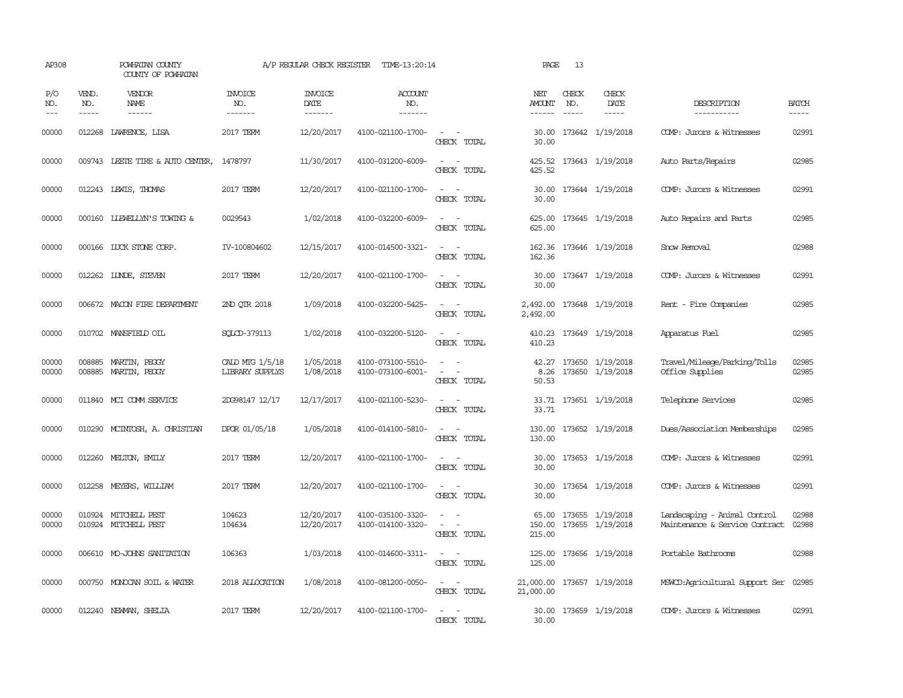| AP308               |                             | POWHATAN COUNTY<br>COUNTY OF POWHATAN        |                                           | A/P REGULAR CHECK REGISTER                | TIME-13:20:14                          |                                                                                                                             | PAGE                      | 13                            |                                            |                                                                |                             |
|---------------------|-----------------------------|----------------------------------------------|-------------------------------------------|-------------------------------------------|----------------------------------------|-----------------------------------------------------------------------------------------------------------------------------|---------------------------|-------------------------------|--------------------------------------------|----------------------------------------------------------------|-----------------------------|
| P/O<br>NO.<br>$---$ | VEND.<br>NO.<br>$- - - - -$ | VENDOR<br>NAME<br>$- - - - - -$              | <b>INVOICE</b><br>NO.<br>-------          | <b>INVOICE</b><br>DATE<br>$- - - - - - -$ | <b>ACCOUNT</b><br>NO.<br>-------       |                                                                                                                             | NET<br>AMOUNT<br>------   | CHECK<br>NO.<br>$\frac{1}{2}$ | CHECK<br>DATE<br>$- - - - -$               | DESCRIPTION<br>-----------                                     | <b>BATCH</b><br>$- - - - -$ |
| 00000               | 012268                      | LAWRENCE, LISA                               | 2017 TERM                                 | 12/20/2017                                | 4100-021100-1700-                      | $\sim$ $ \sim$<br>CHECK TOTAL                                                                                               | 30.00<br>30.00            |                               | 173642 1/19/2018                           | COMP: Jurors & Witnesses                                       | 02991                       |
| 00000               |                             | 009743 LEETE TIRE & AUTO CENTER,             | 1478797                                   | 11/30/2017                                | 4100-031200-6009-                      | $\overline{\phantom{a}}$<br>CHECK TOTAL                                                                                     | 425.52<br>425.52          |                               | 173643 1/19/2018                           | Auto Parts/Repairs                                             | 02985                       |
| 00000               |                             | 012243 LEWIS, THOMAS                         | 2017 TERM                                 | 12/20/2017                                | 4100-021100-1700-                      | $\sim$ $\sim$<br>CHECK TOTAL                                                                                                | 30.00<br>30.00            |                               | 173644 1/19/2018                           | COMP: Jurors & Witnesses                                       | 02991                       |
| 00000               |                             | 000160 LLEWELLYN'S TOWING &                  | 0029543                                   | 1/02/2018                                 | 4100-032200-6009-                      | $\sim$<br>$\sim$<br>CHECK TOTAL                                                                                             | 625.00<br>625.00          |                               | 173645 1/19/2018                           | Auto Repairs and Parts                                         | 02985                       |
| 00000               |                             | 000166 LUCK STONE CORP.                      | IV-100804602                              | 12/15/2017                                | 4100-014500-3321-                      | $\sim$<br>CHECK TOTAL                                                                                                       | 162.36<br>162.36          |                               | 173646 1/19/2018                           | Show Removal                                                   | 02988                       |
| 00000               |                             | 012262 LUNDE, STEVEN                         | 2017 TERM                                 | 12/20/2017                                | 4100-021100-1700-                      | $\overline{\phantom{a}}$<br>CHECK TOTAL                                                                                     | 30.00<br>30.00            |                               | 173647 1/19/2018                           | COMP: Jurors & Witnesses                                       | 02991                       |
| 00000               |                             | 006672 MACON FIRE DEPARTMENT                 | 2ND OTR 2018                              | 1/09/2018                                 | 4100-032200-5425-                      | CHECK TOTAL                                                                                                                 | 2,492.00<br>2,492.00      |                               | 173648 1/19/2018                           | Rent - Fire Companies                                          | 02985                       |
| 00000               |                             | 010702 MANSFIELD OIL                         | SOLCD-379113                              | 1/02/2018                                 | 4100-032200-5120-                      | $\sim$ 100 $\sim$<br>CHECK TOTAL                                                                                            | 410.23<br>410.23          |                               | 173649 1/19/2018                           | Apparatus Fuel                                                 | 02985                       |
| 00000<br>00000      |                             | 008885 MARTIN, PEGGY<br>008885 MARTIN, PEGGY | CALD MTG 1/5/18<br><b>LIBRARY SUPPLYS</b> | 1/05/2018<br>1/08/2018                    | 4100-073100-5510-<br>4100-073100-6001- | $\sim$<br>$\overline{\phantom{a}}$<br>CHECK TOTAL                                                                           | 8.26<br>50.53             |                               | 42.27 173650 1/19/2018<br>173650 1/19/2018 | Travel/Mileage/Parking/Tolls<br>Office Supplies                | 02985<br>02985              |
| 00000               |                             | 011840 MCI COMM SERVICE                      | 2DG98147 12/17                            | 12/17/2017                                | 4100-021100-5230-                      | $\sim$ 100 $\sim$<br>CHECK TOTAL                                                                                            | 33.71                     |                               | 33.71 173651 1/19/2018                     | Telephone Services                                             | 02985                       |
| 00000               |                             | 010290 MCINTOSH, A. CHRISTIAN                | DPOR 01/05/18                             | 1/05/2018                                 | 4100-014100-5810-                      | $\sim$<br>$\sim$<br>CHECK TOTAL                                                                                             | 130.00<br>130.00          |                               | 173652 1/19/2018                           | Dues/Association Memberships                                   | 02985                       |
| 00000               |                             | 012260 MELTON, EMILY                         | 2017 TERM                                 | 12/20/2017                                | 4100-021100-1700-                      | $\sim$<br>$\sim$<br>CHECK TOTAL                                                                                             | 30.00<br>30.00            |                               | 173653 1/19/2018                           | COMP: Jurors & Witnesses                                       | 02991                       |
| 00000               |                             | 012258 MEYERS, WILLIAM                       | 2017 TERM                                 | 12/20/2017                                | 4100-021100-1700-                      | $\overline{\phantom{a}}$<br>$\sim$<br>CHECK TOTAL                                                                           | 30.00<br>30.00            |                               | 173654 1/19/2018                           | COMP: Jurors & Witnesses                                       | 02991                       |
| 00000<br>00000      |                             | 010924 MITCHELL PEST<br>010924 MITCHELL PEST | 104623<br>104634                          | 12/20/2017<br>12/20/2017                  | 4100-035100-3320-<br>4100-014100-3320- | $\equiv$<br>CHECK TOTAL                                                                                                     | 65.00<br>150.00<br>215.00 |                               | 173655 1/19/2018<br>173655 1/19/2018       | Landscaping - Animal Control<br>Maintenance & Service Contract | 02988<br>02988              |
| 00000               |                             | 006610 MO-JOHNS SANITATION                   | 106363                                    | 1/03/2018                                 | 4100-014600-3311-                      | $\frac{1}{2} \left( \frac{1}{2} \right) \left( \frac{1}{2} \right) = \frac{1}{2} \left( \frac{1}{2} \right)$<br>CHECK TOTAL | 125.00<br>125.00          |                               | 173656 1/19/2018                           | Portable Bathrooms                                             | 02988                       |
| 00000               |                             | 000750 MONOCAN SOIL & WATER                  | 2018 ALLOCATION                           | 1/08/2018                                 | 4100-081200-0050-                      | $\frac{1}{2} \left( \frac{1}{2} \right) \left( \frac{1}{2} \right) = \frac{1}{2} \left( \frac{1}{2} \right)$<br>CHECK TOTAL | 21,000.00<br>21,000.00    |                               | 173657 1/19/2018                           | MSWCD:Agricultural Support Ser                                 | 02985                       |
| 00000               |                             | 012240 NEWMAN, SHELIA                        | 2017 TERM                                 | 12/20/2017                                | 4100-021100-1700-                      | $\sim$<br>CHECK TOTAL                                                                                                       | 30.00<br>30.00            |                               | 173659 1/19/2018                           | COMP: Jurors & Witnesses                                       | 02991                       |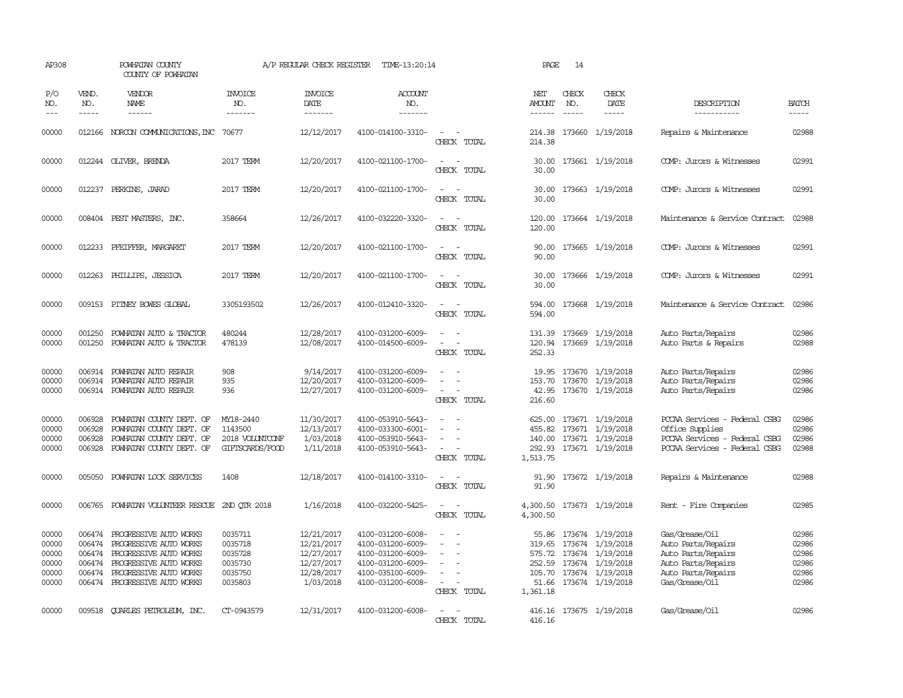| AP308                                                       |                                                                                                                                                                                                                                                                                                                                                                                                                                                                                                     | POWHATAN COUNTY<br>COUNTY OF POWHATAN                                                                                                                                                             |                                                                              | A/P REGULAR CHECK REGISTER                                                                    | TIME-13:20:14                                                                                                                                   |                                                   | PAGE                                            | 14                                                                                                                                                                                                                                                                                                                                                                                                                                                                                         |                                                                                                                                                       |                                                                                                                                            |                                                             |
|-------------------------------------------------------------|-----------------------------------------------------------------------------------------------------------------------------------------------------------------------------------------------------------------------------------------------------------------------------------------------------------------------------------------------------------------------------------------------------------------------------------------------------------------------------------------------------|---------------------------------------------------------------------------------------------------------------------------------------------------------------------------------------------------|------------------------------------------------------------------------------|-----------------------------------------------------------------------------------------------|-------------------------------------------------------------------------------------------------------------------------------------------------|---------------------------------------------------|-------------------------------------------------|--------------------------------------------------------------------------------------------------------------------------------------------------------------------------------------------------------------------------------------------------------------------------------------------------------------------------------------------------------------------------------------------------------------------------------------------------------------------------------------------|-------------------------------------------------------------------------------------------------------------------------------------------------------|--------------------------------------------------------------------------------------------------------------------------------------------|-------------------------------------------------------------|
| P/O<br>NO.<br>$\qquad \qquad - -$                           | VEND.<br>NO.<br>$\begin{tabular}{ccccc} \multicolumn{2}{c}{} & \multicolumn{2}{c}{} & \multicolumn{2}{c}{} & \multicolumn{2}{c}{} & \multicolumn{2}{c}{} & \multicolumn{2}{c}{} & \multicolumn{2}{c}{} & \multicolumn{2}{c}{} & \multicolumn{2}{c}{} & \multicolumn{2}{c}{} & \multicolumn{2}{c}{} & \multicolumn{2}{c}{} & \multicolumn{2}{c}{} & \multicolumn{2}{c}{} & \multicolumn{2}{c}{} & \multicolumn{2}{c}{} & \multicolumn{2}{c}{} & \multicolumn{2}{c}{} & \multicolumn{2}{c}{} & \mult$ | VENDOR<br>NAME<br>------                                                                                                                                                                          | <b>INVOICE</b><br>NO.<br>-------                                             | <b>INVOICE</b><br>DATE<br>-------                                                             | <b>ACCOUNT</b><br>NO.<br>-------                                                                                                                |                                                   | NET<br><b>AMOUNT</b>                            | CHECK<br>NO.<br>$\frac{1}{2} \left( \frac{1}{2} \right) \left( \frac{1}{2} \right) \left( \frac{1}{2} \right) \left( \frac{1}{2} \right) \left( \frac{1}{2} \right) \left( \frac{1}{2} \right) \left( \frac{1}{2} \right) \left( \frac{1}{2} \right) \left( \frac{1}{2} \right) \left( \frac{1}{2} \right) \left( \frac{1}{2} \right) \left( \frac{1}{2} \right) \left( \frac{1}{2} \right) \left( \frac{1}{2} \right) \left( \frac{1}{2} \right) \left( \frac{1}{2} \right) \left( \frac$ | CHECK<br>DATE<br>-----                                                                                                                                | DESCRIPTION<br>-----------                                                                                                                 | <b>BATCH</b><br>-----                                       |
| 00000                                                       |                                                                                                                                                                                                                                                                                                                                                                                                                                                                                                     | 012166 NORCON COMMUNICATIONS, INC 70677                                                                                                                                                           |                                                                              | 12/12/2017                                                                                    | 4100-014100-3310-                                                                                                                               | CHECK TOTAL                                       | 214.38                                          |                                                                                                                                                                                                                                                                                                                                                                                                                                                                                            | 214.38 173660 1/19/2018                                                                                                                               | Repairs & Maintenance                                                                                                                      | 02988                                                       |
| 00000                                                       |                                                                                                                                                                                                                                                                                                                                                                                                                                                                                                     | 012244 OLIVER, BRENDA                                                                                                                                                                             | 2017 TERM                                                                    | 12/20/2017                                                                                    | 4100-021100-1700-                                                                                                                               | $\sim$ $\sim$<br>CHECK TOTAL                      | 30.00<br>30.00                                  |                                                                                                                                                                                                                                                                                                                                                                                                                                                                                            | 173661 1/19/2018                                                                                                                                      | COMP: Jurors & Witnesses                                                                                                                   | 02991                                                       |
| 00000                                                       | 012237                                                                                                                                                                                                                                                                                                                                                                                                                                                                                              | PERKINS, JARAD                                                                                                                                                                                    | 2017 TERM                                                                    | 12/20/2017                                                                                    | 4100-021100-1700-                                                                                                                               | $\sim$<br>CHECK TOTAL                             | 30.00<br>30.00                                  |                                                                                                                                                                                                                                                                                                                                                                                                                                                                                            | 173663 1/19/2018                                                                                                                                      | COMP: Jurors & Witnesses                                                                                                                   | 02991                                                       |
| 00000                                                       | 008404                                                                                                                                                                                                                                                                                                                                                                                                                                                                                              | PEST MASTERS, INC.                                                                                                                                                                                | 358664                                                                       | 12/26/2017                                                                                    | 4100-032220-3320-                                                                                                                               | CHECK TOTAL                                       | 120.00<br>120.00                                |                                                                                                                                                                                                                                                                                                                                                                                                                                                                                            | 173664 1/19/2018                                                                                                                                      | Maintenance & Service Contract                                                                                                             | 02988                                                       |
| 00000                                                       | 012233                                                                                                                                                                                                                                                                                                                                                                                                                                                                                              | PFEIFFER, MARGARET                                                                                                                                                                                | 2017 TERM                                                                    | 12/20/2017                                                                                    | 4100-021100-1700-                                                                                                                               | CHECK TOTAL                                       | 90.00<br>90.00                                  |                                                                                                                                                                                                                                                                                                                                                                                                                                                                                            | 173665 1/19/2018                                                                                                                                      | COMP: Jurors & Witnesses                                                                                                                   | 02991                                                       |
| 00000                                                       | 012263                                                                                                                                                                                                                                                                                                                                                                                                                                                                                              | PHILLIPS, JESSICA                                                                                                                                                                                 | 2017 TERM                                                                    | 12/20/2017                                                                                    | 4100-021100-1700-                                                                                                                               | CHECK TOTAL                                       | 30.00<br>30.00                                  |                                                                                                                                                                                                                                                                                                                                                                                                                                                                                            | 173666 1/19/2018                                                                                                                                      | COMP: Jurors & Witnesses                                                                                                                   | 02991                                                       |
| 00000                                                       | 009153                                                                                                                                                                                                                                                                                                                                                                                                                                                                                              | PITNEY BOWES GLOBAL                                                                                                                                                                               | 3305193502                                                                   | 12/26/2017                                                                                    | 4100-012410-3320-                                                                                                                               | CHECK TOTAL                                       | 594.00<br>594.00                                |                                                                                                                                                                                                                                                                                                                                                                                                                                                                                            | 173668 1/19/2018                                                                                                                                      | Maintenance & Service Contract                                                                                                             | 02986                                                       |
| 00000<br>00000                                              | 001250<br>001250                                                                                                                                                                                                                                                                                                                                                                                                                                                                                    | POWHATAN AUTO & TRACTOR<br>POWHATAN AUTO & TRACTOR                                                                                                                                                | 480244<br>478139                                                             | 12/28/2017<br>12/08/2017                                                                      | 4100-031200-6009-<br>4100-014500-6009-                                                                                                          | $\overline{\phantom{a}}$<br>$\sim$<br>CHECK TOTAL | 252.33                                          |                                                                                                                                                                                                                                                                                                                                                                                                                                                                                            | 131.39 173669 1/19/2018<br>120.94 173669 1/19/2018                                                                                                    | Auto Parts/Repairs<br>Auto Parts & Repairs                                                                                                 | 02986<br>02988                                              |
| 00000<br>00000<br>00000                                     | 006914<br>006914<br>006914                                                                                                                                                                                                                                                                                                                                                                                                                                                                          | POWHATAN AUTO REPAIR<br>POWHATAN AUTO REPAIR<br>POWHATAN AUTO REPAIR                                                                                                                              | 908<br>935<br>936                                                            | 9/14/2017<br>12/20/2017<br>12/27/2017                                                         | 4100-031200-6009-<br>4100-031200-6009-<br>4100-031200-6009-                                                                                     | $\sim$<br>CHECK TOTAL                             | 19.95<br>153.70<br>42.95<br>216.60              |                                                                                                                                                                                                                                                                                                                                                                                                                                                                                            | 173670 1/19/2018<br>173670 1/19/2018<br>173670 1/19/2018                                                                                              | Auto Parts/Repairs<br>Auto Parts/Repairs<br>Auto Parts/Repairs                                                                             | 02986<br>02986<br>02986                                     |
| 00000<br>00000<br>00000<br>00000                            | 006928<br>006928<br>006928<br>006928                                                                                                                                                                                                                                                                                                                                                                                                                                                                | POWHATAN COUNTY DEPT. OF<br>POWHATAN COUNTY DEPT. OF<br>POWHATAN COUNTY DEPT. OF<br>POWHATAN COUNTY DEPT. OF                                                                                      | MY18-2440<br>1143500<br>2018 VOLUNICONF<br>GIFTSCARDS/FOOD                   | 11/30/2017<br>12/13/2017<br>1/03/2018<br>1/11/2018                                            | 4100-053910-5643-<br>4100-033300-6001-<br>4100-053910-5643-<br>4100-053910-5643-                                                                | $\equiv$<br>CHECK TOTAL                           | 455.82<br>1,513.75                              |                                                                                                                                                                                                                                                                                                                                                                                                                                                                                            | 625.00 173671 1/19/2018<br>173671 1/19/2018<br>140.00 173671 1/19/2018<br>292.93 173671 1/19/2018                                                     | PCCAA Services - Federal CSBG<br>Office Supplies<br>PCCAA Services - Federal CSBG<br>PCCAA Services - Federal CSBG                         | 02986<br>02986<br>02986<br>02988                            |
| 00000                                                       | 005050                                                                                                                                                                                                                                                                                                                                                                                                                                                                                              | POWHATAN LOCK SERVICES                                                                                                                                                                            | 1408                                                                         | 12/18/2017                                                                                    | 4100-014100-3310-                                                                                                                               | $\sim$<br>$\overline{\phantom{a}}$<br>CHECK TOTAL | 91.90<br>91.90                                  |                                                                                                                                                                                                                                                                                                                                                                                                                                                                                            | 173672 1/19/2018                                                                                                                                      | Repairs & Maintenance                                                                                                                      | 02988                                                       |
| 00000                                                       | 006765                                                                                                                                                                                                                                                                                                                                                                                                                                                                                              | POWHATAN VOLUNTEER RESCUE                                                                                                                                                                         | 2ND OTR 2018                                                                 | 1/16/2018                                                                                     | 4100-032200-5425-                                                                                                                               | CHECK TOTAL                                       | 4,300.50<br>4,300.50                            |                                                                                                                                                                                                                                                                                                                                                                                                                                                                                            | 173673 1/19/2018                                                                                                                                      | Rent - Fire Companies                                                                                                                      | 02985                                                       |
| 00000<br>00000<br>00000<br>00000<br>00000<br>00000<br>00000 | 006474<br>006474<br>006474<br>006474<br>006474                                                                                                                                                                                                                                                                                                                                                                                                                                                      | PROGRESSIVE AUTO WORKS<br>PROGRESSIVE AUTO WORKS<br>PROGRESSIVE AUTO WORKS<br>PROGRESSIVE AUTO WORKS<br>PROGRESSIVE AUTO WORKS<br>006474 PROGRESSIVE AUTO WORKS<br><b>OUARLES PETROLEUM, INC.</b> | 0035711<br>0035718<br>0035728<br>0035730<br>0035750<br>0035803<br>CT-0943579 | 12/21/2017<br>12/21/2017<br>12/27/2017<br>12/27/2017<br>12/28/2017<br>1/03/2018<br>12/31/2017 | 4100-031200-6008-<br>4100-031200-6009-<br>4100-031200-6009-<br>4100-031200-6009-<br>4100-035100-6009-<br>4100-031200-6008-<br>4100-031200-6008- | $\overline{\phantom{a}}$<br>$\sim$<br>CHECK TOTAL | 55.86<br>575.72<br>252.59<br>105.70<br>1,361.18 |                                                                                                                                                                                                                                                                                                                                                                                                                                                                                            | 173674 1/19/2018<br>319.65 173674 1/19/2018<br>173674 1/19/2018<br>173674 1/19/2018<br>173674 1/19/2018<br>51.66 173674 1/19/2018<br>173675 1/19/2018 | Gas/Grease/Oil<br>Auto Parts/Repairs<br>Auto Parts/Repairs<br>Auto Parts/Repairs<br>Auto Parts/Repairs<br>Gas/Grease/Oil<br>Gas/Grease/Oil | 02986<br>02986<br>02986<br>02986<br>02986<br>02986<br>02986 |
|                                                             | 009518                                                                                                                                                                                                                                                                                                                                                                                                                                                                                              |                                                                                                                                                                                                   |                                                                              |                                                                                               |                                                                                                                                                 | CHECK TOTAL                                       | 416.16<br>416.16                                |                                                                                                                                                                                                                                                                                                                                                                                                                                                                                            |                                                                                                                                                       |                                                                                                                                            |                                                             |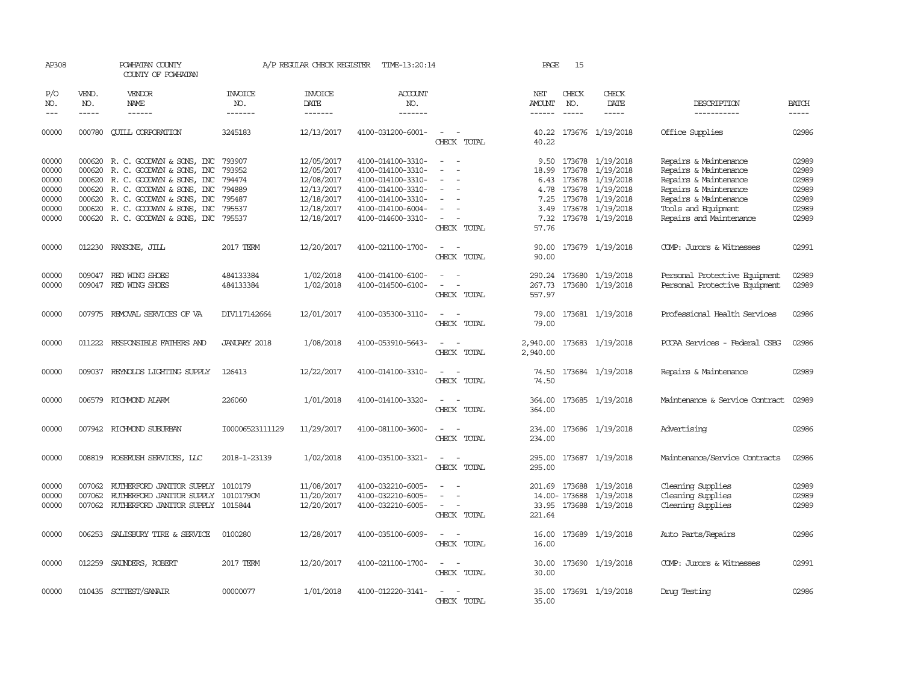| AP308               |                             | POWHATAN COUNTY<br>COUNTY OF POWHATAN    |                                  | A/P REGULAR CHECK REGISTER                | TIME-13:20:14                    |                                         | PAGE                                  | 15                            |                              |                                |                             |
|---------------------|-----------------------------|------------------------------------------|----------------------------------|-------------------------------------------|----------------------------------|-----------------------------------------|---------------------------------------|-------------------------------|------------------------------|--------------------------------|-----------------------------|
| P/O<br>NO.<br>$---$ | VEND.<br>NO.<br>$- - - - -$ | VENDOR<br><b>NAME</b><br>$- - - - - -$   | <b>INVOICE</b><br>NO.<br>------- | <b>INVOICE</b><br>DATE<br>$- - - - - - -$ | <b>ACCOUNT</b><br>NO.<br>------- |                                         | NET<br><b>AMOUNT</b><br>$- - - - - -$ | CHECK<br>NO.<br>$\frac{1}{2}$ | CHECK<br>DATE<br>$- - - - -$ | DESCRIPTION<br>-----------     | <b>BATCH</b><br>$- - - - -$ |
| 00000               |                             | 000780 CUILL CORPORATION                 | 3245183                          | 12/13/2017                                | 4100-031200-6001-                | CHECK TOTAL                             | 40.22                                 |                               | 40.22 173676 1/19/2018       | Office Supplies                | 02986                       |
| 00000               |                             | 000620 R. C. GOODWYN & SONS, INC         | 793907                           | 12/05/2017                                | 4100-014100-3310-                | $\overline{a}$                          |                                       |                               | 9.50 173678 1/19/2018        | Repairs & Maintenance          | 02989                       |
| 00000               |                             | 000620 R.C. GOODWYN & SONS, INC          | 793952                           | 12/05/2017                                | 4100-014100-3310-                |                                         |                                       | 18.99 173678                  | 1/19/2018                    | Repairs & Maintenance          | 02989                       |
| 00000               |                             | 000620 R. C. GOODWYN & SONS, INC         | 794474                           | 12/08/2017                                | 4100-014100-3310-                | $\sim$<br>$\overline{\phantom{a}}$      |                                       |                               | 6.43 173678 1/19/2018        | Repairs & Maintenance          | 02989                       |
| 00000               |                             | 000620 R. C. GOODWYN & SONS, INC         | 794889                           | 12/13/2017                                | 4100-014100-3310-                | $\overline{\phantom{a}}$                | 4.78                                  | 173678                        | 1/19/2018                    | Repairs & Maintenance          | 02989                       |
| 00000               |                             | 000620 R. C. GOODWIN & SONS, INC         | 795487                           | 12/18/2017                                | 4100-014100-3310-                |                                         | 7.25                                  | 173678                        | 1/19/2018                    | Repairs & Maintenance          | 02989                       |
| 00000               |                             | 000620 R. C. GOODWYN & SONS, INC         | 795537                           | 12/18/2017                                | 4100-014100-6004-                | $\overline{\phantom{a}}$                | 3.49                                  |                               | 173678 1/19/2018             | Tools and Equipment            | 02989                       |
| 00000               |                             | 000620 R.C. GOODWYN & SONS, INC          | 795537                           | 12/18/2017                                | 4100-014600-3310-                | $\sim$                                  | 7.32                                  |                               | 173678 1/19/2018             | Repairs and Maintenance        | 02989                       |
|                     |                             |                                          |                                  |                                           |                                  | CHECK TOTAL                             | 57.76                                 |                               |                              |                                |                             |
| 00000               |                             | 012230 RANSONE, JILL                     | 2017 TERM                        | 12/20/2017                                | 4100-021100-1700-                | $\sim$<br>$\sim$<br>CHECK TOTAL         | 90.00<br>90.00                        |                               | 173679 1/19/2018             | COMP: Jurors & Witnesses       | 02991                       |
| 00000               |                             | 009047 RED WING SHOES                    | 484133384                        | 1/02/2018                                 |                                  | $\sim$<br>$\sim$                        |                                       |                               |                              |                                | 02989                       |
|                     |                             |                                          |                                  |                                           | 4100-014100-6100-                |                                         |                                       | 290.24 173680                 | 1/19/2018                    | Personal Protective Equipment  |                             |
| 00000               |                             | 009047 RED WING SHOES                    | 484133384                        | 1/02/2018                                 | 4100-014500-6100-                | $\sim$<br>$\sim$                        |                                       |                               | 267.73 173680 1/19/2018      | Personal Protective Equipment  | 02989                       |
|                     |                             |                                          |                                  |                                           |                                  | CHECK TOTAL                             | 557.97                                |                               |                              |                                |                             |
| 00000               |                             | 007975 REMOVAL SERVICES OF VA            | DIV117142664                     | 12/01/2017                                | 4100-035300-3110-                | $\overline{\phantom{a}}$                | 79.00                                 |                               | 173681 1/19/2018             | Professional Health Services   | 02986                       |
|                     |                             |                                          |                                  |                                           |                                  | CHECK TOTAL                             | 79.00                                 |                               |                              |                                |                             |
| 00000               |                             | 011222 RESPONSIBLE FAIHERS AND           | JANUARY 2018                     | 1/08/2018                                 | 4100-053910-5643-                | $\overline{\phantom{a}}$<br>CHECK TOTAL | 2,940.00<br>2,940.00                  |                               | 173683 1/19/2018             | PCCAA Services - Federal CSBG  | 02986                       |
| 00000               |                             | 009037 REYNOLDS LIGHTING SUPPLY          | 126413                           | 12/22/2017                                | 4100-014100-3310-                | $\overline{\phantom{a}}$<br>CHECK TOTAL | 74.50<br>74.50                        |                               | 173684 1/19/2018             | Repairs & Maintenance          | 02989                       |
| 00000               | 006579                      | RICHMOND ALARM                           | 226060                           | 1/01/2018                                 | 4100-014100-3320-                | $\sim$<br>$\sim$<br>CHECK TOTAL         | 364.00<br>364.00                      |                               | 173685 1/19/2018             | Maintenance & Service Contract | 02989                       |
| 00000               |                             | 007942 RICHMOND SUBURBAN                 | 100006523111129                  | 11/29/2017                                | 4100-081100-3600-                | $\sim$ $\sim$<br>CHECK TOTAL            | 234.00<br>234.00                      |                               | 173686 1/19/2018             | Advertising                    | 02986                       |
| 00000               |                             | 008819 ROSERUSH SERVICES, LLC            | 2018-1-23139                     | 1/02/2018                                 | 4100-035100-3321-                | $\sim$<br>$\sim$<br>CHECK TOTAL         | 295.00<br>295.00                      |                               | 173687 1/19/2018             | Maintenance/Service Contracts  | 02986                       |
| 00000               | 007062                      | RUTHERFORD JANITOR SUPPLY                | 1010179                          | 11/08/2017                                | 4100-032210-6005-                | $\sim$<br>$\sim$                        |                                       | 201.69 173688                 | 1/19/2018                    | Cleaning Supplies              | 02989                       |
| 00000               |                             | 007062 RUIHERFORD JANITOR SUPPLY         | 1010179CM                        | 11/20/2017                                | 4100-032210-6005-                | $\overline{\phantom{a}}$                |                                       | 14.00-173688                  | 1/19/2018                    | Cleaning Supplies              | 02989                       |
| 00000               |                             | 007062 RUIHERFORD JANITOR SUPPLY 1015844 |                                  | 12/20/2017                                | 4100-032210-6005-                | $\sim$<br>$\sim$                        |                                       |                               | 33.95 173688 1/19/2018       | Cleaning Supplies              | 02989                       |
|                     |                             |                                          |                                  |                                           |                                  | CHECK TOTAL                             | 221.64                                |                               |                              |                                |                             |
| 00000               |                             | 006253 SALISBURY TIRE & SERVICE          | 0100280                          | 12/28/2017                                | 4100-035100-6009-                | $\sim$ $-$<br>CHECK TOTAL               | 16.00                                 |                               | 16.00 173689 1/19/2018       | Auto Parts/Repairs             | 02986                       |
| 00000               |                             | 012259 SAUNDERS, ROBERT                  | 2017 TERM                        | 12/20/2017                                | 4100-021100-1700-                | $\sim$ $ \sim$<br>CHECK TOTAL           | 30.00                                 |                               | 30.00 173690 1/19/2018       | COMP: Jurors & Witnesses       | 02991                       |
| 00000               |                             | 010435 SCITEST/SANAIR                    | 00000077                         | 1/01/2018                                 | 4100-012220-3141-                |                                         |                                       |                               | 35.00 173691 1/19/2018       | Drug Testing                   | 02986                       |
|                     |                             |                                          |                                  |                                           |                                  | CHECK TOTAL                             | 35.00                                 |                               |                              |                                |                             |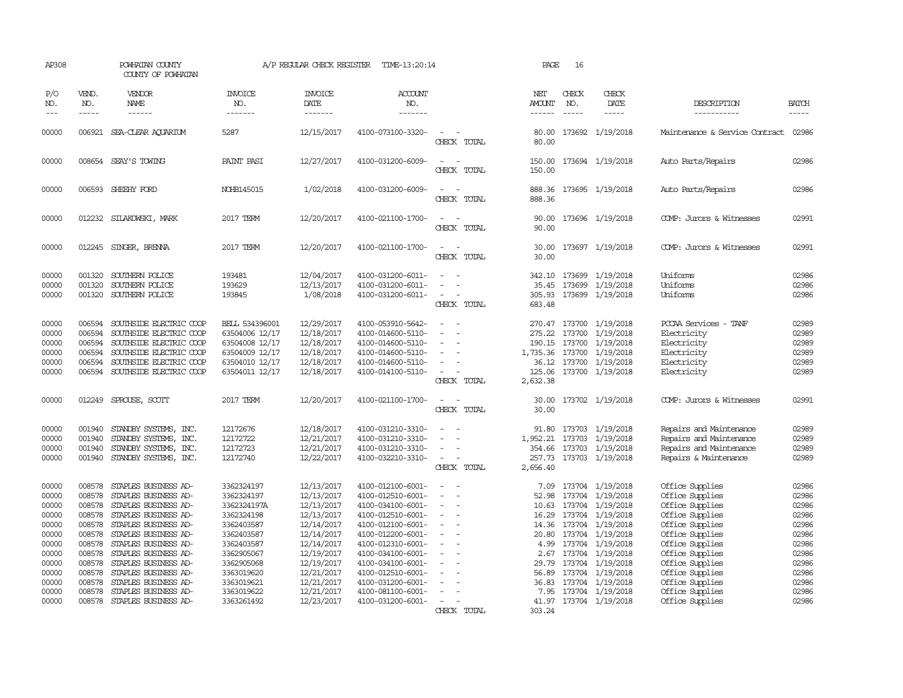| AP308                                                                                                             |                                                                                                                      | POWHATAN COUNTY<br>COUNTY OF POWHATAN                                                                                                                                                                                                                                                                                       |                                                                                                                                                                                     | A/P REGULAR CHECK REGISTER                                                                                                                                                         | TIME-13:20:14                                                                                                                                                                                                                                                                 |                                                                                                 | PAGE                                                                                                  | 16                          |                                                                                                                                                                                                                                                                       |                                                                                                                                                                                                                                                     |                                                                                                                   |
|-------------------------------------------------------------------------------------------------------------------|----------------------------------------------------------------------------------------------------------------------|-----------------------------------------------------------------------------------------------------------------------------------------------------------------------------------------------------------------------------------------------------------------------------------------------------------------------------|-------------------------------------------------------------------------------------------------------------------------------------------------------------------------------------|------------------------------------------------------------------------------------------------------------------------------------------------------------------------------------|-------------------------------------------------------------------------------------------------------------------------------------------------------------------------------------------------------------------------------------------------------------------------------|-------------------------------------------------------------------------------------------------|-------------------------------------------------------------------------------------------------------|-----------------------------|-----------------------------------------------------------------------------------------------------------------------------------------------------------------------------------------------------------------------------------------------------------------------|-----------------------------------------------------------------------------------------------------------------------------------------------------------------------------------------------------------------------------------------------------|-------------------------------------------------------------------------------------------------------------------|
| P/O<br>NO.<br>$---$                                                                                               | VEND.<br>NO.<br>$- - - - -$                                                                                          | VENDOR<br>NAME<br>$- - - - - -$                                                                                                                                                                                                                                                                                             | <b>INVOICE</b><br>NO.<br>-------                                                                                                                                                    | <b>INVOICE</b><br><b>DATE</b><br>--------                                                                                                                                          | <b>ACCOUNT</b><br>NO.<br>-------                                                                                                                                                                                                                                              |                                                                                                 | NET<br>AMOUNT<br>------                                                                               | CHECK<br>NO.<br>$- - - - -$ | CHECK<br>DATE<br>$- - - - -$                                                                                                                                                                                                                                          | DESCRIPTION<br>-----------                                                                                                                                                                                                                          | <b>BATCH</b><br>-----                                                                                             |
| 00000                                                                                                             | 006921                                                                                                               | SEA-CLEAR AQUARIUM                                                                                                                                                                                                                                                                                                          | 5287                                                                                                                                                                                | 12/15/2017                                                                                                                                                                         | 4100-073100-3320-                                                                                                                                                                                                                                                             | $\overline{\phantom{a}}$<br>CHECK TOTAL                                                         | 80.00<br>80.00                                                                                        |                             | 173692 1/19/2018                                                                                                                                                                                                                                                      | Maintenance & Service Contract                                                                                                                                                                                                                      | 02986                                                                                                             |
| 00000                                                                                                             |                                                                                                                      | 008654 SEAY'S TOWING                                                                                                                                                                                                                                                                                                        | PAINT PASI                                                                                                                                                                          | 12/27/2017                                                                                                                                                                         | 4100-031200-6009-                                                                                                                                                                                                                                                             | $\equiv$<br>CHECK TOTAL                                                                         | 150.00<br>150.00                                                                                      |                             | 173694 1/19/2018                                                                                                                                                                                                                                                      | Auto Parts/Repairs                                                                                                                                                                                                                                  | 02986                                                                                                             |
| 00000                                                                                                             |                                                                                                                      | 006593 SHEEHY FORD                                                                                                                                                                                                                                                                                                          | NOHB145015                                                                                                                                                                          | 1/02/2018                                                                                                                                                                          | 4100-031200-6009-                                                                                                                                                                                                                                                             | $\equiv$<br>CHECK TOTAL                                                                         | 888.36<br>888.36                                                                                      |                             | 173695 1/19/2018                                                                                                                                                                                                                                                      | Auto Parts/Repairs                                                                                                                                                                                                                                  | 02986                                                                                                             |
| 00000                                                                                                             |                                                                                                                      | 012232 SILAKOWSKI, MARK                                                                                                                                                                                                                                                                                                     | 2017 TERM                                                                                                                                                                           | 12/20/2017                                                                                                                                                                         | 4100-021100-1700-                                                                                                                                                                                                                                                             | $\sim$ 100 $\sim$ 100 $\sim$<br>CHECK TOTAL                                                     | 90.00<br>90.00                                                                                        |                             | 173696 1/19/2018                                                                                                                                                                                                                                                      | COMP: Jurors & Witnesses                                                                                                                                                                                                                            | 02991                                                                                                             |
| 00000                                                                                                             |                                                                                                                      | 012245 SINGER, BRENNA                                                                                                                                                                                                                                                                                                       | 2017 TERM                                                                                                                                                                           | 12/20/2017                                                                                                                                                                         | 4100-021100-1700-                                                                                                                                                                                                                                                             | $\equiv$<br>CHECK TOTAL                                                                         | 30.00<br>30.00                                                                                        |                             | 173697 1/19/2018                                                                                                                                                                                                                                                      | COMP: Jurors & Witnesses                                                                                                                                                                                                                            | 02991                                                                                                             |
| 00000<br>00000<br>00000                                                                                           | 001320<br>001320<br>001320                                                                                           | SOUTHERN POLICE<br>SOUTHERN POLICE<br>SOUTHERN POLICE                                                                                                                                                                                                                                                                       | 193481<br>193629<br>193845                                                                                                                                                          | 12/04/2017<br>12/13/2017<br>1/08/2018                                                                                                                                              | 4100-031200-6011-<br>4100-031200-6011-<br>4100-031200-6011-                                                                                                                                                                                                                   | $\overline{\phantom{a}}$<br>$\equiv$<br>CHECK TOTAL                                             | 342.10<br>35.45<br>305.93<br>683.48                                                                   |                             | 173699 1/19/2018<br>173699 1/19/2018<br>173699 1/19/2018                                                                                                                                                                                                              | Uniforms<br>Uniforms<br>Uniforms                                                                                                                                                                                                                    | 02986<br>02986<br>02986                                                                                           |
| 00000<br>00000<br>00000<br>00000<br>00000<br>00000                                                                | 006594<br>006594<br>006594<br>006594<br>006594<br>006594                                                             | SOUTHSIDE ELECTRIC COOP<br>SOUTHSIDE ELECTRIC COOP<br>SOUTHSIDE ELECTRIC COOP<br>SOUTHSIDE ELECTRIC COOP<br>SOUTHSIDE ELECTRIC COOP<br>SOUTHSIDE ELECTRIC COOP                                                                                                                                                              | BELL 534396001<br>63504006 12/17<br>63504008 12/17<br>63504009 12/17<br>63504010 12/17<br>63504011 12/17                                                                            | 12/29/2017<br>12/18/2017<br>12/18/2017<br>12/18/2017<br>12/18/2017<br>12/18/2017                                                                                                   | 4100-053910-5642-<br>4100-014600-5110-<br>4100-014600-5110-<br>4100-014600-5110-<br>4100-014600-5110-<br>4100-014100-5110-                                                                                                                                                    | $\sim$<br>$\equiv$<br>$\sim$<br>$\equiv$<br>$\equiv$<br>$\equiv$<br>CHECK TOTAL                 | 275.22<br>190.15<br>1,735.36<br>125.06<br>2,632.38                                                    | 173700                      | 270.47 173700 1/19/2018<br>1/19/2018<br>173700 1/19/2018<br>173700 1/19/2018<br>36.12 173700 1/19/2018<br>173700 1/19/2018                                                                                                                                            | PCCAA Services - TANF<br>Electricity<br>Electricity<br>Electricity<br>Electricity<br>Electricity                                                                                                                                                    | 02989<br>02989<br>02989<br>02989<br>02989<br>02989                                                                |
| 00000                                                                                                             | 012249                                                                                                               | SPROUSE, SCOTT                                                                                                                                                                                                                                                                                                              | 2017 TERM                                                                                                                                                                           | 12/20/2017                                                                                                                                                                         | 4100-021100-1700-                                                                                                                                                                                                                                                             | $\sim$<br>CHECK TOTAL                                                                           | 30.00<br>30.00                                                                                        |                             | 173702 1/19/2018                                                                                                                                                                                                                                                      | COMP: Jurors & Witnesses                                                                                                                                                                                                                            | 02991                                                                                                             |
| 00000<br>00000<br>00000<br>00000                                                                                  | 001940<br>001940<br>001940                                                                                           | STANDBY SYSTEMS, INC.<br>STANDBY SYSTEMS, INC.<br>STANDBY SYSTEMS, INC.<br>001940 STANDBY SYSTEMS, INC.                                                                                                                                                                                                                     | 12172676<br>12172722<br>12172723<br>12172740                                                                                                                                        | 12/18/2017<br>12/21/2017<br>12/21/2017<br>12/22/2017                                                                                                                               | 4100-031210-3310-<br>4100-031210-3310-<br>4100-031210-3310-<br>4100-032210-3310-                                                                                                                                                                                              | $\equiv$<br>$\sim$<br>CHECK TOTAL                                                               | 91.80<br>1,952.21<br>2,656.40                                                                         | 173703                      | 173703 1/19/2018<br>1/19/2018<br>354.66 173703 1/19/2018<br>257.73 173703 1/19/2018                                                                                                                                                                                   | Repairs and Maintenance<br>Repairs and Maintenance<br>Repairs and Maintenance<br>Repairs & Maintenance                                                                                                                                              | 02989<br>02989<br>02989<br>02989                                                                                  |
| 00000<br>00000<br>00000<br>00000<br>00000<br>00000<br>00000<br>00000<br>00000<br>00000<br>00000<br>00000<br>00000 | 008578<br>008578<br>008578<br>008578<br>008578<br>008578<br>008578<br>008578<br>008578<br>008578<br>008578<br>008578 | STAPLES BUSINESS AD-<br>STAPLES BUSINESS AD-<br>STAPLES BUSINESS AD-<br>STAPLES BUSINESS AD-<br>STAPLES BUSINESS AD-<br>STAPLES BUSINESS AD-<br>STAPLES BUSINESS AD-<br>STAPLES BUSINESS AD-<br>STAPLES BUSINESS AD-<br>STAPLES BUSINESS AD-<br>STAPLES BUSINESS AD-<br>STAPLES BUSINESS AD-<br>008578 STAPLES BUSINESS AD- | 3362324197<br>3362324197<br>3362324197A<br>3362324198<br>3362403587<br>3362403587<br>3362403587<br>3362905067<br>3362905068<br>3363019620<br>3363019621<br>3363019622<br>3363261492 | 12/13/2017<br>12/13/2017<br>12/13/2017<br>12/13/2017<br>12/14/2017<br>12/14/2017<br>12/14/2017<br>12/19/2017<br>12/19/2017<br>12/21/2017<br>12/21/2017<br>12/21/2017<br>12/23/2017 | 4100-012100-6001-<br>4100-012510-6001-<br>4100-034100-6001-<br>4100-012510-6001-<br>4100-012100-6001-<br>4100-012200-6001-<br>4100-012310-6001-<br>4100-034100-6001-<br>4100-034100-6001-<br>4100-012510-6001-<br>4100-031200-6001-<br>4100-081100-6001-<br>4100-031200-6001- | $\equiv$<br>$\overline{\phantom{a}}$<br>$\equiv$<br>$\sim$<br>$\equiv$<br>$\sim$<br>CHECK TOTAL | 7.09<br>52.98<br>10.63<br>16.29<br>20.80<br>4.99<br>2.67<br>29.79<br>56.89<br>36.83<br>7.95<br>303.24 | 173704                      | 173704 1/19/2018<br>173704 1/19/2018<br>173704 1/19/2018<br>173704 1/19/2018<br>14.36 173704 1/19/2018<br>173704 1/19/2018<br>173704 1/19/2018<br>173704 1/19/2018<br>173704 1/19/2018<br>1/19/2018<br>173704 1/19/2018<br>173704 1/19/2018<br>41.97 173704 1/19/2018 | Office Supplies<br>Office Supplies<br>Office Supplies<br>Office Supplies<br>Office Supplies<br>Office Supplies<br>Office Supplies<br>Office Supplies<br>Office Supplies<br>Office Supplies<br>Office Supplies<br>Office Supplies<br>Office Supplies | 02986<br>02986<br>02986<br>02986<br>02986<br>02986<br>02986<br>02986<br>02986<br>02986<br>02986<br>02986<br>02986 |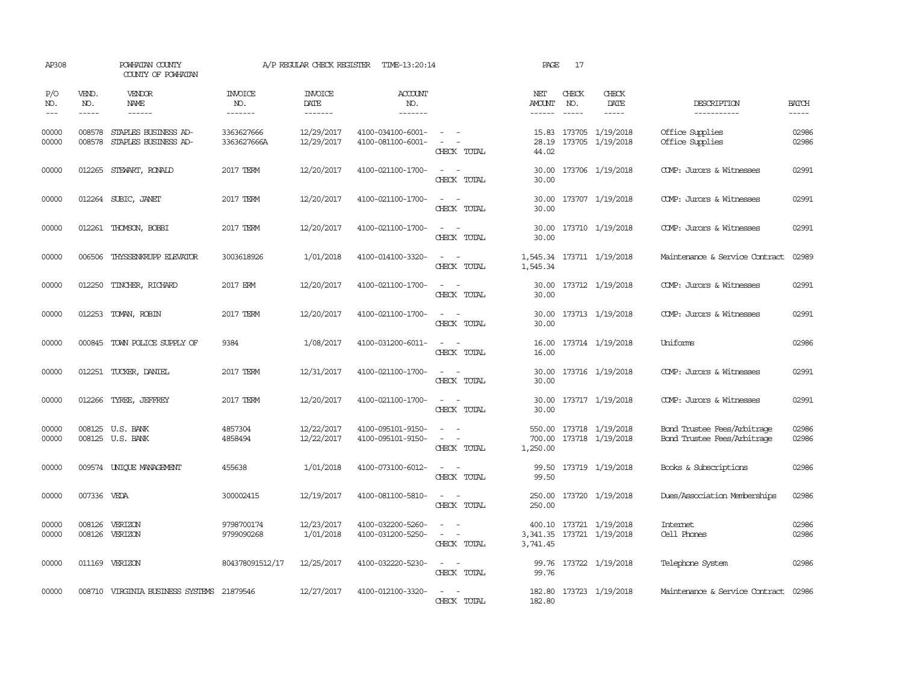| AP308               |                  | POWHATAN COUNTY<br>COUNTY OF POWHATAN        |                                  | A/P REGULAR CHECK REGISTER        | TIME-13:20:14                            |                                                                                                                             | PAGE                           | 17                          |                                               |                                                            |                             |
|---------------------|------------------|----------------------------------------------|----------------------------------|-----------------------------------|------------------------------------------|-----------------------------------------------------------------------------------------------------------------------------|--------------------------------|-----------------------------|-----------------------------------------------|------------------------------------------------------------|-----------------------------|
| P/O<br>NO.<br>$---$ | VEND.<br>NO.     | VENDOR<br><b>NAME</b><br>$- - - - - -$       | <b>INVOICE</b><br>NO.<br>------- | <b>INVOICE</b><br>DATE<br>------- | <b>ACCOUNT</b><br>NO.<br>$- - - - - - -$ |                                                                                                                             | NET<br><b>AMOUNT</b><br>------ | CHECK<br>NO.<br>$- - - - -$ | CHECK<br>DATE                                 | DESCRIPTION<br>-----------                                 | <b>BATCH</b><br>$- - - - -$ |
| 00000<br>00000      | 008578<br>008578 | STAPLES BUSINESS AD-<br>STAPLES BUSINESS AD- | 3363627666<br>3363627666A        | 12/29/2017<br>12/29/2017          | 4100-034100-6001-<br>4100-081100-6001-   | $\sim$ 100 $\mu$<br>CHECK TOTAL                                                                                             | 28.19<br>44.02                 |                             | 15.83 173705 1/19/2018<br>173705 1/19/2018    | Office Supplies<br>Office Supplies                         | 02986<br>02986              |
| 00000               |                  | 012265 STEWART, RONALD                       | 2017 TERM                        | 12/20/2017                        | 4100-021100-1700-                        | $\frac{1}{2} \left( \frac{1}{2} \right) \left( \frac{1}{2} \right) = \frac{1}{2} \left( \frac{1}{2} \right)$<br>CHECK TOTAL | 30.00<br>30.00                 |                             | 173706 1/19/2018                              | COMP: Jurors & Witnesses                                   | 02991                       |
| 00000               |                  | 012264 SUBIC, JANET                          | 2017 TERM                        | 12/20/2017                        | 4100-021100-1700-                        | $\frac{1}{2} \left( \frac{1}{2} \right) \left( \frac{1}{2} \right) = \frac{1}{2} \left( \frac{1}{2} \right)$<br>CHECK TOTAL | 30.00<br>30.00                 |                             | 173707 1/19/2018                              | COMP: Jurors & Witnesses                                   | 02991                       |
| 00000               |                  | 012261 THOMSON, BOBBI                        | 2017 TERM                        | 12/20/2017                        | 4100-021100-1700-                        | $\sim$ $\sim$<br>CHECK TOTAL                                                                                                | 30.00<br>30.00                 |                             | 173710 1/19/2018                              | COMP: Jurors & Witnesses                                   | 02991                       |
| 00000               |                  | 006506 THYSSENKRUPP ELEVATOR                 | 3003618926                       | 1/01/2018                         | 4100-014100-3320-                        | $\frac{1}{2} \left( \frac{1}{2} \right) \left( \frac{1}{2} \right) = \frac{1}{2} \left( \frac{1}{2} \right)$<br>CHECK TOTAL | 1,545.34                       |                             | 1,545.34 173711 1/19/2018                     | Maintenance & Service Contract                             | 02989                       |
| 00000               |                  | 012250 TINCHER, RICHARD                      | 2017 ERM                         | 12/20/2017                        | 4100-021100-1700-                        | $\sim$<br>CHECK TOTAL                                                                                                       | 30.00<br>30.00                 |                             | 173712 1/19/2018                              | COMP: Jurors & Witnesses                                   | 02991                       |
| 00000               |                  | 012253 TOMAN, ROBIN                          | 2017 TERM                        | 12/20/2017                        | 4100-021100-1700-                        | $\overline{\phantom{a}}$<br>. —<br>CHECK TOTAL                                                                              | 30.00<br>30.00                 |                             | 173713 1/19/2018                              | COMP: Jurors & Witnesses                                   | 02991                       |
| 00000               | 000845           | TOWN POLICE SUPPLY OF                        | 9384                             | 1/08/2017                         | 4100-031200-6011-                        | $\sim$<br>$\overline{\phantom{a}}$<br>CHECK TOTAL                                                                           | 16.00<br>16.00                 |                             | 173714 1/19/2018                              | Uniforms                                                   | 02986                       |
| 00000               |                  | 012251 TUCKER, DANIEL                        | 2017 TERM                        | 12/31/2017                        | 4100-021100-1700-                        | $\overline{\phantom{a}}$<br>$\sim$<br>CHECK TOTAL                                                                           | 30.00<br>30.00                 |                             | 173716 1/19/2018                              | COMP: Jurors & Witnesses                                   | 02991                       |
| 00000               |                  | 012266 TYREE, JEFFREY                        | 2017 TERM                        | 12/20/2017                        | 4100-021100-1700-                        | $\frac{1}{2} \left( \frac{1}{2} \right) \left( \frac{1}{2} \right) = \frac{1}{2} \left( \frac{1}{2} \right)$<br>CHECK TOTAL | 30.00<br>30.00                 |                             | 173717 1/19/2018                              | COMP: Jurors & Witnesses                                   | 02991                       |
| 00000<br>00000      |                  | 008125 U.S. BANK<br>008125 U.S. BANK         | 4857304<br>4858494               | 12/22/2017<br>12/22/2017          | 4100-095101-9150-<br>4100-095101-9150-   | CHECK TOTAL                                                                                                                 | 550.00<br>700.00<br>1,250.00   |                             | 173718 1/19/2018<br>173718 1/19/2018          | Bond Trustee Fees/Arbitrage<br>Bond Trustee Fees/Arbitrage | 02986<br>02986              |
| 00000               |                  | 009574 UNIQUE MANAGEMENT                     | 455638                           | 1/01/2018                         | 4100-073100-6012-                        | CHECK TOTAL                                                                                                                 | 99.50                          |                             | 99.50 173719 1/19/2018                        | Books & Subscriptions                                      | 02986                       |
| 00000               | 007336 VEDA      |                                              | 300002415                        | 12/19/2017                        | 4100-081100-5810-                        | CHECK TOTAL                                                                                                                 | 250.00<br>250.00               |                             | 173720 1/19/2018                              | Dues/Association Memberships                               | 02986                       |
| 00000<br>00000      |                  | 008126 VERIZON<br>008126 VERIZON             | 9798700174<br>9799090268         | 12/23/2017<br>1/01/2018           | 4100-032200-5260-<br>4100-031200-5250-   | $\sim$ $\sim$<br>CHECK TOTAL                                                                                                | 400.10<br>3,741.45             |                             | 173721 1/19/2018<br>3,341.35 173721 1/19/2018 | Internet<br>Cell Phones                                    | 02986<br>02986              |
| 00000               |                  | 011169 VERIZON                               | 804378091512/17                  | 12/25/2017                        | 4100-032220-5230-                        | $\frac{1}{2} \left( \frac{1}{2} \right) \left( \frac{1}{2} \right) = \frac{1}{2} \left( \frac{1}{2} \right)$<br>CHECK TOTAL | 99.76                          |                             | 99.76 173722 1/19/2018                        | Telephone System                                           | 02986                       |
| 00000               |                  | 008710 VIRGINIA BUSINESS SYSTEMS 21879546    |                                  | 12/27/2017                        | 4100-012100-3320-                        | CHECK TOTAL                                                                                                                 | 182.80                         |                             | 182.80 173723 1/19/2018                       | Maintenance & Service Contract 02986                       |                             |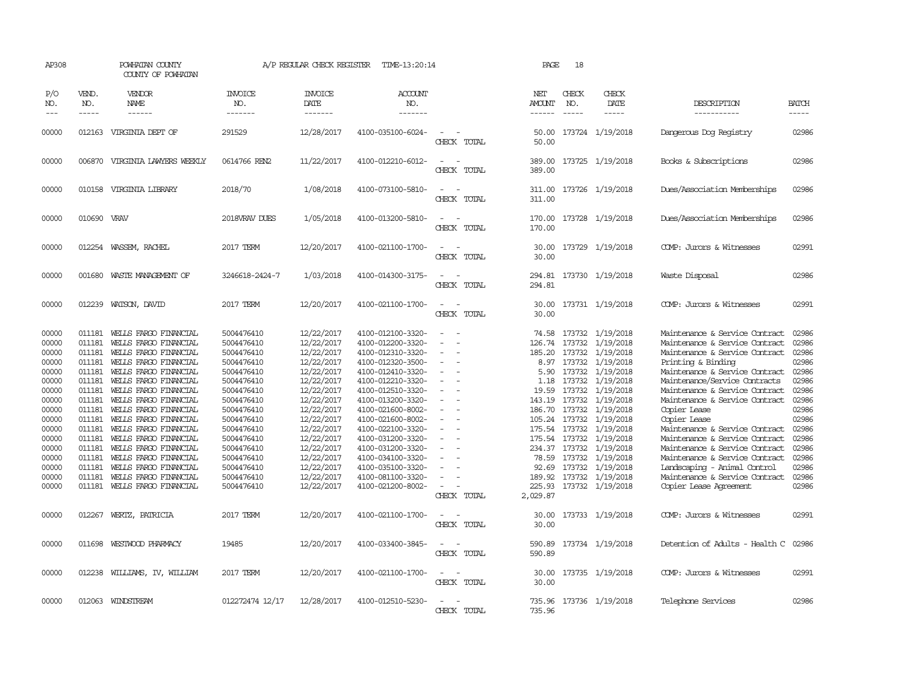| AP308                                                                                                                                                 |                                                                                                                                                    | POWHATAN COUNTY<br>COUNTY OF POWHATAN                                                                                                                                                                                                                                                                                                                                                                                                               |                                                                                                                                                                                                                                            | A/P REGULAR CHECK REGISTER                                                                                                                                                                                                                 | TIME-13:20:14                                                                                                                                                                                                                                                                                                                                                     |                                                                                                                       | PAGE                                                                                        | 18           |                                                                                                                                                                                                                                                                                                                                                                                                       |                                                                                                                                                                                                                                                                                                                                                                                                                                                                                                                                            |                                                                                                                                                       |
|-------------------------------------------------------------------------------------------------------------------------------------------------------|----------------------------------------------------------------------------------------------------------------------------------------------------|-----------------------------------------------------------------------------------------------------------------------------------------------------------------------------------------------------------------------------------------------------------------------------------------------------------------------------------------------------------------------------------------------------------------------------------------------------|--------------------------------------------------------------------------------------------------------------------------------------------------------------------------------------------------------------------------------------------|--------------------------------------------------------------------------------------------------------------------------------------------------------------------------------------------------------------------------------------------|-------------------------------------------------------------------------------------------------------------------------------------------------------------------------------------------------------------------------------------------------------------------------------------------------------------------------------------------------------------------|-----------------------------------------------------------------------------------------------------------------------|---------------------------------------------------------------------------------------------|--------------|-------------------------------------------------------------------------------------------------------------------------------------------------------------------------------------------------------------------------------------------------------------------------------------------------------------------------------------------------------------------------------------------------------|--------------------------------------------------------------------------------------------------------------------------------------------------------------------------------------------------------------------------------------------------------------------------------------------------------------------------------------------------------------------------------------------------------------------------------------------------------------------------------------------------------------------------------------------|-------------------------------------------------------------------------------------------------------------------------------------------------------|
| P/O<br>NO.<br>$---$                                                                                                                                   | VEND.<br>NO.<br>$- - - - -$                                                                                                                        | VENDOR<br>NAME<br>$- - - - - -$                                                                                                                                                                                                                                                                                                                                                                                                                     | <b>INVOICE</b><br>NO.<br>-------                                                                                                                                                                                                           | <b>INVOICE</b><br><b>DATE</b><br>--------                                                                                                                                                                                                  | <b>ACCOUNT</b><br>NO.<br>-------                                                                                                                                                                                                                                                                                                                                  |                                                                                                                       | NET<br><b>AMOUNT</b><br>------                                                              | CHECK<br>NO. | CHECK<br>DATE<br>$- - - - -$                                                                                                                                                                                                                                                                                                                                                                          | DESCRIPTION<br>-----------                                                                                                                                                                                                                                                                                                                                                                                                                                                                                                                 | <b>BATCH</b><br>-----                                                                                                                                 |
| 00000                                                                                                                                                 | 012163                                                                                                                                             | VIRGINIA DEPT OF                                                                                                                                                                                                                                                                                                                                                                                                                                    | 291529                                                                                                                                                                                                                                     | 12/28/2017                                                                                                                                                                                                                                 | 4100-035100-6024-                                                                                                                                                                                                                                                                                                                                                 | $\overline{\phantom{a}}$<br>CHECK TOTAL                                                                               | 50.00<br>50.00                                                                              |              | 173724 1/19/2018                                                                                                                                                                                                                                                                                                                                                                                      | Dangerous Dog Registry                                                                                                                                                                                                                                                                                                                                                                                                                                                                                                                     | 02986                                                                                                                                                 |
| 00000                                                                                                                                                 | 006870                                                                                                                                             | VIRGINIA LAWYERS WEEKLY                                                                                                                                                                                                                                                                                                                                                                                                                             | 0614766 REN2                                                                                                                                                                                                                               | 11/22/2017                                                                                                                                                                                                                                 | 4100-012210-6012-                                                                                                                                                                                                                                                                                                                                                 | $\equiv$<br>CHECK TOTAL                                                                                               | 389.00                                                                                      |              | 389.00 173725 1/19/2018                                                                                                                                                                                                                                                                                                                                                                               | Books & Subscriptions                                                                                                                                                                                                                                                                                                                                                                                                                                                                                                                      | 02986                                                                                                                                                 |
| 00000                                                                                                                                                 |                                                                                                                                                    | 010158 VIRGINIA LIBRARY                                                                                                                                                                                                                                                                                                                                                                                                                             | 2018/70                                                                                                                                                                                                                                    | 1/08/2018                                                                                                                                                                                                                                  | 4100-073100-5810-                                                                                                                                                                                                                                                                                                                                                 | $\equiv$<br>CHECK TOTAL                                                                                               | 311.00<br>311.00                                                                            |              | 173726 1/19/2018                                                                                                                                                                                                                                                                                                                                                                                      | Dues/Association Memberships                                                                                                                                                                                                                                                                                                                                                                                                                                                                                                               | 02986                                                                                                                                                 |
| 00000                                                                                                                                                 | 010690 VRAV                                                                                                                                        |                                                                                                                                                                                                                                                                                                                                                                                                                                                     | 2018VRAV DUES                                                                                                                                                                                                                              | 1/05/2018                                                                                                                                                                                                                                  | 4100-013200-5810-                                                                                                                                                                                                                                                                                                                                                 | $\equiv$<br>CHECK TOTAL                                                                                               | 170.00<br>170.00                                                                            |              | 173728 1/19/2018                                                                                                                                                                                                                                                                                                                                                                                      | Dues/Association Memberships                                                                                                                                                                                                                                                                                                                                                                                                                                                                                                               | 02986                                                                                                                                                 |
| 00000                                                                                                                                                 |                                                                                                                                                    | 012254 WASSEM, RACHEL                                                                                                                                                                                                                                                                                                                                                                                                                               | 2017 TERM                                                                                                                                                                                                                                  | 12/20/2017                                                                                                                                                                                                                                 | 4100-021100-1700-                                                                                                                                                                                                                                                                                                                                                 | CHECK TOTAL                                                                                                           | 30.00<br>30.00                                                                              |              | 173729 1/19/2018                                                                                                                                                                                                                                                                                                                                                                                      | COMP: Jurors & Witnesses                                                                                                                                                                                                                                                                                                                                                                                                                                                                                                                   | 02991                                                                                                                                                 |
| 00000                                                                                                                                                 | 001680                                                                                                                                             | WASTE MANAGEMENT OF                                                                                                                                                                                                                                                                                                                                                                                                                                 | 3246618-2424-7                                                                                                                                                                                                                             | 1/03/2018                                                                                                                                                                                                                                  | 4100-014300-3175-                                                                                                                                                                                                                                                                                                                                                 | $\overline{\phantom{a}}$<br>CHECK TOTAL                                                                               | 294.81                                                                                      |              | 294.81 173730 1/19/2018                                                                                                                                                                                                                                                                                                                                                                               | Waste Disposal                                                                                                                                                                                                                                                                                                                                                                                                                                                                                                                             | 02986                                                                                                                                                 |
| 00000                                                                                                                                                 | 012239                                                                                                                                             | WATSON, DAVID                                                                                                                                                                                                                                                                                                                                                                                                                                       | 2017 TERM                                                                                                                                                                                                                                  | 12/20/2017                                                                                                                                                                                                                                 | 4100-021100-1700-                                                                                                                                                                                                                                                                                                                                                 | $\equiv$<br>CHECK TOTAL                                                                                               | 30.00<br>30.00                                                                              |              | 173731 1/19/2018                                                                                                                                                                                                                                                                                                                                                                                      | COMP: Jurors & Witnesses                                                                                                                                                                                                                                                                                                                                                                                                                                                                                                                   | 02991                                                                                                                                                 |
| 00000<br>00000<br>00000<br>00000<br>00000<br>00000<br>00000<br>00000<br>00000<br>00000<br>00000<br>00000<br>00000<br>00000<br>00000<br>00000<br>00000 | 011181<br>011181<br>011181<br>011181<br>011181<br>011181<br>011181<br>011181<br>011181<br>011181<br>011181<br>011181<br>011181<br>011181<br>011181 | WELLS FARGO FINANCIAL<br>WEILS FARGO FINANCIAL<br>WELLS FARGO FINANCIAL<br>WELLS FARGO FINANCIAL<br>WELLS FARGO FINANCIAL<br>WELLS FARGO FINANCIAL<br>WEILS FARGO FINANCIAL<br>WELLS FARGO FINANCIAL<br>011181 WELLS FARGO FINANCIAL<br>WELLS FARGO FINANCIAL<br>WELLS FARGO FINANCIAL<br>WELLS FARGO FINANCIAL<br>WEILS FARGO FINANCIAL<br>WELLS FARGO FINANCIAL<br>WELLS FARGO FINANCIAL<br>WELLS FARGO FINANCIAL<br>011181 WELLS FARGO FINANCIAL | 5004476410<br>5004476410<br>5004476410<br>5004476410<br>5004476410<br>5004476410<br>5004476410<br>5004476410<br>5004476410<br>5004476410<br>5004476410<br>5004476410<br>5004476410<br>5004476410<br>5004476410<br>5004476410<br>5004476410 | 12/22/2017<br>12/22/2017<br>12/22/2017<br>12/22/2017<br>12/22/2017<br>12/22/2017<br>12/22/2017<br>12/22/2017<br>12/22/2017<br>12/22/2017<br>12/22/2017<br>12/22/2017<br>12/22/2017<br>12/22/2017<br>12/22/2017<br>12/22/2017<br>12/22/2017 | 4100-012100-3320-<br>4100-012200-3320-<br>4100-012310-3320-<br>4100-012320-3500-<br>4100-012410-3320-<br>4100-012210-3320-<br>4100-012510-3320-<br>4100-013200-3320-<br>4100-021600-8002-<br>4100-021600-8002-<br>4100-022100-3320-<br>4100-031200-3320-<br>4100-031200-3320-<br>4100-034100-3320-<br>4100-035100-3320-<br>4100-081100-3320-<br>4100-021200-8002- | $\equiv$<br>$\equiv$<br>$\equiv$<br>$\equiv$<br>$\equiv$<br>$\equiv$<br>$\equiv$<br>$\sim$<br>$\equiv$<br>CHECK TOTAL | 74.58<br>126.74<br>185.20<br>5.90<br>1.18<br>19.59<br>143.19<br>92.69<br>225.93<br>2,029.87 |              | 173732 1/19/2018<br>173732 1/19/2018<br>173732 1/19/2018<br>8.97 173732 1/19/2018<br>173732 1/19/2018<br>173732 1/19/2018<br>173732 1/19/2018<br>173732 1/19/2018<br>186.70 173732 1/19/2018<br>105.24 173732 1/19/2018<br>175.54 173732 1/19/2018<br>175.54 173732 1/19/2018<br>234.37 173732 1/19/2018<br>78.59 173732 1/19/2018<br>173732 1/19/2018<br>189.92 173732 1/19/2018<br>173732 1/19/2018 | Maintenance & Service Contract<br>Maintenance & Service Contract<br>Maintenance & Service Contract<br>Printing & Binding<br>Maintenance & Service Contract<br>Maintenance/Service Contracts<br>Maintenance & Service Contract<br>Maintenance & Service Contract<br>Copier Lease<br>Copier Lease<br>Maintenance & Service Contract<br>Maintenance & Service Contract<br>Maintenance & Service Contract<br>Maintenance & Service Contract<br>Landscaping - Animal Control<br>Maintenance & Service Contract<br><b>Copier Lease Agreement</b> | 02986<br>02986<br>02986<br>02986<br>02986<br>02986<br>02986<br>02986<br>02986<br>02986<br>02986<br>02986<br>02986<br>02986<br>02986<br>02986<br>02986 |
| 00000                                                                                                                                                 | 012267                                                                                                                                             | WERTZ, PATRICIA                                                                                                                                                                                                                                                                                                                                                                                                                                     | 2017 TERM                                                                                                                                                                                                                                  | 12/20/2017                                                                                                                                                                                                                                 | 4100-021100-1700-                                                                                                                                                                                                                                                                                                                                                 | $\sim$ 100 $\mu$<br>CHECK TOTAL                                                                                       | 30.00<br>30.00                                                                              |              | 173733 1/19/2018                                                                                                                                                                                                                                                                                                                                                                                      | COMP: Jurors & Witnesses                                                                                                                                                                                                                                                                                                                                                                                                                                                                                                                   | 02991                                                                                                                                                 |
| 00000                                                                                                                                                 | 011698                                                                                                                                             | WESTWOOD PHARMACY                                                                                                                                                                                                                                                                                                                                                                                                                                   | 19485                                                                                                                                                                                                                                      | 12/20/2017                                                                                                                                                                                                                                 | 4100-033400-3845-                                                                                                                                                                                                                                                                                                                                                 | $\equiv$<br>CHECK TOTAL                                                                                               | 590.89<br>590.89                                                                            |              | 173734 1/19/2018                                                                                                                                                                                                                                                                                                                                                                                      | Detention of Adults - Health C                                                                                                                                                                                                                                                                                                                                                                                                                                                                                                             | 02986                                                                                                                                                 |
| 00000                                                                                                                                                 |                                                                                                                                                    | 012238 WILLIAMS, IV, WILLIAM                                                                                                                                                                                                                                                                                                                                                                                                                        | 2017 TERM                                                                                                                                                                                                                                  | 12/20/2017                                                                                                                                                                                                                                 | 4100-021100-1700-                                                                                                                                                                                                                                                                                                                                                 | $\equiv$<br>CHECK TOTAL                                                                                               | 30.00<br>30.00                                                                              |              | 173735 1/19/2018                                                                                                                                                                                                                                                                                                                                                                                      | COMP: Jurors & Witnesses                                                                                                                                                                                                                                                                                                                                                                                                                                                                                                                   | 02991                                                                                                                                                 |
| 00000                                                                                                                                                 |                                                                                                                                                    | 012063 WINDSTREAM                                                                                                                                                                                                                                                                                                                                                                                                                                   | 012272474 12/17                                                                                                                                                                                                                            | 12/28/2017                                                                                                                                                                                                                                 | 4100-012510-5230-                                                                                                                                                                                                                                                                                                                                                 | $\sim$<br>CHECK TOTAL                                                                                                 | 735.96                                                                                      |              | 735.96 173736 1/19/2018                                                                                                                                                                                                                                                                                                                                                                               | Telephone Services                                                                                                                                                                                                                                                                                                                                                                                                                                                                                                                         | 02986                                                                                                                                                 |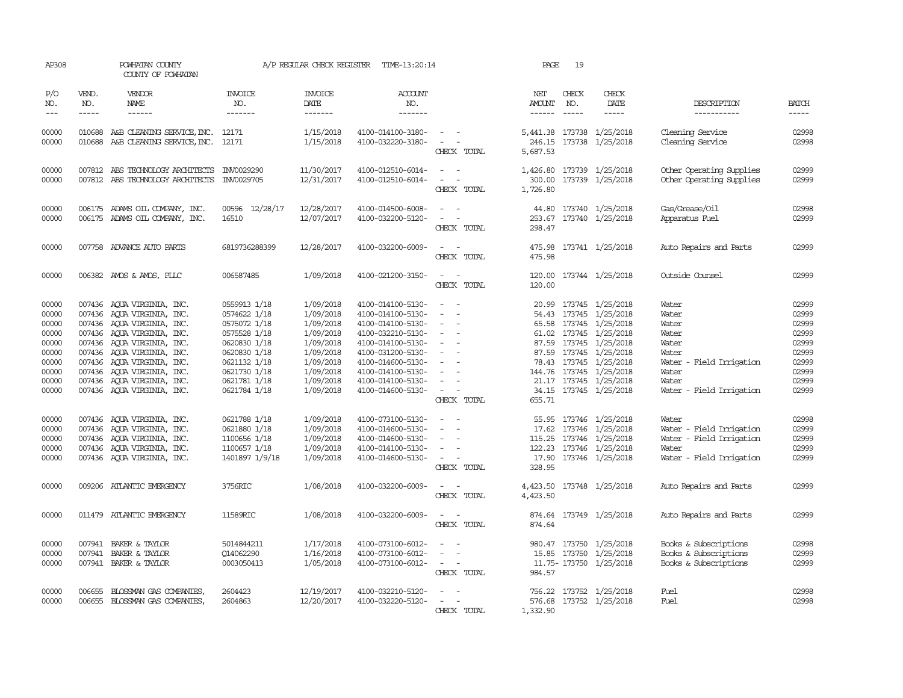| AP308                                                                                                                               |                       | POWHATAN COUNTY<br>COUNTY OF POWHATAN                                                                                                                                                                                                                                                                                                                                                                                                                          |                                                                                                                                                                                                                                                | A/P REGULAR CHECK REGISTER                                                                                                                                                                      | TIME-13:20:14                                                                                                                                                                                                                                                                                                           |                                                                                                                                                                                        | PAGE                           | 19                            |                                                                                                                                                                                                                                                                                                                                                                                                 |                                                                                                                                                                                                                                       |                                                                                                                                     |
|-------------------------------------------------------------------------------------------------------------------------------------|-----------------------|----------------------------------------------------------------------------------------------------------------------------------------------------------------------------------------------------------------------------------------------------------------------------------------------------------------------------------------------------------------------------------------------------------------------------------------------------------------|------------------------------------------------------------------------------------------------------------------------------------------------------------------------------------------------------------------------------------------------|-------------------------------------------------------------------------------------------------------------------------------------------------------------------------------------------------|-------------------------------------------------------------------------------------------------------------------------------------------------------------------------------------------------------------------------------------------------------------------------------------------------------------------------|----------------------------------------------------------------------------------------------------------------------------------------------------------------------------------------|--------------------------------|-------------------------------|-------------------------------------------------------------------------------------------------------------------------------------------------------------------------------------------------------------------------------------------------------------------------------------------------------------------------------------------------------------------------------------------------|---------------------------------------------------------------------------------------------------------------------------------------------------------------------------------------------------------------------------------------|-------------------------------------------------------------------------------------------------------------------------------------|
| P/O<br>NO.<br>$\frac{1}{2}$                                                                                                         | VEND.<br>NO.<br>----- | VENDOR<br>NAME<br>$- - - - - -$                                                                                                                                                                                                                                                                                                                                                                                                                                | <b>INVOICE</b><br>NO.<br>-------                                                                                                                                                                                                               | <b>INVOICE</b><br>DATE<br>$- - - - - - -$                                                                                                                                                       | <b>ACCOUNT</b><br>NO.<br>$- - - - - - -$                                                                                                                                                                                                                                                                                |                                                                                                                                                                                        | NET<br>AMOUNT<br>$- - - - - -$ | CHECK<br>NO.<br>$\frac{1}{2}$ | CHECK<br>DATE<br>-----                                                                                                                                                                                                                                                                                                                                                                          | DESCRIPTION<br>-----------                                                                                                                                                                                                            | <b>BATCH</b>                                                                                                                        |
| 00000<br>00000                                                                                                                      |                       | 010688 A&B CLEANING SERVICE, INC. 12171<br>010688 A&B CLEANING SERVICE, INC. 12171                                                                                                                                                                                                                                                                                                                                                                             |                                                                                                                                                                                                                                                | 1/15/2018<br>1/15/2018                                                                                                                                                                          | 4100-014100-3180-<br>4100-032220-3180-                                                                                                                                                                                                                                                                                  | $\sim$ $ -$<br>$\sim$<br>$\sim$<br>CHECK TOTAL                                                                                                                                         | 246.15<br>5,687.53             |                               | 5,441.38 173738 1/25/2018<br>173738 1/25/2018                                                                                                                                                                                                                                                                                                                                                   | Cleaning Service<br>Cleaning Service                                                                                                                                                                                                  | 02998<br>02998                                                                                                                      |
| 00000<br>00000                                                                                                                      |                       | 007812 ABS TECHNOLOGY ARCHITECTS<br>007812 ABS TECHNOLOGY ARCHITECTS                                                                                                                                                                                                                                                                                                                                                                                           | INV0029290<br>INV0029705                                                                                                                                                                                                                       | 11/30/2017<br>12/31/2017                                                                                                                                                                        | 4100-012510-6014-<br>4100-012510-6014-                                                                                                                                                                                                                                                                                  | $\sim$ 100 $\mu$<br>$\overline{\phantom{a}}$<br>CHECK TOTAL                                                                                                                            | 1,426.80<br>1,726.80           |                               | 173739 1/25/2018<br>300.00 173739 1/25/2018                                                                                                                                                                                                                                                                                                                                                     | Other Operating Supplies<br>Other Operating Supplies                                                                                                                                                                                  | 02999<br>02999                                                                                                                      |
| 00000<br>00000                                                                                                                      |                       | 006175 ADAMS OIL COMPANY, INC.<br>006175 ADAMS OIL COMPANY, INC.                                                                                                                                                                                                                                                                                                                                                                                               | 00596 12/28/17<br>16510                                                                                                                                                                                                                        | 12/28/2017<br>12/07/2017                                                                                                                                                                        | 4100-014500-6008-<br>4100-032200-5120-                                                                                                                                                                                                                                                                                  | $\sim$ $ \sim$<br>CHECK TOTAL                                                                                                                                                          | 298.47                         |                               | 44.80 173740 1/25/2018<br>253.67 173740 1/25/2018                                                                                                                                                                                                                                                                                                                                               | Gas/Grease/Oil<br>Apparatus Fuel                                                                                                                                                                                                      | 02998<br>02999                                                                                                                      |
| 00000                                                                                                                               |                       | 007758 ADVANCE AUTO PARTS                                                                                                                                                                                                                                                                                                                                                                                                                                      | 6819736288399                                                                                                                                                                                                                                  | 12/28/2017                                                                                                                                                                                      | 4100-032200-6009-                                                                                                                                                                                                                                                                                                       | $\overline{\phantom{a}}$<br>$\sim$<br>CHECK TOTAL                                                                                                                                      | 475.98                         |                               | 475.98 173741 1/25/2018                                                                                                                                                                                                                                                                                                                                                                         | Auto Repairs and Parts                                                                                                                                                                                                                | 02999                                                                                                                               |
| 00000                                                                                                                               |                       | 006382 AMOS & AMOS, PLLC                                                                                                                                                                                                                                                                                                                                                                                                                                       | 006587485                                                                                                                                                                                                                                      | 1/09/2018                                                                                                                                                                                       | 4100-021200-3150-                                                                                                                                                                                                                                                                                                       | $\frac{1}{2} \left( \frac{1}{2} \right) \left( \frac{1}{2} \right) = \frac{1}{2} \left( \frac{1}{2} \right)$<br>CHECK TOTAL                                                            | 120.00                         |                               | 120.00 173744 1/25/2018                                                                                                                                                                                                                                                                                                                                                                         | Outside Counsel                                                                                                                                                                                                                       | 02999                                                                                                                               |
| 00000<br>00000<br>00000<br>00000<br>00000<br>00000<br>00000<br>00000<br>00000<br>00000<br>00000<br>00000<br>00000<br>00000<br>00000 |                       | 007436 AQUA VIRGINIA, INC.<br>007436 AQUA VIRGINIA, INC.<br>007436 AQUA VIRGINIA, INC.<br>007436 AQUA VIRGINIA, INC.<br>007436 AOUA VIRGINIA, INC.<br>007436 AQUA VIRGINIA, INC.<br>007436 AQUA VIRGINIA, INC.<br>007436 AQUA VIRGINIA, INC.<br>007436 AQUA VIRGINIA, INC.<br>007436 AQUA VIRGINIA, INC.<br>007436 AQUA VIRGINIA, INC.<br>007436 AQUA VIRGINIA, INC.<br>007436 AOUA VIRGINIA, INC.<br>007436 AQUA VIRGINIA, INC.<br>007436 AQUA VIRGINIA, INC. | 0559913 1/18<br>0574622 1/18<br>0575072 1/18<br>0575528 1/18<br>0620830 1/18<br>0620830 1/18<br>0621132 1/18<br>0621730 1/18<br>0621781 1/18<br>0621784 1/18<br>0621788 1/18<br>0621880 1/18<br>1100656 1/18<br>1100657 1/18<br>1401897 1/9/18 | 1/09/2018<br>1/09/2018<br>1/09/2018<br>1/09/2018<br>1/09/2018<br>1/09/2018<br>1/09/2018<br>1/09/2018<br>1/09/2018<br>1/09/2018<br>1/09/2018<br>1/09/2018<br>1/09/2018<br>1/09/2018<br>1/09/2018 | 4100-014100-5130-<br>4100-014100-5130-<br>4100-014100-5130-<br>4100-032210-5130-<br>4100-014100-5130-<br>4100-031200-5130-<br>4100-014600-5130-<br>4100-014100-5130-<br>4100-014100-5130-<br>4100-014600-5130-<br>4100-073100-5130-<br>4100-014600-5130-<br>4100-014600-5130-<br>4100-014100-5130-<br>4100-014600-5130- | $\sim$<br>$\overline{\phantom{a}}$<br>$\overline{\phantom{a}}$<br>$\sim$<br>$\sim$<br>CHECK TOTAL<br>$\equiv$<br>$\sim$<br>$\sim$<br>$\overline{\phantom{a}}$<br>$\sim$<br>CHECK TOTAL | 655.71<br>17.90<br>328.95      |                               | 20.99 173745 1/25/2018<br>54.43 173745 1/25/2018<br>65.58 173745 1/25/2018<br>61.02 173745 1/25/2018<br>87.59 173745 1/25/2018<br>87.59 173745 1/25/2018<br>78.43 173745 1/25/2018<br>144.76 173745 1/25/2018<br>21.17 173745 1/25/2018<br>34.15 173745 1/25/2018<br>55.95 173746 1/25/2018<br>17.62 173746 1/25/2018<br>115.25 173746 1/25/2018<br>122.23 173746 1/25/2018<br>173746 1/25/2018 | Water<br>Water<br>Water<br>Water<br>Water<br>Water<br>Water<br>- Field Irrigation<br>Water<br>Water<br>Water - Field Irrigation<br>Water<br>Water - Field Irrigation<br>Water - Field Irrigation<br>Water<br>Water - Field Irrigation | 02999<br>02999<br>02999<br>02999<br>02999<br>02999<br>02999<br>02999<br>02999<br>02999<br>02998<br>02999<br>02999<br>02999<br>02999 |
| 00000                                                                                                                               |                       | 009206 ATLANTIC EMERGENCY                                                                                                                                                                                                                                                                                                                                                                                                                                      | 3756RIC                                                                                                                                                                                                                                        | 1/08/2018                                                                                                                                                                                       | 4100-032200-6009-                                                                                                                                                                                                                                                                                                       | CHECK TOTAL                                                                                                                                                                            | 4,423.50                       |                               | 4,423.50 173748 1/25/2018                                                                                                                                                                                                                                                                                                                                                                       | Auto Repairs and Parts                                                                                                                                                                                                                | 02999                                                                                                                               |
| 00000                                                                                                                               |                       | 011479 ATLANTIC EMERGENCY                                                                                                                                                                                                                                                                                                                                                                                                                                      | 11589RIC                                                                                                                                                                                                                                       | 1/08/2018                                                                                                                                                                                       | 4100-032200-6009-                                                                                                                                                                                                                                                                                                       | $\sim$<br>CHECK TOTAL                                                                                                                                                                  | 874.64                         |                               | 874.64 173749 1/25/2018                                                                                                                                                                                                                                                                                                                                                                         | Auto Repairs and Parts                                                                                                                                                                                                                | 02999                                                                                                                               |
| 00000<br>00000<br>00000                                                                                                             |                       | 007941 BAKER & TAYLOR<br>007941 BAKER & TAYLOR<br>007941 BAKER & TAYLOR                                                                                                                                                                                                                                                                                                                                                                                        | 5014844211<br>Q14062290<br>0003050413                                                                                                                                                                                                          | 1/17/2018<br>1/16/2018<br>1/05/2018                                                                                                                                                             | 4100-073100-6012-<br>4100-073100-6012-<br>4100-073100-6012-                                                                                                                                                                                                                                                             | $\sim$<br>$\overline{\phantom{a}}$<br>$\sim$<br>CHECK TOTAL                                                                                                                            | 984.57                         |                               | 980.47 173750 1/25/2018<br>15.85 173750 1/25/2018<br>11.75-173750 1/25/2018                                                                                                                                                                                                                                                                                                                     | Books & Subscriptions<br>Books & Subscriptions<br>Books & Subscriptions                                                                                                                                                               | 02998<br>02999<br>02999                                                                                                             |
| 00000<br>00000                                                                                                                      | 006655                | BLOSSMAN GAS COMPANIES,<br>006655 BLOSSMAN GAS COMPANIES,                                                                                                                                                                                                                                                                                                                                                                                                      | 2604423<br>2604863                                                                                                                                                                                                                             | 12/19/2017<br>12/20/2017                                                                                                                                                                        | 4100-032210-5120-<br>4100-032220-5120-                                                                                                                                                                                                                                                                                  | $\sim$<br>CHECK TOTAL                                                                                                                                                                  | 1,332.90                       |                               | 756.22 173752 1/25/2018<br>576.68 173752 1/25/2018                                                                                                                                                                                                                                                                                                                                              | Fuel<br>Fuel                                                                                                                                                                                                                          | 02998<br>02998                                                                                                                      |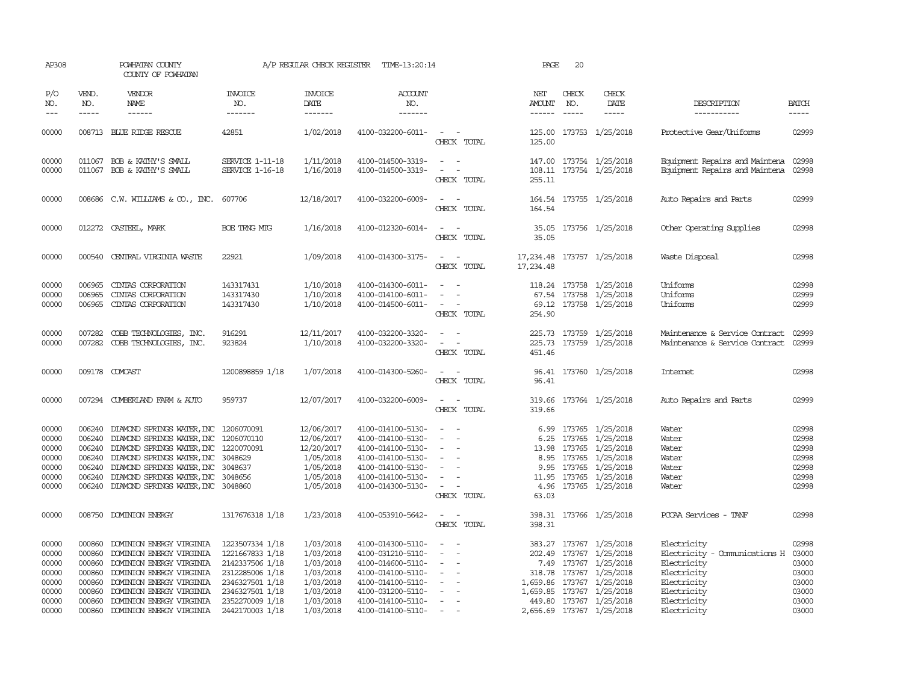| AP308                                                       |                                                                                                                                                                                                                                                                                                                                                                                                                                                                         | POWHATAN COUNTY<br>COUNTY OF POWHATAN                                                                                                                                                                                                                                                                            |                                                                                                                                   | A/P REGULAR CHECK REGISTER                                                                 | TIME-13:20:14                                                                                                                                   |                                                                                                                                    | PAGE                    | 20                                                                                                                                                                                                                                                                                                                                                                                                           |                                                                                                                                                                                             |                                                                                                                         |                                                             |
|-------------------------------------------------------------|-------------------------------------------------------------------------------------------------------------------------------------------------------------------------------------------------------------------------------------------------------------------------------------------------------------------------------------------------------------------------------------------------------------------------------------------------------------------------|------------------------------------------------------------------------------------------------------------------------------------------------------------------------------------------------------------------------------------------------------------------------------------------------------------------|-----------------------------------------------------------------------------------------------------------------------------------|--------------------------------------------------------------------------------------------|-------------------------------------------------------------------------------------------------------------------------------------------------|------------------------------------------------------------------------------------------------------------------------------------|-------------------------|--------------------------------------------------------------------------------------------------------------------------------------------------------------------------------------------------------------------------------------------------------------------------------------------------------------------------------------------------------------------------------------------------------------|---------------------------------------------------------------------------------------------------------------------------------------------------------------------------------------------|-------------------------------------------------------------------------------------------------------------------------|-------------------------------------------------------------|
| P/O<br>NO.<br>$---$                                         | VEND.<br>NO.<br>$\begin{tabular}{ccccc} \multicolumn{2}{c }{\multicolumn{2}{c }{\multicolumn{2}{c }{\multicolumn{2}{c}}{\hspace{-2.2cm}}}} \multicolumn{2}{c }{\multicolumn{2}{c }{\hspace{-2.2cm}}\hline} \multicolumn{2}{c }{\hspace{-2.2cm}}\hline \multicolumn{2}{c }{\hspace{-2.2cm}}\hline \multicolumn{2}{c }{\hspace{-2.2cm}}\hline \multicolumn{2}{c }{\hspace{-2.2cm}}\hline \multicolumn{2}{c }{\hspace{-2.2cm}}\hline \multicolumn{2}{c }{\hspace{-2.2cm}}$ | VENDOR<br>NAME                                                                                                                                                                                                                                                                                                   | <b>INVOICE</b><br>NO.<br>-------                                                                                                  | <b>INVOICE</b><br>DATE<br>-------                                                          | ACCOUNT<br>NO.<br>-------                                                                                                                       |                                                                                                                                    | NET<br>AMOUNT<br>------ | CHECK<br>NO.<br>$\frac{1}{2} \frac{1}{2} \frac{1}{2} \frac{1}{2} \frac{1}{2} \frac{1}{2} \frac{1}{2} \frac{1}{2} \frac{1}{2} \frac{1}{2} \frac{1}{2} \frac{1}{2} \frac{1}{2} \frac{1}{2} \frac{1}{2} \frac{1}{2} \frac{1}{2} \frac{1}{2} \frac{1}{2} \frac{1}{2} \frac{1}{2} \frac{1}{2} \frac{1}{2} \frac{1}{2} \frac{1}{2} \frac{1}{2} \frac{1}{2} \frac{1}{2} \frac{1}{2} \frac{1}{2} \frac{1}{2} \frac{$ | CHECK<br>DATE                                                                                                                                                                               | DESCRIPTION<br>-----------                                                                                              | <b>BATCH</b><br>-----                                       |
| 00000                                                       |                                                                                                                                                                                                                                                                                                                                                                                                                                                                         | 008713 BLUE RIDGE RESCUE                                                                                                                                                                                                                                                                                         | 42851                                                                                                                             | 1/02/2018                                                                                  | 4100-032200-6011-                                                                                                                               | $\sim$ $\sim$<br>CHECK TOTAL                                                                                                       | 125.00                  |                                                                                                                                                                                                                                                                                                                                                                                                              | 125.00 173753 1/25/2018                                                                                                                                                                     | Protective Gear/Uniforms                                                                                                | 02999                                                       |
| 00000<br>00000                                              |                                                                                                                                                                                                                                                                                                                                                                                                                                                                         | 011067 BOB & KATHY'S SMALL<br>011067 BOB & KATHY'S SMALL                                                                                                                                                                                                                                                         | SERVICE 1-11-18<br>SERVICE 1-16-18                                                                                                | 1/11/2018<br>1/16/2018                                                                     | 4100-014500-3319-<br>4100-014500-3319-                                                                                                          | $\sim$ $ -$<br>$\sim$ 100 $\sim$<br>CHECK TOTAL                                                                                    | 255.11                  |                                                                                                                                                                                                                                                                                                                                                                                                              | 147.00 173754 1/25/2018<br>108.11 173754 1/25/2018                                                                                                                                          | Equipment Repairs and Maintena 02998<br>Equipment Repairs and Maintena 02998                                            |                                                             |
| 00000                                                       |                                                                                                                                                                                                                                                                                                                                                                                                                                                                         | 008686 C.W. WILLIAMS & CO., INC. 607706                                                                                                                                                                                                                                                                          |                                                                                                                                   | 12/18/2017                                                                                 | 4100-032200-6009-                                                                                                                               | $\sim$ $ \sim$<br>CHECK TOTAL                                                                                                      | 164.54                  |                                                                                                                                                                                                                                                                                                                                                                                                              | 164.54 173755 1/25/2018                                                                                                                                                                     | Auto Repairs and Parts                                                                                                  | 02999                                                       |
| 00000                                                       |                                                                                                                                                                                                                                                                                                                                                                                                                                                                         | 012272 CASTEEL, MARK                                                                                                                                                                                                                                                                                             | BOE TRNG MTG                                                                                                                      | 1/16/2018                                                                                  | 4100-012320-6014-                                                                                                                               | $\frac{1}{2} \left( \frac{1}{2} \right) \left( \frac{1}{2} \right) = \frac{1}{2} \left( \frac{1}{2} \right)$<br>CHECK TOTAL        | 35.05                   |                                                                                                                                                                                                                                                                                                                                                                                                              | 35.05 173756 1/25/2018                                                                                                                                                                      | Other Operating Supplies                                                                                                | 02998                                                       |
| 00000                                                       |                                                                                                                                                                                                                                                                                                                                                                                                                                                                         | 000540 CENTRAL VIRGINIA WASTE                                                                                                                                                                                                                                                                                    | 22921                                                                                                                             | 1/09/2018                                                                                  | 4100-014300-3175-                                                                                                                               | $\sim$ $ \sim$<br>CHECK TOTAL                                                                                                      | 17,234.48               |                                                                                                                                                                                                                                                                                                                                                                                                              | 17, 234.48 173757 1/25/2018                                                                                                                                                                 | Waste Disposal                                                                                                          | 02998                                                       |
| 00000<br>00000<br>00000                                     | 006965<br>006965                                                                                                                                                                                                                                                                                                                                                                                                                                                        | CINIAS CORPORATION<br>CINIAS CORPORATION<br>006965 CINIAS CORPORATION                                                                                                                                                                                                                                            | 143317431<br>143317430<br>143317430                                                                                               | 1/10/2018<br>1/10/2018<br>1/10/2018                                                        | 4100-014300-6011-<br>4100-014100-6011-<br>4100-014500-6011-                                                                                     | $\sim$<br>$\overline{\phantom{a}}$<br>$\sim$ $ \sim$ $-$<br>CHECK TOTAL                                                            | 254.90                  |                                                                                                                                                                                                                                                                                                                                                                                                              | 118.24 173758 1/25/2018<br>67.54 173758 1/25/2018<br>69.12 173758 1/25/2018                                                                                                                 | Uniforms<br>Uniforms<br>Uniforms                                                                                        | 02998<br>02999<br>02999                                     |
| 00000<br>00000                                              |                                                                                                                                                                                                                                                                                                                                                                                                                                                                         | 007282 COBB TECHNOLOGIES, INC.<br>007282 COBB TECHNOLOGIES, INC.                                                                                                                                                                                                                                                 | 916291<br>923824                                                                                                                  | 12/11/2017<br>1/10/2018                                                                    | 4100-032200-3320-<br>4100-032200-3320-                                                                                                          | $\sim$<br>$\sim$ $ \sim$<br>CHECK TOTAL                                                                                            | 451.46                  |                                                                                                                                                                                                                                                                                                                                                                                                              | 225.73 173759 1/25/2018<br>225.73 173759 1/25/2018                                                                                                                                          | Maintenance & Service Contract<br>Maintenance & Service Contract                                                        | 02999<br>02999                                              |
| 00000                                                       |                                                                                                                                                                                                                                                                                                                                                                                                                                                                         | 009178 COMCAST                                                                                                                                                                                                                                                                                                   | 1200898859 1/18                                                                                                                   | 1/07/2018                                                                                  | 4100-014300-5260-                                                                                                                               | CHECK TOTAL                                                                                                                        | 96.41                   |                                                                                                                                                                                                                                                                                                                                                                                                              | 96.41 173760 1/25/2018                                                                                                                                                                      | <b>Internet</b>                                                                                                         | 02998                                                       |
| 00000                                                       |                                                                                                                                                                                                                                                                                                                                                                                                                                                                         | 007294 CUMBERLAND FARM & AUTO                                                                                                                                                                                                                                                                                    | 959737                                                                                                                            | 12/07/2017                                                                                 | 4100-032200-6009-                                                                                                                               | $\sim$<br>CHECK TOTAL                                                                                                              | 319.66                  |                                                                                                                                                                                                                                                                                                                                                                                                              | 319.66 173764 1/25/2018                                                                                                                                                                     | Auto Repairs and Parts                                                                                                  | 02999                                                       |
| 00000<br>00000<br>00000<br>00000<br>00000<br>00000<br>00000 |                                                                                                                                                                                                                                                                                                                                                                                                                                                                         | 006240 DIAMOND SPRINGS WATER, INC 1206070091<br>006240 DIAMOND SPRINGS WATER, INC 1206070110<br>006240 DIAMOND SPRINGS WATER, INC 1220070091<br>006240 DIAMOND SPRINGS WATER, INC 3048629<br>006240 DIAMOND SPRINGS WATER, INC<br>006240 DIAMOND SPRINGS WATER, INC<br>006240 DIAMOND SPRINGS WATER, INC 3048860 | 3048637<br>3048656                                                                                                                | 12/06/2017<br>12/06/2017<br>12/20/2017<br>1/05/2018<br>1/05/2018<br>1/05/2018<br>1/05/2018 | 4100-014100-5130-<br>4100-014100-5130-<br>4100-014100-5130-<br>4100-014100-5130-<br>4100-014100-5130-<br>4100-014100-5130-<br>4100-014300-5130- | $\sim$ $ -$<br>$\sim$<br>$\sim$<br>$\sim$<br>$\overline{\phantom{a}}$<br>$\overline{\phantom{a}}$<br>$\sim$ $ \sim$<br>CHECK TOTAL | 63.03                   |                                                                                                                                                                                                                                                                                                                                                                                                              | 6.99 173765 1/25/2018<br>6.25 173765 1/25/2018<br>13.98 173765 1/25/2018<br>8.95 173765 1/25/2018<br>9.95 173765 1/25/2018<br>11.95 173765 1/25/2018<br>4.96 173765 1/25/2018               | Water<br>Water<br>Water<br>Water<br>Water<br>Water<br>Water                                                             | 02998<br>02998<br>02998<br>02998<br>02998<br>02998<br>02998 |
| 00000                                                       |                                                                                                                                                                                                                                                                                                                                                                                                                                                                         | 008750 DOMINION ENERGY                                                                                                                                                                                                                                                                                           | 1317676318 1/18                                                                                                                   | 1/23/2018                                                                                  | 4100-053910-5642-                                                                                                                               | $\sim$ $ \sim$<br>CHECK TOTAL                                                                                                      | 398.31                  |                                                                                                                                                                                                                                                                                                                                                                                                              | 398.31 173766 1/25/2018                                                                                                                                                                     | PCCAA Services - TANF                                                                                                   | 02998                                                       |
| 00000<br>00000<br>00000<br>00000<br>00000<br>00000<br>00000 | 000860<br>000860<br>000860<br>000860<br>000860<br>000860                                                                                                                                                                                                                                                                                                                                                                                                                | DOMINION ENERGY VIRGINIA<br>DOMINION ENERGY VIRGINIA<br>DOMINION ENERGY VIRGINIA<br>DOMINION ENERGY VIRGINIA<br>DOMINION ENERGY VIRGINIA<br>DOMINION ENERGY VIRGINIA<br>000860 DOMINION ENERGY VIRGINIA                                                                                                          | 1223507334 1/18<br>1221667833 1/18<br>2142337506 1/18<br>2312285006 1/18<br>2346327501 1/18<br>2346327501 1/18<br>2352270009 1/18 | 1/03/2018<br>1/03/2018<br>1/03/2018<br>1/03/2018<br>1/03/2018<br>1/03/2018<br>1/03/2018    | 4100-014300-5110-<br>4100-031210-5110-<br>4100-014600-5110-<br>4100-014100-5110-<br>4100-014100-5110-<br>4100-031200-5110-<br>4100-014100-5110- | $\sim$<br>$\sim$<br>$\overline{\phantom{a}}$<br>$\sim$<br>$\sim$ $ \sim$<br>$\sim$<br>$\sim$<br>$\sim$ $-$                         |                         |                                                                                                                                                                                                                                                                                                                                                                                                              | 383.27 173767 1/25/2018<br>202.49 173767 1/25/2018<br>7.49 173767 1/25/2018<br>318.78 173767 1/25/2018<br>1,659.86 173767 1/25/2018<br>1,659.85 173767 1/25/2018<br>449.80 173767 1/25/2018 | Electricity<br>Electricity - Comunications H<br>Electricity<br>Electricity<br>Electricity<br>Electricity<br>Electricity | 02998<br>03000<br>03000<br>03000<br>03000<br>03000<br>03000 |
| 00000                                                       |                                                                                                                                                                                                                                                                                                                                                                                                                                                                         | 000860 DOMINION ENERGY VIRGINIA                                                                                                                                                                                                                                                                                  | 2442170003 1/18                                                                                                                   | 1/03/2018                                                                                  | 4100-014100-5110-                                                                                                                               | $\sim 100$ m $^{-1}$                                                                                                               |                         |                                                                                                                                                                                                                                                                                                                                                                                                              | 2,656.69 173767 1/25/2018                                                                                                                                                                   | Electricity                                                                                                             | 03000                                                       |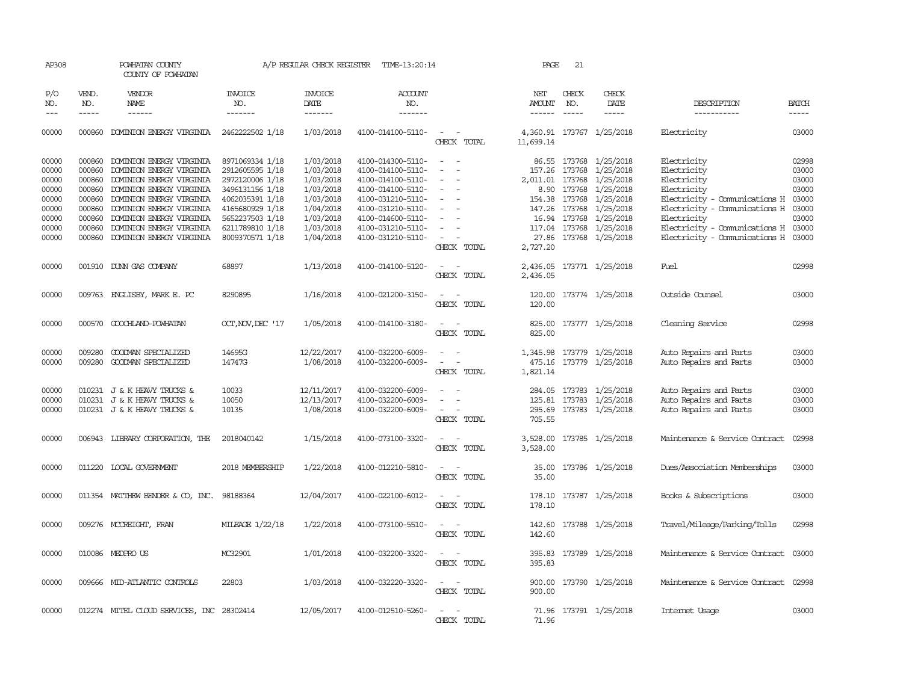| AP308               |                             | POWHATAN COUNTY<br>COUNTY OF POWHATAN      |                           | A/P REGULAR CHECK REGISTER        | TIME-13:20:14                          |                                                                                                              | PAGE                           | 21                          |                                             |                                     |                             |
|---------------------|-----------------------------|--------------------------------------------|---------------------------|-----------------------------------|----------------------------------------|--------------------------------------------------------------------------------------------------------------|--------------------------------|-----------------------------|---------------------------------------------|-------------------------------------|-----------------------------|
| P/O<br>NO.<br>$---$ | VEND.<br>NO.<br>$- - - - -$ | VENDOR<br><b>NAME</b><br>$- - - - - -$     | INVOICE<br>NO.<br>------- | <b>INVOICE</b><br>DATE<br>------- | ACCOUNT<br>NO.<br>-------              |                                                                                                              | NET<br>AMOUNT<br>$- - - - - -$ | CHECK<br>NO.<br>$- - - - -$ | CHECK<br>DATE<br>$- - - - -$                | DESCRIPTION<br>-----------          | <b>BATCH</b><br>$- - - - -$ |
| 00000               |                             | 000860 DOMINION ENERGY VIRGINIA            | 2462222502 1/18           | 1/03/2018                         | 4100-014100-5110-                      | $\sim$ $\sim$                                                                                                |                                |                             | 4,360.91 173767 1/25/2018                   | Electricity                         | 03000                       |
|                     |                             |                                            |                           |                                   |                                        | CHECK TOTAL                                                                                                  | 11,699.14                      |                             |                                             |                                     |                             |
| 00000               | 000860                      | DOMINION ENERGY VIRGINIA                   | 8971069334 1/18           | 1/03/2018                         | 4100-014300-5110-                      | $\sim$<br>$\overline{\phantom{a}}$                                                                           |                                |                             | 86.55 173768 1/25/2018                      | Electricity                         | 02998                       |
| 00000               | 000860                      | DOMINION ENERGY VIRGINIA                   | 2912605595 1/18           | 1/03/2018                         | 4100-014100-5110-                      | $\sim$<br>$\overline{\phantom{a}}$                                                                           | 157.26                         |                             | 173768 1/25/2018                            | Electricity                         | 03000                       |
| 00000               | 000860                      | DOMINION ENERGY VIRGINIA                   | 2972120006 1/18           | 1/03/2018                         | 4100-014100-5110-                      | $\overline{\phantom{a}}$                                                                                     | 2,011.01                       |                             | 173768 1/25/2018                            | Electricity                         | 03000                       |
| 00000               | 000860                      | DOMINION ENERGY VIRGINIA                   | 3496131156 1/18           | 1/03/2018                         | 4100-014100-5110-                      |                                                                                                              |                                |                             | 8.90 173768 1/25/2018                       | Electricity                         | 03000                       |
| 00000               | 000860                      | DOMINION ENERGY VIRGINIA                   | 4062035391 1/18           | 1/03/2018                         | 4100-031210-5110-                      | $\overline{\phantom{a}}$                                                                                     | 154.38                         |                             | 173768 1/25/2018                            | Electricity - Comunications H       | 03000                       |
| 00000               | 000860                      | DOMINION ENERGY VIRGINIA                   | 4165680929 1/18           | 1/04/2018                         | 4100-031210-5110-                      |                                                                                                              | 147.26                         |                             | 173768 1/25/2018                            | Electricity - Comunications H       | 03000                       |
| 00000               | 000860                      | DOMINION ENERGY VIRGINIA                   | 5652237503 1/18           | 1/03/2018                         | 4100-014600-5110-                      |                                                                                                              | 16.94                          |                             | 173768 1/25/2018                            | Electricity                         | 03000                       |
| 00000               | 000860                      | DOMINION ENERGY VIRGINIA                   | 6211789810 1/18           | 1/03/2018                         | 4100-031210-5110-                      | $\overline{\phantom{a}}$                                                                                     |                                |                             | 117.04 173768 1/25/2018                     | Electricity - Comunications H       | 03000                       |
| 00000               |                             | 000860 DOMINION ENERGY VIRGINIA            | 8009370571 1/18           | 1/04/2018                         | 4100-031210-5110-                      | $\sim$                                                                                                       |                                |                             | 27.86 173768 1/25/2018                      | Electricity - Comunications H 03000 |                             |
|                     |                             |                                            |                           |                                   |                                        | CHECK TOTAL                                                                                                  | 2,727.20                       |                             |                                             |                                     |                             |
| 00000               |                             | 001910 DUNN GAS COMPANY                    | 68897                     | 1/13/2018                         | 4100-014100-5120-                      | $\frac{1}{2} \left( \frac{1}{2} \right) \left( \frac{1}{2} \right) = \frac{1}{2} \left( \frac{1}{2} \right)$ |                                |                             | 2,436.05 173771 1/25/2018                   | Fuel                                | 02998                       |
|                     |                             |                                            |                           |                                   |                                        | CHECK TOTAL                                                                                                  | 2,436.05                       |                             |                                             |                                     |                             |
| 00000               |                             | 009763 ENGLISBY, MARK E. PC                | 8290895                   | 1/16/2018                         | 4100-021200-3150-                      | $\sim$                                                                                                       |                                |                             | 120.00 173774 1/25/2018                     | Outside Counsel                     | 03000                       |
|                     |                             |                                            |                           |                                   |                                        | CHECK TOTAL                                                                                                  | 120.00                         |                             |                                             |                                     |                             |
| 00000               |                             | 000570 GOOCHLAND-POWHATAN                  | OCT, NOV, DEC '17         | 1/05/2018                         | 4100-014100-3180-                      |                                                                                                              |                                |                             | 825.00 173777 1/25/2018                     | Cleaning Service                    | 02998                       |
|                     |                             |                                            |                           |                                   |                                        | CHECK TOTAL                                                                                                  | 825.00                         |                             |                                             |                                     |                             |
|                     |                             |                                            |                           |                                   |                                        |                                                                                                              |                                |                             |                                             |                                     |                             |
| 00000<br>00000      | 009280<br>009280            | GOODMAN SPECIALIZED<br>GOODMAN SPECIALIZED | 14695G<br>14747G          | 12/22/2017<br>1/08/2018           | 4100-032200-6009-<br>4100-032200-6009- |                                                                                                              | 1,345.98                       |                             | 173779 1/25/2018<br>475.16 173779 1/25/2018 | Auto Repairs and Parts              | 03000<br>03000              |
|                     |                             |                                            |                           |                                   |                                        | CHECK TOTAL                                                                                                  | 1,821.14                       |                             |                                             | Auto Repairs and Parts              |                             |
|                     |                             |                                            |                           |                                   |                                        |                                                                                                              |                                |                             |                                             |                                     |                             |
| 00000               |                             | 010231 J & K HEAVY TRUCKS &                | 10033                     | 12/11/2017                        | 4100-032200-6009-                      |                                                                                                              |                                |                             | 284.05 173783 1/25/2018                     | Auto Repairs and Parts              | 03000                       |
| 00000               |                             | 010231 J & K HEAVY TRUCKS &                | 10050                     | 12/13/2017                        | 4100-032200-6009-                      |                                                                                                              |                                |                             | 125.81 173783 1/25/2018                     | Auto Repairs and Parts              | 03000                       |
| 00000               |                             | 010231 J & K HEAVY TRUCKS &                | 10135                     | 1/08/2018                         | 4100-032200-6009-                      | $\overline{\phantom{a}}$                                                                                     |                                |                             | 295.69 173783 1/25/2018                     | Auto Repairs and Parts              | 03000                       |
|                     |                             |                                            |                           |                                   |                                        | CHECK TOTAL                                                                                                  | 705.55                         |                             |                                             |                                     |                             |
| 00000               |                             | 006943 LIBRARY CORPORATION, THE            | 2018040142                | 1/15/2018                         | 4100-073100-3320-                      |                                                                                                              | 3,528.00                       |                             | 173785 1/25/2018                            | Maintenance & Service Contract      | 02998                       |
|                     |                             |                                            |                           |                                   |                                        | CHECK TOTAL                                                                                                  | 3,528.00                       |                             |                                             |                                     |                             |
| 00000               |                             | 011220 LOCAL GOVERNMENT                    | 2018 MEMBERSHIP           | 1/22/2018                         | 4100-012210-5810-                      | $\overline{\phantom{a}}$                                                                                     | 35.00                          |                             | 173786 1/25/2018                            | Dues/Association Memberships        | 03000                       |
|                     |                             |                                            |                           |                                   |                                        | CHECK TOTAL                                                                                                  | 35.00                          |                             |                                             |                                     |                             |
| 00000               |                             | 011354 MATTHEW BENDER & CO, INC.           | 98188364                  | 12/04/2017                        | 4100-022100-6012-                      |                                                                                                              | 178.10                         |                             | 173787 1/25/2018                            | Books & Subscriptions               | 03000                       |
|                     |                             |                                            |                           |                                   |                                        | CHECK TOTAL                                                                                                  | 178.10                         |                             |                                             |                                     |                             |
|                     |                             |                                            |                           |                                   |                                        |                                                                                                              |                                |                             |                                             |                                     |                             |
| 00000               |                             | 009276 MCCREIGHT, FRAN                     | MILEAGE 1/22/18           | 1/22/2018                         | 4100-073100-5510-                      | CHECK TOTAL                                                                                                  | 142.60<br>142.60               |                             | 173788 1/25/2018                            | Travel/Mileage/Parking/Tolls        | 02998                       |
|                     |                             |                                            |                           |                                   |                                        |                                                                                                              |                                |                             |                                             |                                     |                             |
| 00000               |                             | 010086 MEDPROUS                            | MC32901                   | 1/01/2018                         | 4100-032200-3320-                      | $\overline{\phantom{a}}$                                                                                     | 395.83                         |                             | 173789 1/25/2018                            | Maintenance & Service Contract      | 03000                       |
|                     |                             |                                            |                           |                                   |                                        | CHECK TOTAL                                                                                                  | 395.83                         |                             |                                             |                                     |                             |
| 00000               |                             | 009666 MID-ATLANTIC CONTROLS               | 22803                     | 1/03/2018                         | 4100-032220-3320-                      | $\sim$                                                                                                       | 900.00                         |                             | 173790 1/25/2018                            | Maintenance & Service Contract      | 02998                       |
|                     |                             |                                            |                           |                                   |                                        | CHECK TOTAL                                                                                                  | 900.00                         |                             |                                             |                                     |                             |
| 00000               |                             | 012274 MITEL CLOUD SERVICES, INC 28302414  |                           | 12/05/2017                        | 4100-012510-5260-                      | $\equiv$<br>$\sim$                                                                                           |                                |                             | 71.96 173791 1/25/2018                      | Internet Usage                      | 03000                       |
|                     |                             |                                            |                           |                                   |                                        | CHECK TOTAL                                                                                                  | 71.96                          |                             |                                             |                                     |                             |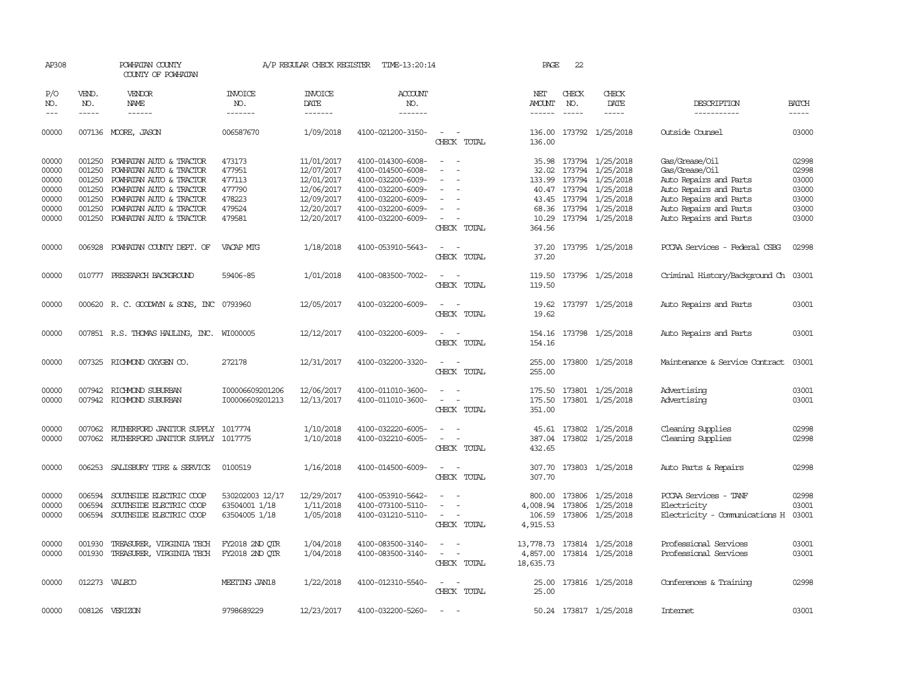| AP308                                                       |                                                          | POWHATAN COUNTY<br>COUNTY OF POWHATAN                                                                                                                                                            |                                                                    | A/P REGULAR CHECK REGISTER                                                                     | TIME-13:20:14                                                                                                                                   |                                                                                                 | PAGE                                                  | 22                            |                                                                                                                                                                  |                                                                                                                                                                    |                                                             |
|-------------------------------------------------------------|----------------------------------------------------------|--------------------------------------------------------------------------------------------------------------------------------------------------------------------------------------------------|--------------------------------------------------------------------|------------------------------------------------------------------------------------------------|-------------------------------------------------------------------------------------------------------------------------------------------------|-------------------------------------------------------------------------------------------------|-------------------------------------------------------|-------------------------------|------------------------------------------------------------------------------------------------------------------------------------------------------------------|--------------------------------------------------------------------------------------------------------------------------------------------------------------------|-------------------------------------------------------------|
| P/O<br>NO.<br>$---$                                         | VEND.<br>NO.<br>$\frac{1}{2}$                            | <b>VENDOR</b><br>NAME<br>$- - - - - -$                                                                                                                                                           | <b>INVOICE</b><br>NO.<br>-------                                   | <b>INVOICE</b><br>DATE<br>-------                                                              | ACCOUNT<br>NO.<br>-------                                                                                                                       |                                                                                                 | NET<br><b>AMOUNT</b>                                  | CHECK<br>NO.<br>$\frac{1}{2}$ | CHECK<br>DATE<br>$- - - - -$                                                                                                                                     | DESCRIPTION<br>-----------                                                                                                                                         | <b>BATCH</b><br>$- - - - -$                                 |
| 00000                                                       |                                                          | 007136 MOORE, JASON                                                                                                                                                                              | 006587670                                                          | 1/09/2018                                                                                      | 4100-021200-3150-                                                                                                                               | $\sim$<br>CHECK TOTAL                                                                           | 136.00<br>136.00                                      |                               | 173792 1/25/2018                                                                                                                                                 | Outside Counsel                                                                                                                                                    | 03000                                                       |
| 00000<br>00000<br>00000<br>00000<br>00000<br>00000<br>00000 | 001250<br>001250<br>001250<br>001250<br>001250<br>001250 | POWHATAN AUTO & TRACTOR<br>POWHATAN AUTO & TRACTOR<br>POWHATAN AUTO & TRACTOR<br>POWHATAN AUTO & TRACTOR<br>POWHATAN AUTO & TRACTOR<br>POWHATAN AUTO & TRACTOR<br>001250 POWHATAN AUTO & TRACTOR | 473173<br>477951<br>477113<br>477790<br>478223<br>479524<br>479581 | 11/01/2017<br>12/07/2017<br>12/01/2017<br>12/06/2017<br>12/09/2017<br>12/20/2017<br>12/20/2017 | 4100-014300-6008-<br>4100-014500-6008-<br>4100-032200-6009-<br>4100-032200-6009-<br>4100-032200-6009-<br>4100-032200-6009-<br>4100-032200-6009- | $\sim$<br>$\overline{\phantom{a}}$<br>$\sim$<br>CHECK TOTAL                                     | 32.02<br>133.99<br>68.36<br>364.56                    |                               | 35.98 173794 1/25/2018<br>173794 1/25/2018<br>173794 1/25/2018<br>40.47 173794 1/25/2018<br>43.45 173794 1/25/2018<br>173794 1/25/2018<br>10.29 173794 1/25/2018 | Gas/Grease/Oil<br>Gas/Grease/Oil<br>Auto Repairs and Parts<br>Auto Repairs and Parts<br>Auto Repairs and Parts<br>Auto Repairs and Parts<br>Auto Repairs and Parts | 02998<br>02998<br>03000<br>03000<br>03000<br>03000<br>03000 |
| 00000                                                       | 006928                                                   | POWHATAN COUNTY DEPT. OF                                                                                                                                                                         | VACAP MIG                                                          | 1/18/2018                                                                                      | 4100-053910-5643-                                                                                                                               | $\overline{a}$<br>$\sim$<br>CHECK TOTAL                                                         | 37.20                                                 |                               | 37.20 173795 1/25/2018                                                                                                                                           | PCCAA Services - Federal CSBG                                                                                                                                      | 02998                                                       |
| 00000                                                       |                                                          | 010777 PRESEARCH BACKGROUND                                                                                                                                                                      | 59406-85                                                           | 1/01/2018                                                                                      | 4100-083500-7002-                                                                                                                               | $\overline{\phantom{a}}$<br>CHECK TOTAL                                                         | 119.50                                                |                               | 119.50 173796 1/25/2018                                                                                                                                          | Criminal History/Background Ch 03001                                                                                                                               |                                                             |
| 00000                                                       |                                                          | 000620 R. C. GOODWYN & SONS, INC                                                                                                                                                                 | 0793960                                                            | 12/05/2017                                                                                     | 4100-032200-6009-                                                                                                                               | $\overline{a}$<br>$\sim$<br>CHECK TOTAL                                                         | 19.62<br>19.62                                        |                               | 173797 1/25/2018                                                                                                                                                 | Auto Repairs and Parts                                                                                                                                             | 03001                                                       |
| 00000                                                       |                                                          | 007851 R.S. THOMAS HAULING, INC. WI000005                                                                                                                                                        |                                                                    | 12/12/2017                                                                                     | 4100-032200-6009-                                                                                                                               | CHECK TOTAL                                                                                     | 154.16<br>154.16                                      |                               | 173798 1/25/2018                                                                                                                                                 | Auto Repairs and Parts                                                                                                                                             | 03001                                                       |
| 00000                                                       |                                                          | 007325 RICHMOND OXYGEN CO.                                                                                                                                                                       | 272178                                                             | 12/31/2017                                                                                     | 4100-032200-3320-                                                                                                                               | $\sim$<br>. —<br>CHECK TOTAL                                                                    | 255.00<br>255.00                                      |                               | 173800 1/25/2018                                                                                                                                                 | Maintenance & Service Contract                                                                                                                                     | 03001                                                       |
| 00000<br>00000                                              |                                                          | 007942 RICHMOND SUBURBAN<br>007942 RICHMOND SUBURBAN                                                                                                                                             | I00006609201206<br>I00006609201213                                 | 12/06/2017<br>12/13/2017                                                                       | 4100-011010-3600-<br>4100-011010-3600-                                                                                                          | $\overline{\phantom{a}}$<br>$\overline{\phantom{a}}$<br>$\overline{\phantom{a}}$<br>CHECK TOTAL | 175.50<br>175.50<br>351.00                            |                               | 173801 1/25/2018<br>173801 1/25/2018                                                                                                                             | Advertising<br>Advertising                                                                                                                                         | 03001<br>03001                                              |
| 00000<br>00000                                              |                                                          | 007062 RUIHERFORD JANITOR SUPPLY 1017774<br>007062 RUIHERFORD JANITOR SUPPLY 1017775                                                                                                             |                                                                    | 1/10/2018<br>1/10/2018                                                                         | 4100-032220-6005-<br>4100-032210-6005-                                                                                                          | $\overline{\phantom{a}}$<br>CHECK TOTAL                                                         | 387.04<br>432.65                                      |                               | 45.61 173802 1/25/2018<br>173802 1/25/2018                                                                                                                       | Cleaning Supplies<br>Cleaning Supplies                                                                                                                             | 02998<br>02998                                              |
| 00000                                                       | 006253                                                   | SALISBURY TIRE & SERVICE                                                                                                                                                                         | 0100519                                                            | 1/16/2018                                                                                      | 4100-014500-6009-                                                                                                                               | $\sim$<br>$\sim$<br>CHECK TOTAL                                                                 | 307.70<br>307.70                                      |                               | 173803 1/25/2018                                                                                                                                                 | Auto Parts & Repairs                                                                                                                                               | 02998                                                       |
| 00000<br>00000<br>00000                                     | 006594<br>006594                                         | SOUTHSIDE ELECTRIC COOP<br>SOUTHSIDE ELECTRIC COOP<br>006594 SOUTHSIDE ELECTRIC COOP                                                                                                             | 530202003 12/17<br>63504001 1/18<br>63504005 1/18                  | 12/29/2017<br>1/11/2018<br>1/05/2018                                                           | 4100-053910-5642-<br>4100-073100-5110-<br>4100-031210-5110-                                                                                     | $\overline{\phantom{a}}$<br>CHECK TOTAL                                                         | 800.00<br>4,008.94<br>4,915.53                        | 173806<br>173806              | 1/25/2018<br>1/25/2018<br>106.59 173806 1/25/2018                                                                                                                | PCCAA Services - TANF<br>Electricity<br>Electricity - Comunications H                                                                                              | 02998<br>03001<br>03001                                     |
| 00000<br>00000                                              | 001930<br>001930                                         | TREASURER, VIRGINIA TECH<br>TREASURER, VIRGINIA TECH                                                                                                                                             | FY2018 2ND QTR<br>FY2018 2ND OTR                                   | 1/04/2018<br>1/04/2018                                                                         | 4100-083500-3140-<br>4100-083500-3140-                                                                                                          | $\overline{\phantom{a}}$<br>CHECK TOTAL                                                         | 13,778.73  173814  1/25/2018<br>4,857.00<br>18,635.73 |                               | 173814 1/25/2018                                                                                                                                                 | Professional Services<br>Professional Services                                                                                                                     | 03001<br>03001                                              |
| 00000                                                       | 012273                                                   | VALECO                                                                                                                                                                                           | MEETING JAN18                                                      | 1/22/2018                                                                                      | 4100-012310-5540-                                                                                                                               | $\sim$ $-$<br>CHECK TOTAL                                                                       | 25.00<br>25.00                                        |                               | 173816 1/25/2018                                                                                                                                                 | Conferences & Training                                                                                                                                             | 02998                                                       |
| 00000                                                       |                                                          | 008126 VERIZON                                                                                                                                                                                   | 9798689229                                                         | 12/23/2017                                                                                     | 4100-032200-5260-                                                                                                                               | $\sim$                                                                                          |                                                       |                               | 50.24 173817 1/25/2018                                                                                                                                           | Internet                                                                                                                                                           | 03001                                                       |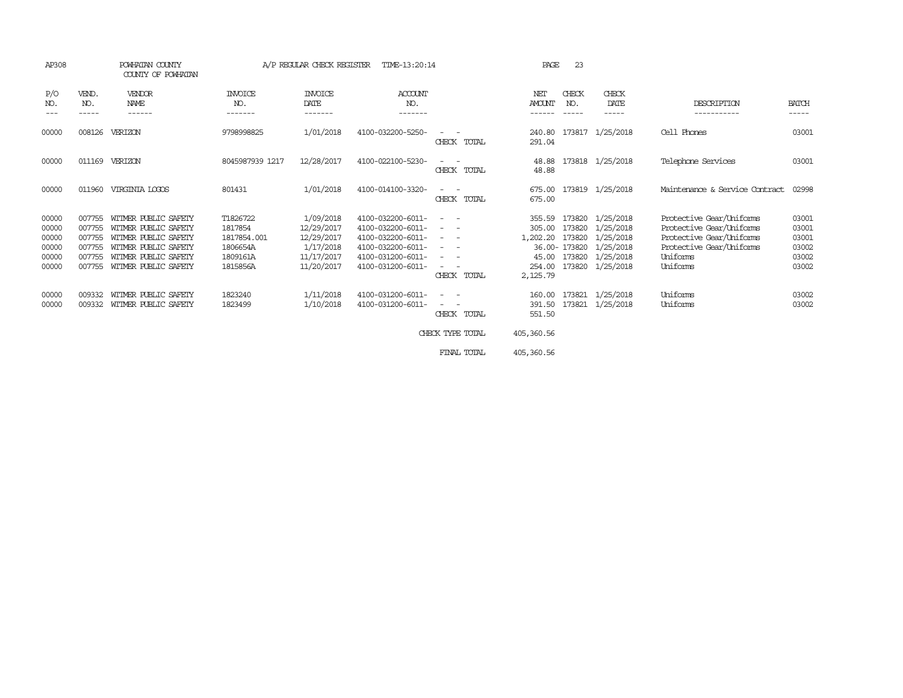| AP308                                              |                                                          | POWHATAN COUNTY<br>COUNTY OF POWHATAN                                                                                                        |                                                                        | A/P REGULAR CHECK REGISTER                                                     | TIME-13:20:14                                                                                                              |                                                                                                                                                                                                                                                                                                                                                                                                                                                                                                                                                                                                                                                                                                                                       | PAGE                                                        | 23                          |                                                                                                                            |                                                                                                                                      |                                                    |
|----------------------------------------------------|----------------------------------------------------------|----------------------------------------------------------------------------------------------------------------------------------------------|------------------------------------------------------------------------|--------------------------------------------------------------------------------|----------------------------------------------------------------------------------------------------------------------------|---------------------------------------------------------------------------------------------------------------------------------------------------------------------------------------------------------------------------------------------------------------------------------------------------------------------------------------------------------------------------------------------------------------------------------------------------------------------------------------------------------------------------------------------------------------------------------------------------------------------------------------------------------------------------------------------------------------------------------------|-------------------------------------------------------------|-----------------------------|----------------------------------------------------------------------------------------------------------------------------|--------------------------------------------------------------------------------------------------------------------------------------|----------------------------------------------------|
| P/O<br>NO.<br>$\qquad \qquad - -$                  | VEND.<br>NO.<br>-----                                    | VENDOR<br><b>NAME</b><br>------                                                                                                              | <b>INVOICE</b><br>NO.<br>-------                                       | <b>INVOICE</b><br>DATE<br>-------                                              | <b>ACCOUNT</b><br>NO.<br>-------                                                                                           |                                                                                                                                                                                                                                                                                                                                                                                                                                                                                                                                                                                                                                                                                                                                       | NET<br><b>AMOUNT</b><br>------                              | CHECK<br>NO.<br>$- - - - -$ | CHECK<br>DATE<br>$- - - - -$                                                                                               | DESCRIPTION<br>-----------                                                                                                           | <b>BATCH</b><br>-----                              |
| 00000                                              | 008126                                                   | VERIZON                                                                                                                                      | 9798998825                                                             | 1/01/2018                                                                      | 4100-032200-5250-                                                                                                          | $\frac{1}{2} \left( \frac{1}{2} \right) \left( \frac{1}{2} \right) \left( \frac{1}{2} \right) \left( \frac{1}{2} \right)$<br>CHECK TOTAL                                                                                                                                                                                                                                                                                                                                                                                                                                                                                                                                                                                              | 240.80<br>291.04                                            | 173817                      | 1/25/2018                                                                                                                  | Cell Phones                                                                                                                          | 03001                                              |
| 00000                                              | 011169                                                   | VERIZON                                                                                                                                      | 8045987939 1217                                                        | 12/28/2017                                                                     | 4100-022100-5230-                                                                                                          | CHECK TOTAL                                                                                                                                                                                                                                                                                                                                                                                                                                                                                                                                                                                                                                                                                                                           | 48.88<br>48.88                                              |                             | 173818 1/25/2018                                                                                                           | Telephone Services                                                                                                                   | 03001                                              |
| 00000                                              | 011960                                                   | VIRGINIA LOGOS                                                                                                                               | 801431                                                                 | 1/01/2018                                                                      | 4100-014100-3320-                                                                                                          | $\frac{1}{2} \left( \frac{1}{2} \right) \left( \frac{1}{2} \right) = \frac{1}{2} \left( \frac{1}{2} \right)$<br>CHECK TOTAL                                                                                                                                                                                                                                                                                                                                                                                                                                                                                                                                                                                                           | 675.00<br>675.00                                            |                             | 173819 1/25/2018                                                                                                           | Maintenance & Service Contract                                                                                                       | 02998                                              |
| 00000<br>00000<br>00000<br>00000<br>00000<br>00000 | 007755<br>007755<br>007755<br>007755<br>007755<br>007755 | WITMER PUBLIC SAFETY<br>WITMER PUBLIC SAFETY<br>WITMER PUBLIC SAFETY<br>WITMER PUBLIC SAFETY<br>WITMER PUBLIC SAFETY<br>WITMER PUBLIC SAFETY | T1826722<br>1817854<br>1817854.001<br>1806654A<br>1809161A<br>1815856A | 1/09/2018<br>12/29/2017<br>12/29/2017<br>1/17/2018<br>11/17/2017<br>11/20/2017 | 4100-032200-6011-<br>4100-032200-6011-<br>4100-032200-6011-<br>4100-032200-6011-<br>4100-031200-6011-<br>4100-031200-6011- | $\frac{1}{2} \left( \frac{1}{2} \right) \left( \frac{1}{2} \right) = \frac{1}{2} \left( \frac{1}{2} \right)$<br>$\frac{1}{2} \left( \frac{1}{2} \right) \left( \frac{1}{2} \right) = \frac{1}{2} \left( \frac{1}{2} \right)$<br>$\frac{1}{2} \left( \frac{1}{2} \right) \left( \frac{1}{2} \right) \left( \frac{1}{2} \right) \left( \frac{1}{2} \right)$<br>$\frac{1}{2} \left( \frac{1}{2} \right) \left( \frac{1}{2} \right) = \frac{1}{2} \left( \frac{1}{2} \right)$<br>$\frac{1}{2} \left( \frac{1}{2} \right) \left( \frac{1}{2} \right) \left( \frac{1}{2} \right) \left( \frac{1}{2} \right)$<br>$\frac{1}{2} \left( \frac{1}{2} \right) \left( \frac{1}{2} \right) = \frac{1}{2} \left( \frac{1}{2} \right)$<br>CHECK TOTAL | 355.59<br>305.00<br>1,202.20<br>45.00<br>254.00<br>2,125.79 |                             | 173820 1/25/2018<br>173820 1/25/2018<br>173820 1/25/2018<br>36.00-173820 1/25/2018<br>173820 1/25/2018<br>173820 1/25/2018 | Protective Gear/Uniforms<br>Protective Gear/Uniforms<br>Protective Gear/Uniforms<br>Protective Gear/Uniforms<br>Uniforms<br>Uniforms | 03001<br>03001<br>03001<br>03002<br>03002<br>03002 |
| 00000<br>00000                                     | 009332<br>009332                                         | WITMER PUBLIC SAFETY<br>WITMER PUBLIC SAFETY                                                                                                 | 1823240<br>1823499                                                     | 1/11/2018<br>1/10/2018                                                         | 4100-031200-6011-<br>4100-031200-6011-                                                                                     | $\sim$ 100 $\mu$<br>$\sim 100$<br>CHECK TOTAL<br>CHECK TYPE TOTAL                                                                                                                                                                                                                                                                                                                                                                                                                                                                                                                                                                                                                                                                     | 160.00<br>391.50<br>551.50<br>405,360.56                    | 173821                      | 173821 1/25/2018<br>1/25/2018                                                                                              | Uniforms<br>Uniforms                                                                                                                 | 03002<br>03002                                     |

FINAL TOTAL 405,360.56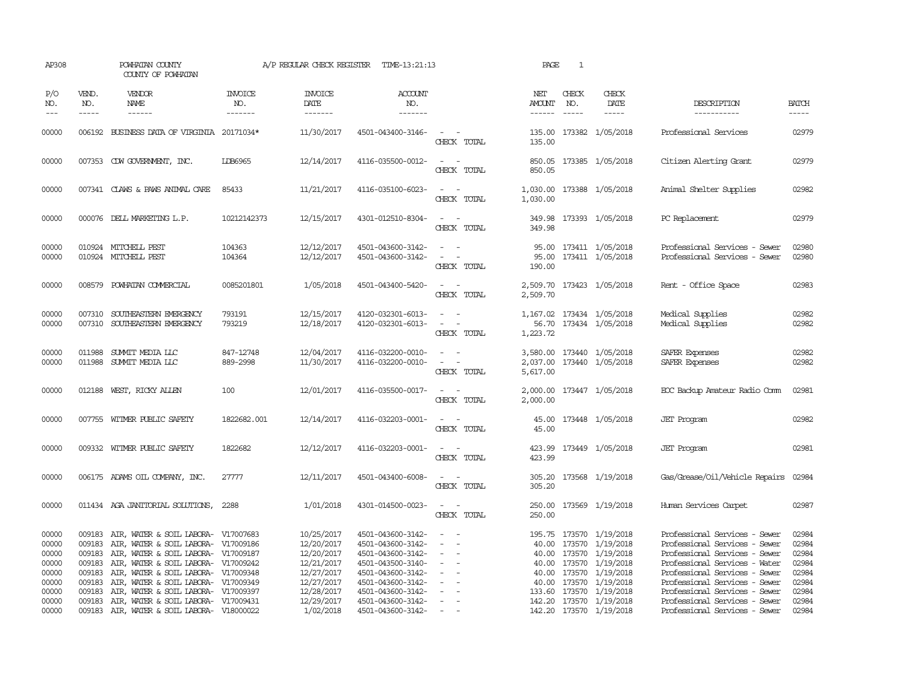| AP308                                              |                                      | POWHATAN COUNTY<br>COUNTY OF POWHATAN                                                                                                                                                                                                                |                                   | A/P REGULAR CHECK REGISTER                                                       | TIME-13:21:13                                                                                                              |                                                            | PAGE                 | 1                             |                                                                                                                                        |                                                                                                                                                                                                    |                                                    |
|----------------------------------------------------|--------------------------------------|------------------------------------------------------------------------------------------------------------------------------------------------------------------------------------------------------------------------------------------------------|-----------------------------------|----------------------------------------------------------------------------------|----------------------------------------------------------------------------------------------------------------------------|------------------------------------------------------------|----------------------|-------------------------------|----------------------------------------------------------------------------------------------------------------------------------------|----------------------------------------------------------------------------------------------------------------------------------------------------------------------------------------------------|----------------------------------------------------|
| P/O<br>NO.<br>$---$                                | VEND.<br>NO.<br>$\frac{1}{2}$        | <b>VENDOR</b><br>NAME<br>$- - - - - -$                                                                                                                                                                                                               | <b>INVOICE</b><br>NO.<br>-------- | <b>INVOICE</b><br>DATE<br>--------                                               | ACCOUNT<br>NO.<br>$- - - - - - -$                                                                                          |                                                            | NET<br>AMOUNT        | CHECK<br>NO.<br>$\frac{1}{2}$ | CHECK<br>DATE<br>$\frac{1}{2}$                                                                                                         | DESCRIPTION<br>-----------                                                                                                                                                                         | <b>BATCH</b><br>-----                              |
| 00000                                              |                                      | 006192 BUSINESS DATA OF VIRGINIA 20171034*                                                                                                                                                                                                           |                                   | 11/30/2017                                                                       | 4501-043400-3146-                                                                                                          | $\omega_{\rm{max}}$ and $\omega_{\rm{max}}$<br>CHECK TOTAL | 135.00               |                               | 135.00 173382 1/05/2018                                                                                                                | Professional Services                                                                                                                                                                              | 02979                                              |
| 00000                                              |                                      | 007353 CDW GOVERNMENT, INC.                                                                                                                                                                                                                          | <b>LDB6965</b>                    | 12/14/2017                                                                       | 4116-035500-0012-                                                                                                          | $\omega_{\rm{max}}$ , $\omega_{\rm{max}}$<br>CHECK TOTAL   | 850.05               |                               | 850.05 173385 1/05/2018                                                                                                                | Citizen Alerting Grant                                                                                                                                                                             | 02979                                              |
| 00000                                              |                                      | 007341 CLAWS & PAWS ANIMAL CARE                                                                                                                                                                                                                      | 85433                             | 11/21/2017                                                                       | 4116-035100-6023-                                                                                                          | $\sim$<br>$\sim$<br>CHECK TOTAL                            | 1,030.00             |                               | 1,030.00 173388 1/05/2018                                                                                                              | Animal Shelter Supplies                                                                                                                                                                            | 02982                                              |
| 00000                                              |                                      | 000076 DELL MARKETING L.P.                                                                                                                                                                                                                           | 10212142373                       | 12/15/2017                                                                       | 4301-012510-8304-                                                                                                          | $\sim$ $ \sim$<br>CHECK TOTAL                              | 349.98               |                               | 349.98 173393 1/05/2018                                                                                                                | PC Replacement                                                                                                                                                                                     | 02979                                              |
| 00000<br>00000                                     |                                      | 010924 MITCHELL PEST<br>010924 MITCHELL PEST                                                                                                                                                                                                         | 104363<br>104364                  | 12/12/2017<br>12/12/2017                                                         | 4501-043600-3142-<br>4501-043600-3142-                                                                                     | $\sim$<br>CHECK TOTAL                                      | 190.00               |                               | 95.00 173411 1/05/2018<br>95.00 173411 1/05/2018                                                                                       | Professional Services - Sewer<br>Professional Services - Sewer                                                                                                                                     | 02980<br>02980                                     |
| 00000                                              | 008579                               | POWHATAN COMMERCIAL                                                                                                                                                                                                                                  | 0085201801                        | 1/05/2018                                                                        | 4501-043400-5420-                                                                                                          | $\sim$ 100 $\mu$<br>CHECK TOTAL                            | 2,509.70             |                               | 2,509.70 173423 1/05/2018                                                                                                              | Rent - Office Space                                                                                                                                                                                | 02983                                              |
| 00000<br>00000                                     | 007310                               | SOUTHEASTERN EMERGENCY<br>007310 SOUTHEASTERN EMERGENCY                                                                                                                                                                                              | 793191<br>793219                  | 12/15/2017<br>12/18/2017                                                         | 4120-032301-6013-<br>4120-032301-6013-                                                                                     | $\sim$ $ \sim$<br>$\sim$ $ -$<br>CHECK TOTAL               | 1,223.72             |                               | 1,167.02 173434 1/05/2018<br>56.70 173434 1/05/2018                                                                                    | Medical Supplies<br>Medical Supplies                                                                                                                                                               | 02982<br>02982                                     |
| 00000<br>00000                                     |                                      | 011988 SUMMIT MEDIA LLC<br>011988 SUMMIT MEDIA LLC                                                                                                                                                                                                   | 847-12748<br>889-2998             | 12/04/2017<br>11/30/2017                                                         | 4116-032200-0010-<br>4116-032200-0010-                                                                                     | $\sim$<br>$\sim$<br>$\sim$<br>÷.<br>CHECK TOTAL            | 2,037.00<br>5,617.00 |                               | 3,580.00 173440 1/05/2018<br>173440 1/05/2018                                                                                          | SAFER Expenses<br>SAFER Expenses                                                                                                                                                                   | 02982<br>02982                                     |
| 00000                                              |                                      | 012188 WEST, RICKY ALLEN                                                                                                                                                                                                                             | 100                               | 12/01/2017                                                                       | 4116-035500-0017-                                                                                                          | $\sim$ 100 $\sim$ 100 $\sim$<br>CHECK TOTAL                | 2,000.00             |                               | 2,000.00 173447 1/05/2018                                                                                                              | EOC Backup Amateur Radio Comm                                                                                                                                                                      | 02981                                              |
| 00000                                              |                                      | 007755 WITMER PUBLIC SAFETY                                                                                                                                                                                                                          | 1822682.001                       | 12/14/2017                                                                       | 4116-032203-0001-                                                                                                          | $\sim$ $  -$<br>CHECK TOTAL                                | 45.00                |                               | 45.00 173448 1/05/2018                                                                                                                 | <b>JET</b> Program                                                                                                                                                                                 | 02982                                              |
| 00000                                              |                                      | 009332 WITMER PUBLIC SAFETY                                                                                                                                                                                                                          | 1822682                           | 12/12/2017                                                                       | 4116-032203-0001-                                                                                                          | $\sim$ $ \sim$<br>CHECK TOTAL                              | 423.99<br>423.99     |                               | 173449 1/05/2018                                                                                                                       | <b>JET</b> Program                                                                                                                                                                                 | 02981                                              |
| 00000                                              |                                      | 006175 ADAMS OIL COMPANY, INC.                                                                                                                                                                                                                       | 27777                             | 12/11/2017                                                                       | 4501-043400-6008-                                                                                                          | CHECK TOTAL                                                | 305.20               |                               | 305.20 173568 1/19/2018                                                                                                                | Gas/Grease/Oil/Vehicle Repairs                                                                                                                                                                     | 02984                                              |
| 00000                                              |                                      | 011434 AGA JANITORIAL SOLUTIONS,                                                                                                                                                                                                                     | 2288                              | 1/01/2018                                                                        | 4301-014500-0023-                                                                                                          | $\sim$ 100 $\sim$ 100 $\sim$<br>CHECK TOTAL                | 250.00               |                               | 250.00 173569 1/19/2018                                                                                                                | Human Services Carpet                                                                                                                                                                              | 02987                                              |
| 00000<br>00000<br>00000<br>00000<br>00000<br>00000 | 009183<br>009183<br>009183<br>009183 | AIR, WATER & SOIL LABORA- V17007683<br>AIR, WATER & SOIL LABORA- V17009186<br>009183 AIR, WATER & SOIL LABORA- V17009187<br>009183 AIR, WATER & SOIL LABORA- V17009242<br>AIR, WATER & SOIL LABORA- V17009348<br>AIR, WATER & SOIL LABORA- V17009349 |                                   | 10/25/2017<br>12/20/2017<br>12/20/2017<br>12/21/2017<br>12/27/2017<br>12/27/2017 | 4501-043600-3142-<br>4501-043600-3142-<br>4501-043600-3142-<br>4501-043500-3140-<br>4501-043600-3142-<br>4501-043600-3142- | $\sim$<br>$\sim$<br>$\overline{\phantom{a}}$               | 40.00<br>40.00       | 173570                        | 195.75 173570 1/19/2018<br>173570 1/19/2018<br>40.00 173570 1/19/2018<br>1/19/2018<br>40.00 173570 1/19/2018<br>40.00 173570 1/19/2018 | Professional Services - Sewer<br>Professional Services - Sewer<br>Professional Services - Sewer<br>Professional Services - Water<br>Professional Services - Sewer<br>Professional Services - Sewer | 02984<br>02984<br>02984<br>02984<br>02984<br>02984 |
| 00000<br>00000<br>00000                            | 009183                               | AIR, WATER & SOIL LABORA- V17009397<br>009183 AIR, WATER & SOIL LABORA- V17009431<br>009183 AIR, WATER & SOIL LABORA- V18000022                                                                                                                      |                                   | 12/28/2017<br>12/29/2017<br>1/02/2018                                            | 4501-043600-3142-<br>4501-043600-3142-<br>4501-043600-3142-                                                                | $\sim$<br>$\sim$                                           |                      |                               | 133.60 173570 1/19/2018<br>142.20 173570 1/19/2018<br>142.20 173570 1/19/2018                                                          | Professional Services - Sewer<br>Professional Services - Sewer<br>Professional Services - Sewer                                                                                                    | 02984<br>02984<br>02984                            |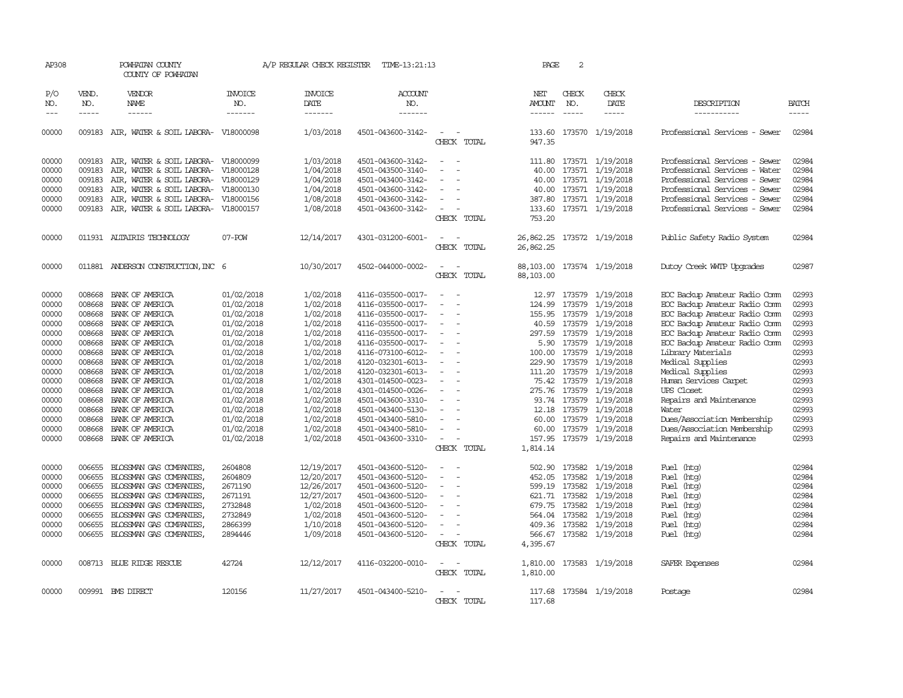| AP308                       |                             | POWHATAN COUNTY<br>COUNTY OF POWHATAN      |                                  | A/P REGULAR CHECK REGISTER        | TIME-13:21:13                    |                          | PAGE                   | 2                             |                         |                               |                             |
|-----------------------------|-----------------------------|--------------------------------------------|----------------------------------|-----------------------------------|----------------------------------|--------------------------|------------------------|-------------------------------|-------------------------|-------------------------------|-----------------------------|
| P/O<br>NO.<br>$\frac{1}{2}$ | VEND.<br>NO.<br>$- - - - -$ | VENDOR<br>NAME<br>$- - - - - -$            | <b>INVOICE</b><br>NO.<br>------- | <b>INVOICE</b><br>DATE<br>------- | <b>ACCOUNT</b><br>NO.<br>------- |                          | NET<br><b>AMOUNT</b>   | CHECK<br>NO.<br>$\frac{1}{2}$ | CHECK<br>DATE<br>-----  | DESCRIPTION<br>-----------    | <b>BATCH</b><br>$- - - - -$ |
| 00000                       |                             | 009183 AIR, WATER & SOIL LABORA- V18000098 |                                  | 1/03/2018                         | 4501-043600-3142-                | CHECK TOTAL              | 133.60<br>947.35       |                               | 173570 1/19/2018        | Professional Services - Sewer | 02984                       |
| 00000                       |                             | 009183 AIR, WATER & SOIL LABORA- V18000099 |                                  | 1/03/2018                         | 4501-043600-3142-                |                          | 111.80                 |                               | 173571 1/19/2018        | Professional Services - Sewer | 02984                       |
| 00000                       | 009183                      | AIR, WATER & SOIL LABORA-                  | V18000128                        | 1/04/2018                         | 4501-043500-3140-                |                          | 40.00                  |                               | 173571 1/19/2018        | Professional Services - Water | 02984                       |
| 00000                       | 009183                      | AIR, WATER & SOIL LABORA-                  | V18000129                        | 1/04/2018                         | 4501-043400-3142-                |                          | 40.00                  |                               | 173571 1/19/2018        | Professional Services - Sewer | 02984                       |
| 00000                       | 009183                      | AIR, WATER & SOIL LABORA- V18000130        |                                  | 1/04/2018                         | 4501-043600-3142-                |                          | 40.00                  |                               | 173571 1/19/2018        | Professional Services - Sewer | 02984                       |
| 00000                       | 009183                      | AIR, WATER & SOIL LABORA-                  | V18000156                        | 1/08/2018                         | 4501-043600-3142-                |                          | 387.80                 |                               | 173571 1/19/2018        | Professional Services - Sewer | 02984                       |
| 00000                       |                             | 009183 AIR, WATER & SOIL LABORA-           | V18000157                        | 1/08/2018                         | 4501-043600-3142-                | CHECK TOTAL              | 133.60<br>753.20       |                               | 173571 1/19/2018        | Professional Services - Sewer | 02984                       |
| 00000                       |                             | 011931 ALTAIRIS TECHNOLOGY                 | 07-POW                           | 12/14/2017                        | 4301-031200-6001-                | CHECK TOTAL              | 26,862.25<br>26,862.25 |                               | 173572 1/19/2018        | Public Safety Radio System    | 02984                       |
| 00000                       |                             | 011881 ANDERSON CONSTRUCTION, INC 6        |                                  | 10/30/2017                        | 4502-044000-0002-                |                          | 88,103.00              |                               | 173574 1/19/2018        | Dutoy Creek WITP Upgrades     | 02987                       |
|                             |                             |                                            |                                  |                                   |                                  | CHECK TOTAL              | 88,103.00              |                               |                         |                               |                             |
| 00000                       | 008668                      | BANK OF AMERICA                            | 01/02/2018                       | 1/02/2018                         | 4116-035500-0017-                |                          | 12.97                  |                               | 173579 1/19/2018        | EOC Backup Amateur Radio Comm | 02993                       |
| 00000                       | 008668                      | BANK OF AMERICA                            | 01/02/2018                       | 1/02/2018                         | 4116-035500-0017-                | $\overline{\phantom{a}}$ | 124.99                 |                               | 173579 1/19/2018        | EOC Backup Amateur Radio Comm | 02993                       |
| 00000                       | 008668                      | BANK OF AMERICA                            | 01/02/2018                       | 1/02/2018                         | 4116-035500-0017-                | $\overline{\phantom{a}}$ | 155.95                 |                               | 173579 1/19/2018        | EOC Backup Amateur Radio Comm | 02993                       |
| 00000                       | 008668                      | BANK OF AMERICA                            | 01/02/2018                       | 1/02/2018                         | 4116-035500-0017-                |                          | 40.59                  |                               | 173579 1/19/2018        | EOC Backup Amateur Radio Comm | 02993                       |
| 00000                       | 008668                      | BANK OF AMERICA                            | 01/02/2018                       | 1/02/2018                         | 4116-035500-0017-                | $\equiv$                 |                        |                               | 297.59 173579 1/19/2018 | EOC Backup Amateur Radio Comm | 02993                       |
| 00000                       | 008668                      | BANK OF AMERICA                            | 01/02/2018                       | 1/02/2018                         | 4116-035500-0017-                | $\sim$                   | 5.90                   |                               | 173579 1/19/2018        | ECC Backup Amateur Radio Comm | 02993                       |
| 00000                       | 008668                      | BANK OF AMERICA                            | 01/02/2018                       | 1/02/2018                         | 4116-073100-6012-                |                          | 100.00                 |                               | 173579 1/19/2018        | Library Materials             | 02993                       |
| 00000                       | 008668                      | BANK OF AMERICA                            | 01/02/2018                       | 1/02/2018                         | 4120-032301-6013-                | $\equiv$                 | 229.90                 |                               | 173579 1/19/2018        | Medical Supplies              | 02993                       |
| 00000                       | 008668                      | BANK OF AMERICA                            | 01/02/2018                       | 1/02/2018                         | 4120-032301-6013-                |                          | 111.20                 | 173579                        | 1/19/2018               | Medical Supplies              | 02993                       |
| 00000                       | 008668                      | BANK OF AMERICA                            | 01/02/2018                       | 1/02/2018                         | 4301-014500-0023-                |                          |                        |                               | 75.42 173579 1/19/2018  | Human Services Carpet         | 02993                       |
| 00000                       | 008668                      | BANK OF AMERICA                            | 01/02/2018                       | 1/02/2018                         | 4301-014500-0026-                |                          |                        |                               | 275.76 173579 1/19/2018 | UPS Closet                    | 02993                       |
| 00000                       | 008668                      | BANK OF AMERICA                            | 01/02/2018                       | 1/02/2018                         | 4501-043600-3310-                | $\overline{\phantom{a}}$ | 93.74                  | 173579                        | 1/19/2018               | Repairs and Maintenance       | 02993                       |
| 00000                       | 008668                      | BANK OF AMERICA                            | 01/02/2018                       | 1/02/2018                         | 4501-043400-5130-                |                          | 12.18                  |                               | 173579 1/19/2018        | Water                         | 02993                       |
| 00000                       | 008668                      | BANK OF AMERICA                            | 01/02/2018                       | 1/02/2018                         | 4501-043400-5810-                |                          | 60.00                  |                               | 173579 1/19/2018        | Dues/Association Membership   | 02993                       |
| 00000                       | 008668                      | BANK OF AMERICA                            | 01/02/2018                       | 1/02/2018                         | 4501-043400-5810-                | $\overline{\phantom{a}}$ | 60.00                  |                               | 173579 1/19/2018        | Dues/Association Membership   | 02993                       |
| 00000                       |                             | 008668 BANK OF AMERICA                     | 01/02/2018                       | 1/02/2018                         | 4501-043600-3310-                | CHECK TOTAL              | 157.95<br>1,814.14     |                               | 173579 1/19/2018        | Repairs and Maintenance       | 02993                       |
| 00000                       | 006655                      | BLOSSMAN GAS COMPANIES,                    | 2604808                          | 12/19/2017                        | 4501-043600-5120-                |                          | 502.90                 |                               | 173582 1/19/2018        | Fuel (htg)                    | 02984                       |
| 00000                       | 006655                      | BLOSSMAN GAS COMPANIES,                    | 2604809                          | 12/20/2017                        | 4501-043600-5120-                |                          | 452.05                 | 173582                        | 1/19/2018               | Fuel (htg)                    | 02984                       |
| 00000                       | 006655                      | BLOSSMAN GAS COMPANIES                     | 2671190                          | 12/26/2017                        | 4501-043600-5120-                | $\equiv$                 |                        | 599.19 173582                 | 1/19/2018               | Fuel (htg)                    | 02984                       |
| 00000                       | 006655                      | BLOSSMAN GAS COMPANIES,                    | 2671191                          | 12/27/2017                        | 4501-043600-5120-                |                          | 621.71                 | 173582                        | 1/19/2018               | (htg)<br>Fuel                 | 02984                       |
| 00000                       | 006655                      | BLOSSMAN GAS COMPANIES,                    | 2732848                          | 1/02/2018                         | 4501-043600-5120-                |                          | 679.75                 | 173582                        | 1/19/2018               | Fuel (htg)                    | 02984                       |
| 00000                       | 006655                      | BLOSSMAN GAS COMPANIES,                    | 2732849                          | 1/02/2018                         | 4501-043600-5120-                |                          | 564.04                 | 173582                        | 1/19/2018               | Fuel<br>(htg)                 | 02984                       |
| 00000                       | 006655                      | BLOSSMAN GAS COMPANIES,                    | 2866399                          | 1/10/2018                         | 4501-043600-5120-                |                          | 409.36                 | 173582                        | 1/19/2018               | Fuel<br>(htg)                 | 02984                       |
| 00000                       |                             | 006655 BLOSSMAN GAS COMPANIES,             | 2894446                          | 1/09/2018                         | 4501-043600-5120-                | $\equiv$<br>CHECK TOTAL  | 4,395.67               |                               | 566.67 173582 1/19/2018 | Fuel (htg)                    | 02984                       |
| 00000                       |                             | 008713 BLUE RIDGE RESCUE                   | 42724                            | 12/12/2017                        | 4116-032200-0010-                |                          | 1,810.00               |                               | 173583 1/19/2018        | SAFER Expenses                | 02984                       |
|                             |                             |                                            |                                  |                                   |                                  | CHECK TOTAL              | 1,810.00               |                               |                         |                               |                             |
| 00000                       |                             | 009991 BMS DIRECT                          | 120156                           | 11/27/2017                        | 4501-043400-5210-                |                          | 117.68                 |                               | 173584 1/19/2018        | Postage                       | 02984                       |
|                             |                             |                                            |                                  |                                   |                                  | CHECK TOTAL              | 117.68                 |                               |                         |                               |                             |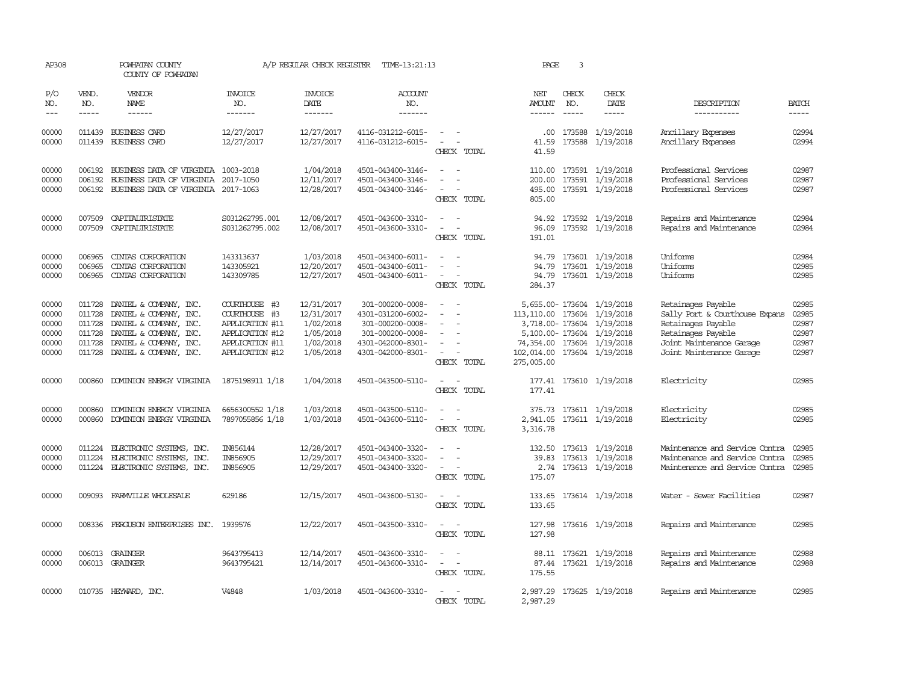| AP308                                              |                                      | POWHATAN COUNTY<br>COUNTY OF POWHATAN                                                                                                                                  |                                                                                                            | A/P REGULAR CHECK REGISTER                                                   | TIME-13:21:13                                                                                                           |                                                                                                                                         | PAGE                                                                                   | 3                           |                                                                                                         |                                                                                                                                                          |                                                    |
|----------------------------------------------------|--------------------------------------|------------------------------------------------------------------------------------------------------------------------------------------------------------------------|------------------------------------------------------------------------------------------------------------|------------------------------------------------------------------------------|-------------------------------------------------------------------------------------------------------------------------|-----------------------------------------------------------------------------------------------------------------------------------------|----------------------------------------------------------------------------------------|-----------------------------|---------------------------------------------------------------------------------------------------------|----------------------------------------------------------------------------------------------------------------------------------------------------------|----------------------------------------------------|
| P/O<br>NO.<br>$---$                                | VEND.<br>NO.<br>$- - - - -$          | <b>VENDOR</b><br>NAME<br>------                                                                                                                                        | <b>INVOICE</b><br>NO.<br>-------                                                                           | <b>INVOICE</b><br><b>DATE</b><br>-------                                     | <b>ACCOUNT</b><br>NO.<br>-------                                                                                        |                                                                                                                                         | NET<br>AMOUNT<br>$- - - - - -$                                                         | CHECK<br>NO.<br>$- - - - -$ | CHECK<br>DATE<br>$- - - - -$                                                                            | DESCRIPTION<br>-----------                                                                                                                               | <b>BATCH</b>                                       |
| 00000<br>00000                                     | 011439<br>011439                     | <b>BUSINESS CARD</b><br>BUSINESS CARD                                                                                                                                  | 12/27/2017<br>12/27/2017                                                                                   | 12/27/2017<br>12/27/2017                                                     | 4116-031212-6015-<br>4116-031212-6015-                                                                                  | $\overline{\phantom{a}}$<br>$\sim$<br>$\sim$<br>CHECK TOTAL                                                                             | $.00 \,$<br>41.59<br>41.59                                                             | 173588<br>173588            | 1/19/2018<br>1/19/2018                                                                                  | Ancillary Expenses<br>Ancillary Expenses                                                                                                                 | 02994<br>02994                                     |
| 00000<br>00000<br>00000                            | 006192<br>006192<br>006192           | BUSINESS DATA OF VIRGINIA<br>BUSINESS DATA OF VIRGINIA<br>BUSINESS DATA OF VIRGINIA 2017-1063                                                                          | 1003-2018<br>2017-1050                                                                                     | 1/04/2018<br>12/11/2017<br>12/28/2017                                        | 4501-043400-3146-<br>4501-043400-3146-<br>4501-043400-3146-                                                             | $\overline{\phantom{a}}$<br>$\equiv$<br>$\sim$<br>CHECK TOTAL                                                                           | 110.00<br>200.00<br>495.00<br>805.00                                                   |                             | 173591 1/19/2018<br>173591 1/19/2018<br>173591 1/19/2018                                                | Professional Services<br>Professional Services<br>Professional Services                                                                                  | 02987<br>02987<br>02987                            |
| 00000<br>00000                                     | 007509<br>007509                     | CAPITALIRISTATE<br>CAPITALIRISTATE                                                                                                                                     | S031262795.001<br>S031262795.002                                                                           | 12/08/2017<br>12/08/2017                                                     | 4501-043600-3310-<br>4501-043600-3310-                                                                                  | $\sim$<br>$\sim$<br>$\overline{\phantom{a}}$<br>CHECK TOTAL                                                                             | 96.09<br>191.01                                                                        |                             | 94.92 173592 1/19/2018<br>173592 1/19/2018                                                              | Repairs and Maintenance<br>Repairs and Maintenance                                                                                                       | 02984<br>02984                                     |
| 00000<br>00000<br>00000                            | 006965<br>006965<br>006965           | CINIAS CORPORATION<br>CINIAS CORPORATION<br>CINIAS CORPORATION                                                                                                         | 143313637<br>143305921<br>143309785                                                                        | 1/03/2018<br>12/20/2017<br>12/27/2017                                        | 4501-043400-6011-<br>4501-043400-6011-<br>4501-043400-6011-                                                             | $\overline{\phantom{a}}$<br>$\sim$<br>$\overline{\phantom{a}}$<br>CHECK TOTAL                                                           | 94.79<br>94.79<br>94.79<br>284.37                                                      |                             | 173601 1/19/2018<br>173601 1/19/2018<br>173601 1/19/2018                                                | Uniforms<br>Uniforms<br>Uniforms                                                                                                                         | 02984<br>02985<br>02985                            |
| 00000<br>00000<br>00000<br>00000<br>00000<br>00000 | 011728<br>011728<br>011728<br>011728 | DANIEL & COMPANY, INC.<br>DANIEL & COMPANY, INC.<br>DANIEL & COMPANY, INC.<br>DANIEL & COMPANY, INC.<br>011728 DANIEL & COMPANY, INC.<br>011728 DANIEL & COMPANY, INC. | COURTHOUSE #3<br>COURTHOUSE #3<br>APPLICATION #11<br>APPLICATION #12<br>APPLICATION #11<br>APPLICATION #12 | 12/31/2017<br>12/31/2017<br>1/02/2018<br>1/05/2018<br>1/02/2018<br>1/05/2018 | 301-000200-0008-<br>4301-031200-6002-<br>301-000200-0008-<br>301-000200-0008-<br>4301-042000-8301-<br>4301-042000-8301- | $\sim$<br>$\sim$<br>$\overline{\phantom{a}}$<br>$\overline{\phantom{a}}$<br>$\overline{\phantom{a}}$<br>$\sim$<br>$\sim$<br>CHECK TOTAL | 113, 110.00 173604 1/19/2018<br>74,354.00 173604 1/19/2018<br>102,014.00<br>275,005.00 |                             | 5,655.00-173604 1/19/2018<br>3,718.00-173604 1/19/2018<br>5,100.00-173604 1/19/2018<br>173604 1/19/2018 | Retainages Payable<br>Sally Port & Courthouse Expans<br>Retainages Payable<br>Retainages Payable<br>Joint Maintenance Garage<br>Joint Maintenance Garage | 02985<br>02985<br>02987<br>02987<br>02987<br>02987 |
| 00000                                              | 000860                               | DOMINION ENERGY VIRGINIA                                                                                                                                               | 1875198911 1/18                                                                                            | 1/04/2018                                                                    | 4501-043500-5110-                                                                                                       | $\sim$<br>CHECK TOTAL                                                                                                                   | 177.41                                                                                 |                             | 177.41 173610 1/19/2018                                                                                 | Electricity                                                                                                                                              | 02985                                              |
| 00000<br>00000                                     | 000860<br>000860                     | DOMINION ENERGY VIRGINIA<br>DOMINION ENERGY VIRGINIA                                                                                                                   | 6656300552 1/18<br>7897055856 1/18                                                                         | 1/03/2018<br>1/03/2018                                                       | 4501-043500-5110-<br>4501-043600-5110-                                                                                  | $\overline{\phantom{a}}$<br>$\sim$<br>$\sim$<br>CHECK TOTAL                                                                             | 375.73<br>3,316.78                                                                     |                             | 173611 1/19/2018<br>2,941.05 173611 1/19/2018                                                           | Electricity<br>Electricity                                                                                                                               | 02985<br>02985                                     |
| 00000<br>00000<br>00000                            | 011224<br>011224<br>011224           | ELECTRONIC SYSTEMS, INC.<br>ELECTRONIC SYSTEMS, INC.<br>ELECTRONIC SYSTEMS, INC.                                                                                       | IN856144<br>IN856905<br>IN856905                                                                           | 12/28/2017<br>12/29/2017<br>12/29/2017                                       | 4501-043400-3320-<br>4501-043400-3320-<br>4501-043400-3320-                                                             | $\equiv$<br>CHECK TOTAL                                                                                                                 | 39.83<br>2.74<br>175.07                                                                |                             | 132.50 173613 1/19/2018<br>173613 1/19/2018<br>173613 1/19/2018                                         | Maintenance and Service Contra<br>Maintenance and Service Contra<br>Maintenance and Service Contra                                                       | 02985<br>02985<br>02985                            |
| 00000                                              |                                      | 009093 FARMVILLE WHOLESALE                                                                                                                                             | 629186                                                                                                     | 12/15/2017                                                                   | 4501-043600-5130-                                                                                                       | $\sim$<br>$\sim$<br>CHECK TOTAL                                                                                                         | 133.65<br>133.65                                                                       |                             | 173614 1/19/2018                                                                                        | Water - Sewer Facilities                                                                                                                                 | 02987                                              |
| 00000                                              |                                      | 008336 FERGUSON ENTERPRISES INC. 1939576                                                                                                                               |                                                                                                            | 12/22/2017                                                                   | 4501-043500-3310-                                                                                                       | $\sim$<br>$\sim$<br>CHECK TOTAL                                                                                                         | 127.98                                                                                 |                             | 127.98 173616 1/19/2018                                                                                 | Repairs and Maintenance                                                                                                                                  | 02985                                              |
| 00000<br>00000                                     |                                      | 006013 GRAINGER<br>006013 GRAINGER                                                                                                                                     | 9643795413<br>9643795421                                                                                   | 12/14/2017<br>12/14/2017                                                     | 4501-043600-3310-<br>4501-043600-3310-                                                                                  | $\sim$<br>$\sim$<br>$\sim$<br>$\sim$<br>CHECK TOTAL                                                                                     | 87.44<br>175.55                                                                        |                             | 88.11 173621 1/19/2018<br>173621 1/19/2018                                                              | Repairs and Maintenance<br>Repairs and Maintenance                                                                                                       | 02988<br>02988                                     |
| 00000                                              |                                      | 010735 HEYWARD, INC.                                                                                                                                                   | V4848                                                                                                      | 1/03/2018                                                                    | 4501-043600-3310-                                                                                                       | $\sim$<br>$\sim$<br>CHECK TOTAL                                                                                                         | 2,987.29<br>2,987.29                                                                   |                             | 173625 1/19/2018                                                                                        | Repairs and Maintenance                                                                                                                                  | 02985                                              |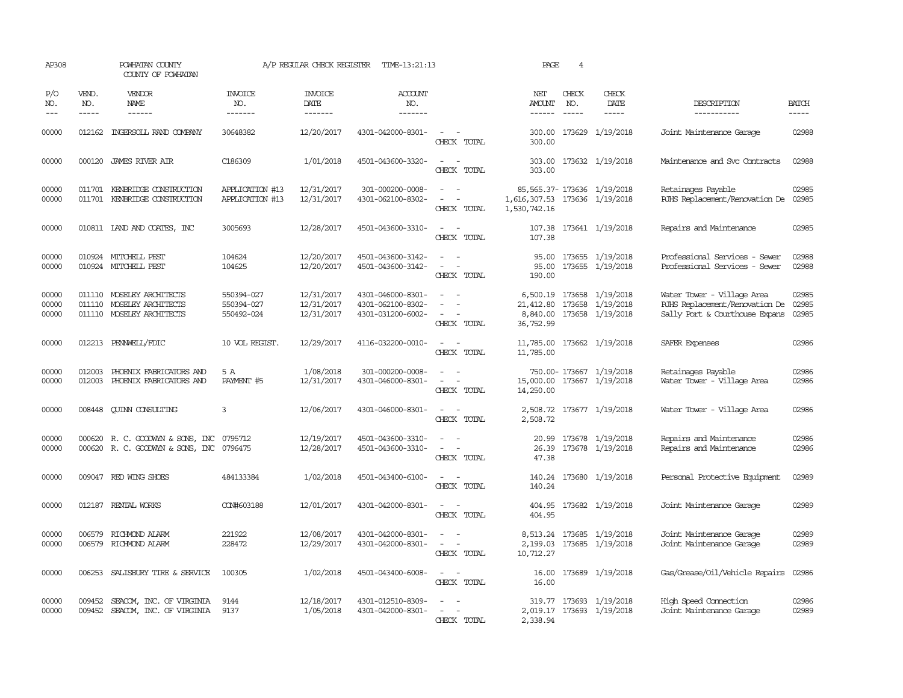| AP308                   |                             | POWHATAN COUNTY<br>COUNTY OF POWHATAN                                                |                                        | A/P REGULAR CHECK REGISTER                | TIME-13:21:13                                               | PAGE<br>$\overline{4}$                                                                                                      |                                               |                               |                                                                            |                                                                                                |                             |
|-------------------------|-----------------------------|--------------------------------------------------------------------------------------|----------------------------------------|-------------------------------------------|-------------------------------------------------------------|-----------------------------------------------------------------------------------------------------------------------------|-----------------------------------------------|-------------------------------|----------------------------------------------------------------------------|------------------------------------------------------------------------------------------------|-----------------------------|
| P/O<br>NO.<br>$---$     | VEND.<br>NO.<br>$- - - - -$ | <b>VENDOR</b><br>NAME<br>------                                                      | <b>INVOICE</b><br>NO.<br>-------       | <b>INVOICE</b><br>DATE<br>$- - - - - - -$ | ACCOUNT<br>NO.<br>$- - - - - - -$                           |                                                                                                                             | NET<br><b>AMOUNT</b><br>$- - - - - -$         | CHECK<br>NO.<br>$\frac{1}{2}$ | CHECK<br>DATE<br>$- - - - -$                                               | DESCRIPTION<br>-----------                                                                     | <b>BATCH</b><br>$- - - - -$ |
| 00000                   |                             | 012162 INGERSOLL RAND COMPANY                                                        | 30648382                               | 12/20/2017                                | 4301-042000-8301-                                           | $\frac{1}{2} \left( \frac{1}{2} \right) \left( \frac{1}{2} \right) = \frac{1}{2} \left( \frac{1}{2} \right)$<br>CHECK TOTAL | 300.00                                        |                               | 300.00 173629 1/19/2018                                                    | Joint Maintenance Garage                                                                       | 02988                       |
| 00000                   |                             | 000120 JAMES RIVER AIR                                                               | C186309                                | 1/01/2018                                 | 4501-043600-3320-                                           | $\sim$ 100 $\sim$<br>CHECK TOTAL                                                                                            | 303.00<br>303.00                              |                               | 173632 1/19/2018                                                           | Maintenance and Svc Contracts                                                                  | 02988                       |
| 00000<br>00000          |                             | 011701 KENBRIDGE CONSTRUCTION<br>011701 KENBRIDGE CONSTRUCTION                       | APPLICATION #13<br>APPLICATION #13     | 12/31/2017<br>12/31/2017                  | 301-000200-0008-<br>4301-062100-8302-                       | $\overline{\phantom{a}}$<br>$\sim$ $-$<br>CHECK TOTAL                                                                       | 1,616,307.53 173636 1/19/2018<br>1,530,742.16 |                               | 85, 565.37-173636 1/19/2018                                                | Retainages Payable<br>RJHS Replacement/Renovation De                                           | 02985<br>02985              |
| 00000                   |                             | 010811 LAND AND COATES, INC                                                          | 3005693                                | 12/28/2017                                | 4501-043600-3310-                                           | $\sim$ $ \sim$<br>CHECK TOTAL                                                                                               | 107.38                                        |                               | 107.38 173641 1/19/2018                                                    | Repairs and Maintenance                                                                        | 02985                       |
| 00000<br>00000          |                             | 010924 MITCHELL PEST<br>010924 MITCHELL PEST                                         | 104624<br>104625                       | 12/20/2017<br>12/20/2017                  | 4501-043600-3142-<br>4501-043600-3142-                      | $\sim$ 10 $\sim$ 10 $\sim$<br>$\sim$ $ -$<br>CHECK TOTAL                                                                    | 95.00<br>190.00                               |                               | 95.00 173655 1/19/2018<br>173655 1/19/2018                                 | Professional Services - Sewer<br>Professional Services - Sewer                                 | 02988<br>02988              |
| 00000<br>00000<br>00000 | 011110                      | 011110 MOSELEY ARCHITECTS<br>MOSELEY ARCHITECTS<br>011110 MOSELEY ARCHITECTS         | 550394-027<br>550394-027<br>550492-024 | 12/31/2017<br>12/31/2017<br>12/31/2017    | 4301-046000-8301-<br>4301-062100-8302-<br>4301-031200-6002- | $\overline{\phantom{a}}$<br>CHECK TOTAL                                                                                     | 21,412.80<br>36,752.99                        |                               | 6,500.19 173658 1/19/2018<br>173658 1/19/2018<br>8,840.00 173658 1/19/2018 | Water Tower - Village Area<br>RJHS Replacement/Renovation De<br>Sally Port & Courthouse Expans | 02985<br>02985<br>02985     |
| 00000                   |                             | 012213 PENNWELL/FDIC                                                                 | 10 VOL REGIST.                         | 12/29/2017                                | 4116-032200-0010-                                           | $\sim$ $ -$<br>CHECK TOTAL                                                                                                  | 11,785.00                                     |                               | 11,785.00 173662 1/19/2018                                                 | SAFER Expenses                                                                                 | 02986                       |
| 00000<br>00000          | 012003<br>012003            | PHOENIX FABRICATORS AND<br>PHOENIX FABRICATORS AND                                   | 5 A<br>PAYMENT #5                      | 1/08/2018<br>12/31/2017                   | 301-000200-0008-<br>4301-046000-8301-                       | $\sim$<br>$\overline{\phantom{a}}$<br>CHECK TOTAL                                                                           | 15,000.00<br>14,250.00                        |                               | 750.00-173667 1/19/2018<br>173667 1/19/2018                                | Retainages Payable<br>Water Tower - Village Area                                               | 02986<br>02986              |
| 00000                   | 008448                      | <b>CUINN CONSULTING</b>                                                              | 3                                      | 12/06/2017                                | 4301-046000-8301-                                           | $\sim$ 100 $\sim$ 100 $\sim$<br>CHECK TOTAL                                                                                 | 2,508.72                                      |                               | 2,508.72 173677 1/19/2018                                                  | Water Tower - Village Area                                                                     | 02986                       |
| 00000<br>00000          |                             | 000620 R. C. GOODWYN & SONS, INC 0795712<br>000620 R. C. GOODWYN & SONS, INC 0796475 |                                        | 12/19/2017<br>12/28/2017                  | 4501-043600-3310-<br>4501-043600-3310-                      | $\sim$<br>$\sim$ 10 $\sim$ 10 $\sim$<br>CHECK TOTAL                                                                         | 47.38                                         |                               | 20.99 173678 1/19/2018<br>26.39 173678 1/19/2018                           | Repairs and Maintenance<br>Repairs and Maintenance                                             | 02986<br>02986              |
| 00000                   |                             | 009047 RED WING SHOES                                                                | 484133384                              | 1/02/2018                                 | 4501-043400-6100-                                           | $\sim$ $ -$<br>CHECK TOTAL                                                                                                  | 140.24                                        |                               | 140.24 173680 1/19/2018                                                    | Personal Protective Equipment                                                                  | 02989                       |
| 00000                   |                             | 012187 RENTAL WORKS                                                                  | CON#603188                             | 12/01/2017                                | 4301-042000-8301-                                           | $\sim$ $ \sim$<br>CHECK TOTAL                                                                                               | 404.95                                        |                               | 404.95 173682 1/19/2018                                                    | Joint Maintenance Garage                                                                       | 02989                       |
| 00000<br>00000          | 006579<br>006579            | RICHMOND ALARM<br>RICHMOND ALARM                                                     | 221922<br>228472                       | 12/08/2017<br>12/29/2017                  | 4301-042000-8301-<br>4301-042000-8301-                      | $\sim$ 100 $\sim$<br>$\sim$ 100 $\mu$<br>$\sim$<br>CHECK TOTAL                                                              | 2,199.03<br>10,712.27                         |                               | 8,513.24 173685 1/19/2018<br>173685 1/19/2018                              | Joint Maintenance Garage<br>Joint Maintenance Garage                                           | 02989<br>02989              |
| 00000                   |                             | 006253 SALISBURY TIRE & SERVICE                                                      | 100305                                 | 1/02/2018                                 | 4501-043400-6008-                                           | $\frac{1}{2} \left( \frac{1}{2} \right) \left( \frac{1}{2} \right) = \frac{1}{2} \left( \frac{1}{2} \right)$<br>CHECK TOTAL | 16.00                                         |                               | 16.00 173689 1/19/2018                                                     | Gas/Grease/Oil/Vehicle Repairs                                                                 | 02986                       |
| 00000<br>00000          | 009452                      | SEACOM, INC. OF VIRGINIA<br>009452 SEACOM, INC. OF VIRGINIA                          | 9144<br>9137                           | 12/18/2017<br>1/05/2018                   | 4301-012510-8309-<br>4301-042000-8301-                      | $\overline{\phantom{a}}$<br>$\sim$<br>CHECK TOTAL                                                                           | 2,338.94                                      |                               | 319.77 173693 1/19/2018<br>2,019.17 173693 1/19/2018                       | High Speed Connection<br>Joint Maintenance Garage                                              | 02986<br>02989              |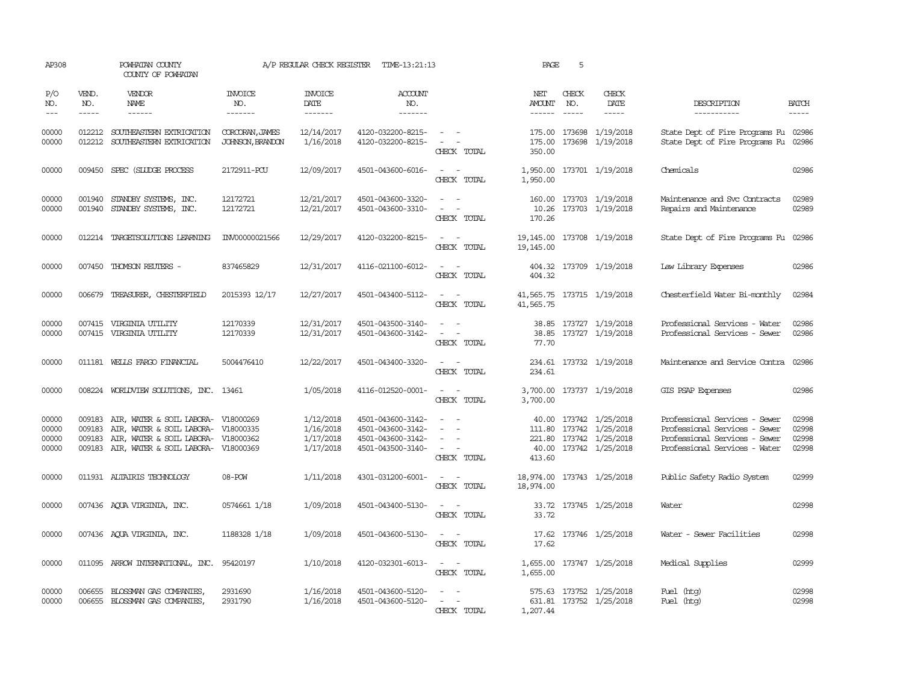| AP308                            |                             | POWHATAN COUNTY<br>COUNTY OF POWHATAN                                                                                                                                  |                                     | A/P REGULAR CHECK REGISTER TIME-13:21:13         |                                                                                  |                                                                                                                             | PAGE                                  | 5                           |                                                                                                        |                                                                                                                                  |                                                                                                                                                                                                                                                                                                                                                                                                                                                                                                     |  |
|----------------------------------|-----------------------------|------------------------------------------------------------------------------------------------------------------------------------------------------------------------|-------------------------------------|--------------------------------------------------|----------------------------------------------------------------------------------|-----------------------------------------------------------------------------------------------------------------------------|---------------------------------------|-----------------------------|--------------------------------------------------------------------------------------------------------|----------------------------------------------------------------------------------------------------------------------------------|-----------------------------------------------------------------------------------------------------------------------------------------------------------------------------------------------------------------------------------------------------------------------------------------------------------------------------------------------------------------------------------------------------------------------------------------------------------------------------------------------------|--|
| P/O<br>NO.<br>$---$              | VEND.<br>NO.<br>$- - - - -$ | VENDOR<br>NAME<br>$- - - - - -$                                                                                                                                        | <b>INVOICE</b><br>NO.<br>-------    | <b>INVOICE</b><br><b>DATE</b><br>--------        | <b>ACCOUNT</b><br>NO.<br>-------                                                 |                                                                                                                             | NET<br><b>AMOUNT</b><br>$- - - - - -$ | CHECK<br>NO.<br>$- - - - -$ | CHECK<br>DATE<br>$- - - - -$                                                                           | DESCRIPTION<br>-----------                                                                                                       | <b>BATCH</b><br>$\begin{tabular}{ccccc} \multicolumn{2}{c}{} & \multicolumn{2}{c}{} & \multicolumn{2}{c}{} & \multicolumn{2}{c}{} & \multicolumn{2}{c}{} & \multicolumn{2}{c}{} & \multicolumn{2}{c}{} & \multicolumn{2}{c}{} & \multicolumn{2}{c}{} & \multicolumn{2}{c}{} & \multicolumn{2}{c}{} & \multicolumn{2}{c}{} & \multicolumn{2}{c}{} & \multicolumn{2}{c}{} & \multicolumn{2}{c}{} & \multicolumn{2}{c}{} & \multicolumn{2}{c}{} & \multicolumn{2}{c}{} & \multicolumn{2}{c}{} & \mult$ |  |
| 00000<br>00000                   |                             | 012212 SOUTHEASTERN EXTRICATION<br>012212 SOUTHEASTERN EXTRICATION                                                                                                     | CORCORAN, JAMES<br>JOHNSON, BRANDON | 12/14/2017<br>1/16/2018                          | 4120-032200-8215-<br>4120-032200-8215-                                           | $\sim$ $ -$<br>$\omega_{\rm{max}}$<br>CHECK TOTAL                                                                           | 350.00                                |                             | 175.00 173698 1/19/2018<br>175.00 173698 1/19/2018                                                     | State Dept of Fire Programs Fu 02986<br>State Dept of Fire Programs Fu 02986                                                     |                                                                                                                                                                                                                                                                                                                                                                                                                                                                                                     |  |
| 00000                            |                             | 009450 SPEC (SLUDGE PROCESS                                                                                                                                            | 2172911-PCU                         | 12/09/2017                                       | 4501-043600-6016-                                                                | $\overline{\phantom{a}}$<br>$\sim$<br>CHECK TOTAL                                                                           | 1,950.00<br>1,950.00                  |                             | 173701 1/19/2018                                                                                       | Chemicals                                                                                                                        | 02986                                                                                                                                                                                                                                                                                                                                                                                                                                                                                               |  |
| 00000<br>00000                   | 001940                      | STANDBY SYSTEMS, INC.<br>001940 STANDBY SYSTEMS, INC.                                                                                                                  | 12172721<br>12172721                | 12/21/2017<br>12/21/2017                         | 4501-043600-3320-<br>4501-043600-3310-                                           | $\equiv$<br>CHECK TOTAL                                                                                                     | 160.00<br>170.26                      |                             | 173703 1/19/2018<br>10.26 173703 1/19/2018                                                             | Maintenance and Svc Contracts<br>Repairs and Maintenance                                                                         | 02989<br>02989                                                                                                                                                                                                                                                                                                                                                                                                                                                                                      |  |
| 00000                            |                             | 012214 TARGETSOLUTIONS LEARNING                                                                                                                                        | INV00000021566                      | 12/29/2017                                       | 4120-032200-8215-                                                                | CHECK TOTAL                                                                                                                 | 19,145.00<br>19, 145, 00              |                             | 173708 1/19/2018                                                                                       | State Dept of Fire Programs Fu                                                                                                   | 02986                                                                                                                                                                                                                                                                                                                                                                                                                                                                                               |  |
| 00000                            |                             | 007450 THOMSON REUTERS -                                                                                                                                               | 837465829                           | 12/31/2017                                       | 4116-021100-6012-                                                                | $\frac{1}{2} \left( \frac{1}{2} \right) \left( \frac{1}{2} \right) = \frac{1}{2} \left( \frac{1}{2} \right)$<br>CHECK TOTAL | 404.32<br>404.32                      |                             | 173709 1/19/2018                                                                                       | Law Library Expenses                                                                                                             | 02986                                                                                                                                                                                                                                                                                                                                                                                                                                                                                               |  |
| 00000                            |                             | 006679 TREASURER, CHESTERFIELD                                                                                                                                         | 2015393 12/17                       | 12/27/2017                                       | 4501-043400-5112-                                                                | $\omega_{\rm{max}}$ and $\omega_{\rm{max}}$<br>CHECK TOTAL                                                                  | 41,565.75                             |                             | 41,565.75 173715 1/19/2018                                                                             | Chesterfield Water Bi-monthly                                                                                                    | 02984                                                                                                                                                                                                                                                                                                                                                                                                                                                                                               |  |
| 00000<br>00000                   |                             | 007415 VIRGINIA UTILITY<br>007415 VIRGINIA UTILITY                                                                                                                     | 12170339<br>12170339                | 12/31/2017<br>12/31/2017                         | 4501-043500-3140-<br>4501-043600-3142-                                           | $\omega_{\rm{max}}$ and $\omega_{\rm{max}}$<br>$\sim 100$ km s $^{-1}$<br>CHECK TOTAL                                       | 77.70                                 |                             | 38.85 173727 1/19/2018<br>38.85 173727 1/19/2018                                                       | Professional Services - Water<br>Professional Services - Sewer                                                                   | 02986<br>02986                                                                                                                                                                                                                                                                                                                                                                                                                                                                                      |  |
| 00000                            |                             | 011181 WELLS FARGO FINANCIAL                                                                                                                                           | 5004476410                          | 12/22/2017                                       | 4501-043400-3320-                                                                | $\sim$ $ \sim$<br>CHECK TOTAL                                                                                               | 234.61                                |                             | 234.61 173732 1/19/2018                                                                                | Maintenance and Service Contra                                                                                                   | 02986                                                                                                                                                                                                                                                                                                                                                                                                                                                                                               |  |
| 00000                            |                             | 008224 WORLDVIEW SOLUTIONS, INC. 13461                                                                                                                                 |                                     | 1/05/2018                                        | 4116-012520-0001-                                                                | CHECK TOTAL                                                                                                                 | 3,700.00                              |                             | 3,700.00 173737 1/19/2018                                                                              | GIS PSAP Expenses                                                                                                                | 02986                                                                                                                                                                                                                                                                                                                                                                                                                                                                                               |  |
| 00000<br>00000<br>00000<br>00000 | 009183<br>009183            | AIR, WATER & SOIL LABORA- V18000269<br>AIR, WATER & SOIL LABORA- V18000335<br>009183 AIR, WATER & SOIL LABORA- V18000362<br>009183 AIR, WATER & SOIL LABORA- V18000369 |                                     | 1/12/2018<br>1/16/2018<br>1/17/2018<br>1/17/2018 | 4501-043600-3142-<br>4501-043600-3142-<br>4501-043600-3142-<br>4501-043500-3140- | $\sim$<br>$\sim$ $ -$<br>CHECK TOTAL                                                                                        | 413.60                                |                             | 40.00 173742 1/25/2018<br>111.80 173742 1/25/2018<br>221.80 173742 1/25/2018<br>40.00 173742 1/25/2018 | Professional Services - Sewer<br>Professional Services - Sewer<br>Professional Services - Sewer<br>Professional Services - Water | 02998<br>02998<br>02998<br>02998                                                                                                                                                                                                                                                                                                                                                                                                                                                                    |  |
| 00000                            |                             | 011931 ALTAIRIS TECHNOLOGY                                                                                                                                             | 08-POW                              | 1/11/2018                                        | 4301-031200-6001-                                                                | $ -$<br>CHECK TOTAL                                                                                                         | 18,974.00                             |                             | 18,974.00 173743 1/25/2018                                                                             | Public Safety Radio System                                                                                                       | 02999                                                                                                                                                                                                                                                                                                                                                                                                                                                                                               |  |
| 00000                            |                             | 007436 AQUA VIRGINIA, INC.                                                                                                                                             | 0574661 1/18                        | 1/09/2018                                        | 4501-043400-5130-                                                                | CHECK TOTAL                                                                                                                 | 33.72                                 |                             | 33.72 173745 1/25/2018                                                                                 | Water                                                                                                                            | 02998                                                                                                                                                                                                                                                                                                                                                                                                                                                                                               |  |
| 00000                            |                             | 007436 AQUA VIRGINIA, INC.                                                                                                                                             | 1188328 1/18                        | 1/09/2018                                        | 4501-043600-5130-                                                                | $\overline{\phantom{a}}$<br>$\sim$<br>CHECK TOTAL                                                                           | 17.62<br>17.62                        |                             | 173746 1/25/2018                                                                                       | Water - Sewer Facilities                                                                                                         | 02998                                                                                                                                                                                                                                                                                                                                                                                                                                                                                               |  |
| 00000                            |                             | 011095 ARROW INTERNATIONAL, INC.                                                                                                                                       | 95420197                            | 1/10/2018                                        | 4120-032301-6013-                                                                | $\sim$ $  -$<br>CHECK TOTAL                                                                                                 | 1,655.00                              |                             | 1,655.00 173747 1/25/2018                                                                              | Medical Supplies                                                                                                                 | 02999                                                                                                                                                                                                                                                                                                                                                                                                                                                                                               |  |
| 00000<br>00000                   |                             | 006655 BLOSSMAN GAS COMPANIES<br>006655 BLOSSMAN GAS COMPANIES,                                                                                                        | 2931690<br>2931790                  | 1/16/2018<br>1/16/2018                           | 4501-043600-5120-<br>4501-043600-5120-                                           | $\sim$ 100 $\sim$<br>$\mathcal{L}_{\text{max}}$ , and<br>CHECK TOTAL                                                        | 1,207.44                              |                             | 575.63 173752 1/25/2018<br>631.81 173752 1/25/2018                                                     | Fuel (htg)<br>Fuel (htg)                                                                                                         | 02998<br>02998                                                                                                                                                                                                                                                                                                                                                                                                                                                                                      |  |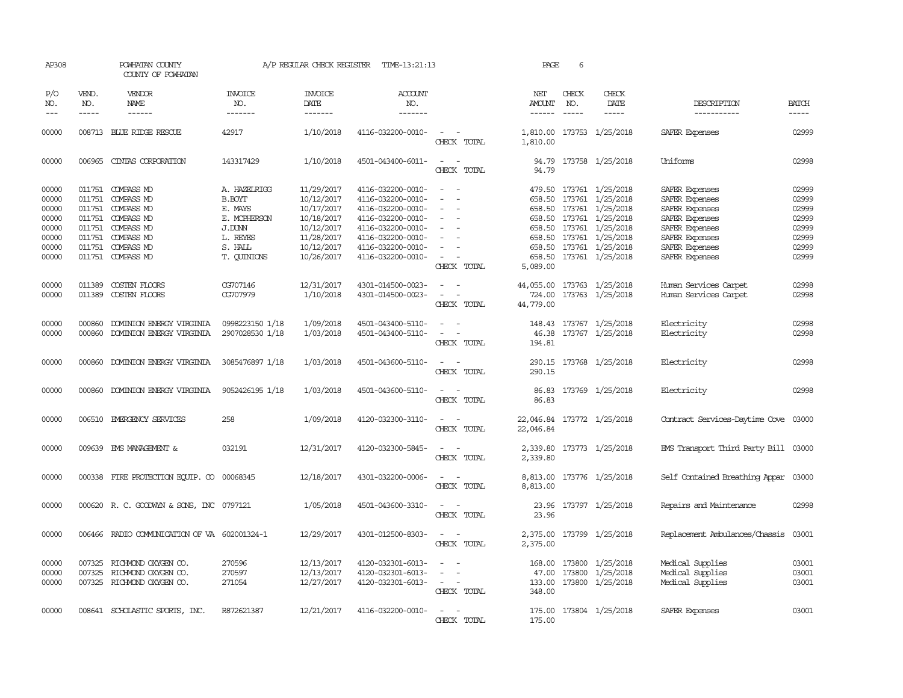| AP308                                                                | POWHATAN COUNTY<br>COUNTY OF POWHATAN |                                                                                                                                                                      | A/P REGULAR CHECK REGISTER<br>TIME-13:21:13                                                              |                                                                                                              |                                                                                                                                                                      |                                           | PAGE                           | 6                             |                                                                                                                                                                                                               |                                                                                                                                              |                                                                      |  |  |  |  |
|----------------------------------------------------------------------|---------------------------------------|----------------------------------------------------------------------------------------------------------------------------------------------------------------------|----------------------------------------------------------------------------------------------------------|--------------------------------------------------------------------------------------------------------------|----------------------------------------------------------------------------------------------------------------------------------------------------------------------|-------------------------------------------|--------------------------------|-------------------------------|---------------------------------------------------------------------------------------------------------------------------------------------------------------------------------------------------------------|----------------------------------------------------------------------------------------------------------------------------------------------|----------------------------------------------------------------------|--|--|--|--|
| P/O<br>NO.<br>$---$                                                  | VEND.<br>NO.<br>$- - - - -$           | VENDOR<br>NAME<br>------                                                                                                                                             | INVOICE<br>NO.<br>-------                                                                                | <b>INVOICE</b><br>DATE<br>-------                                                                            | <b>ACCOUNT</b><br>NO.<br>-------                                                                                                                                     |                                           | NET<br>AMOUNT<br>$\frac{1}{2}$ | CHECK<br>NO.<br>$\frac{1}{2}$ | CHECK<br>DATE                                                                                                                                                                                                 | DESCRIPTION<br>-----------                                                                                                                   | <b>BATCH</b><br>-----                                                |  |  |  |  |
| 00000                                                                |                                       | 008713 BLUE RIDGE RESCUE                                                                                                                                             | 42917                                                                                                    | 1/10/2018                                                                                                    | 4116-032200-0010-                                                                                                                                                    | $\overline{\phantom{a}}$<br>CHECK TOTAL   | 1,810.00<br>1,810.00           |                               | 173753 1/25/2018                                                                                                                                                                                              | SAFER Expenses                                                                                                                               | 02999                                                                |  |  |  |  |
| 00000                                                                |                                       | 006965 CINIAS CORPORATION                                                                                                                                            | 143317429                                                                                                | 1/10/2018                                                                                                    | 4501-043400-6011-                                                                                                                                                    | CHECK TOTAL                               | 94.79                          |                               | 94.79 173758 1/25/2018                                                                                                                                                                                        | Uniforms                                                                                                                                     | 02998                                                                |  |  |  |  |
| 00000<br>00000<br>00000<br>00000<br>00000<br>00000<br>00000<br>00000 |                                       | 011751 COMPASS MD<br>011751 COMPASS MD<br>011751 COMPASS MD<br>011751 COMPASS MD<br>011751 COMPASS MD<br>011751 COMPASS MD<br>011751 COMPASS MD<br>011751 COMPASS MD | A. HAZEIRIGG<br><b>B.BOYT</b><br>E. MAYS<br>E. MCPHERSON<br>J.DUNN<br>L. REYES<br>S. HALL<br>T. QUINIONS | 11/29/2017<br>10/12/2017<br>10/17/2017<br>10/18/2017<br>10/12/2017<br>11/28/2017<br>10/12/2017<br>10/26/2017 | 4116-032200-0010-<br>4116-032200-0010-<br>4116-032200-0010-<br>4116-032200-0010-<br>4116-032200-0010-<br>4116-032200-0010-<br>4116-032200-0010-<br>4116-032200-0010- | $\sim$<br>$\sim$<br>$\sim$<br>CHECK TOTAL | 658.50<br>5,089.00             |                               | 479.50 173761 1/25/2018<br>173761 1/25/2018<br>658.50 173761 1/25/2018<br>658.50 173761 1/25/2018<br>658.50 173761 1/25/2018<br>658.50 173761 1/25/2018<br>658.50 173761 1/25/2018<br>658.50 173761 1/25/2018 | SAFER Expenses<br>SAFER Expenses<br>SAFER Expenses<br>SAFER Expenses<br>SAFER Expenses<br>SAFER Expenses<br>SAFER Expenses<br>SAFER Expenses | 02999<br>02999<br>02999<br>02999<br>02999<br>02999<br>02999<br>02999 |  |  |  |  |
| 00000<br>00000                                                       | 011389                                | COSTEN FLOORS<br>011389 COSTEN FLOORS                                                                                                                                | CG707146<br>CG707979                                                                                     | 12/31/2017<br>1/10/2018                                                                                      | 4301-014500-0023-<br>4301-014500-0023-                                                                                                                               | $\sim$<br>$\sim$ $\sim$<br>CHECK TOTAL    | 724.00<br>44,779.00            |                               | 44,055.00 173763 1/25/2018<br>173763 1/25/2018                                                                                                                                                                | Human Services Carpet<br>Human Services Carpet                                                                                               | 02998<br>02998                                                       |  |  |  |  |
| 00000<br>00000                                                       | 000860<br>000860                      | DOMINION ENERGY VIRGINIA<br>DOMINION ENERGY VIRGINIA                                                                                                                 | 0998223150 1/18<br>2907028530 1/18                                                                       | 1/09/2018<br>1/03/2018                                                                                       | 4501-043400-5110-<br>4501-043400-5110-                                                                                                                               | $\sim$<br>CHECK TOTAL                     | 46.38<br>194.81                |                               | 148.43 173767 1/25/2018<br>173767 1/25/2018                                                                                                                                                                   | Electricity<br>Electricity                                                                                                                   | 02998<br>02998                                                       |  |  |  |  |
| 00000                                                                | 000860                                | DOMINION ENERGY VIRGINIA                                                                                                                                             | 3085476897 1/18                                                                                          | 1/03/2018                                                                                                    | 4501-043600-5110-                                                                                                                                                    | $\sim$ $  -$<br>CHECK TOTAL               | 290.15                         |                               | 290.15 173768 1/25/2018                                                                                                                                                                                       | Electricity                                                                                                                                  | 02998                                                                |  |  |  |  |
| 00000                                                                | 000860                                | DOMINION ENERGY VIRGINIA                                                                                                                                             | 9052426195 1/18                                                                                          | 1/03/2018                                                                                                    | 4501-043600-5110-                                                                                                                                                    | CHECK TOTAL                               | 86.83                          |                               | 86.83 173769 1/25/2018                                                                                                                                                                                        | Electricity                                                                                                                                  | 02998                                                                |  |  |  |  |
| 00000                                                                |                                       | 006510 EMERGENCY SERVICES                                                                                                                                            | 258                                                                                                      | 1/09/2018                                                                                                    | 4120-032300-3110-                                                                                                                                                    | CHECK TOTAL                               | 22,046.84<br>22,046.84         |                               | 173772 1/25/2018                                                                                                                                                                                              | Contract Services-Daytime Cove 03000                                                                                                         |                                                                      |  |  |  |  |
| 00000                                                                |                                       | 009639 EMS MANAGEMENT &                                                                                                                                              | 032191                                                                                                   | 12/31/2017                                                                                                   | 4120-032300-5845-                                                                                                                                                    | $\overline{\phantom{a}}$<br>CHECK TOTAL   | 2,339.80                       |                               | 2,339.80 173773 1/25/2018                                                                                                                                                                                     | EMS Transport Third Party Bill 03000                                                                                                         |                                                                      |  |  |  |  |
| 00000                                                                |                                       | 000338 FIRE PROTECTION EQUIP. CO 00068345                                                                                                                            |                                                                                                          | 12/18/2017                                                                                                   | 4301-032200-0006-                                                                                                                                                    | CHECK TOTAL                               | 8,813.00                       |                               | 8,813.00 173776 1/25/2018                                                                                                                                                                                     | Self Contained Breathing Appar 03000                                                                                                         |                                                                      |  |  |  |  |
| 00000                                                                |                                       | 000620 R. C. GOODWYN & SONS, INC 0797121                                                                                                                             |                                                                                                          | 1/05/2018                                                                                                    | 4501-043600-3310-                                                                                                                                                    | CHECK TOTAL                               | 23.96                          |                               | 23.96 173797 1/25/2018                                                                                                                                                                                        | Repairs and Maintenance                                                                                                                      | 02998                                                                |  |  |  |  |
| 00000                                                                |                                       | 006466 RADIO COMMUNICATION OF VA 602001324-1                                                                                                                         |                                                                                                          | 12/29/2017                                                                                                   | 4301-012500-8303-                                                                                                                                                    | $\sim$ $\sim$<br>CHECK TOTAL              | 2,375.00                       |                               | 2,375.00 173799 1/25/2018                                                                                                                                                                                     | Replacement Ambulances/Chassis                                                                                                               | 03001                                                                |  |  |  |  |
| 00000<br>00000<br>00000                                              | 007325                                | RICHMOND OXYGEN CO.<br>007325 RICHMOND OXYGEN CO.<br>007325 RICHMOND OXYGEN CO.                                                                                      | 270596<br>270597<br>271054                                                                               | 12/13/2017<br>12/13/2017<br>12/27/2017                                                                       | 4120-032301-6013-<br>4120-032301-6013-<br>4120-032301-6013-                                                                                                          | $\sim$<br>$\sim$<br>CHECK TOTAL           | 168.00<br>348.00               |                               | 173800 1/25/2018<br>47.00 173800 1/25/2018<br>133.00 173800 1/25/2018                                                                                                                                         | Medical Supplies<br>Medical Supplies<br>Medical Supplies                                                                                     | 03001<br>03001<br>03001                                              |  |  |  |  |
| 00000                                                                |                                       | 008641 SCHOLASTIC SPORTS, INC.                                                                                                                                       | R872621387                                                                                               | 12/21/2017                                                                                                   | 4116-032200-0010-                                                                                                                                                    | CHECK TOTAL                               | 175.00                         |                               | 175.00 173804 1/25/2018                                                                                                                                                                                       | SAFER Expenses                                                                                                                               | 03001                                                                |  |  |  |  |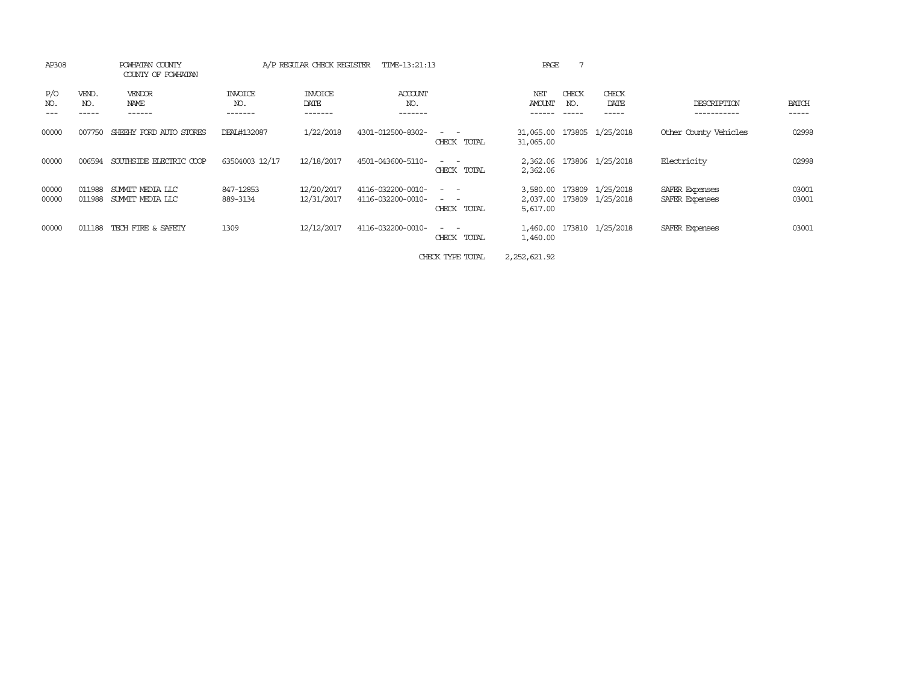| AP308          | POWHATAN COUNTY<br>COUNTY OF POWHATAN |                                      | A/P REGULAR CHECK REGISTER<br>TIME-13:21:13 |                                   |                                        |                                                                                                                                                                                                                                             | PAGE                 |                             |                                               |                                  |                       |
|----------------|---------------------------------------|--------------------------------------|---------------------------------------------|-----------------------------------|----------------------------------------|---------------------------------------------------------------------------------------------------------------------------------------------------------------------------------------------------------------------------------------------|----------------------|-----------------------------|-----------------------------------------------|----------------------------------|-----------------------|
| P/O<br>NO.     | VEND.<br>NO.<br>-----                 | VENDOR<br>NAME<br>------             | INVOICE<br>NO.<br>-------                   | <b>INVOICE</b><br>DATE<br>------- | <b>ACCOUNT</b><br>NO.<br>-------       |                                                                                                                                                                                                                                             | NET<br>AMOUNT        | CHECK<br>NO.<br>$- - - - -$ | CHECK<br>DATE<br>------                       | DESCRIPTION<br>-----------       | <b>BATCH</b><br>----- |
| 00000          | 007750                                | SHEEHY FORD AUTO STORES              | DEAL#132087                                 | 1/22/2018                         | 4301-012500-8302-                      | $\frac{1}{2} \left( \frac{1}{2} \right) \left( \frac{1}{2} \right) = \frac{1}{2} \left( \frac{1}{2} \right)$<br>CHECK TOTAL                                                                                                                 | 31,065.00            |                             | 31,065.00 173805 1/25/2018                    | Other County Vehicles            | 02998                 |
| 00000          | 006594                                | SOUTHSIDE ELECTRIC COOP              | 63504003 12/17                              | 12/18/2017                        | 4501-043600-5110-                      | $\frac{1}{2} \left( \frac{1}{2} \right) \left( \frac{1}{2} \right) = \frac{1}{2} \left( \frac{1}{2} \right)$<br>CHECK TOTAL                                                                                                                 | 2,362.06<br>2,362.06 |                             | 173806 1/25/2018                              | Electricity                      | 02998                 |
| 00000<br>00000 | 011988<br>011988                      | SUMMIT MEDIA LLC<br>SUMMIT MEDIA LLC | 847-12853<br>889-3134                       | 12/20/2017<br>12/31/2017          | 4116-032200-0010-<br>4116-032200-0010- | $\frac{1}{2} \left( \frac{1}{2} \right) \left( \frac{1}{2} \right) = \frac{1}{2} \left( \frac{1}{2} \right)$<br>$\frac{1}{2} \left( \frac{1}{2} \right) \left( \frac{1}{2} \right) = \frac{1}{2} \left( \frac{1}{2} \right)$<br>CHECK TOTAL | 3,580.00<br>5,617.00 |                             | 173809 1/25/2018<br>2,037.00 173809 1/25/2018 | SAFER Expenses<br>SAFER Expenses | 03001<br>03001        |
| 00000          | 011188                                | TECH FIRE & SAFEIY                   | 1309                                        | 12/12/2017                        | 4116-032200-0010-                      | $\sim$ $\sim$<br>CHECK<br>TOTAL                                                                                                                                                                                                             | 1,460.00<br>1,460.00 |                             | 173810 1/25/2018                              | SAFER Expenses                   | 03001                 |
|                |                                       |                                      |                                             |                                   |                                        |                                                                                                                                                                                                                                             |                      |                             |                                               |                                  |                       |

CHECK TYPE TOTAL 2,252,621.92